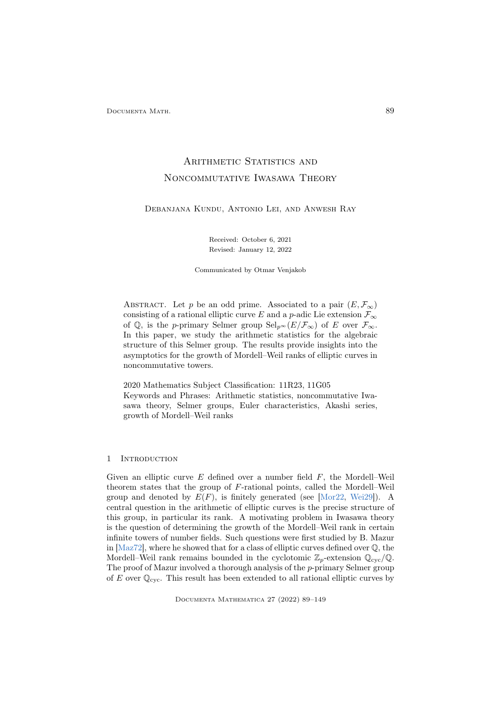Documenta Math. 89

# ARITHMETIC STATISTICS AND Noncommutative Iwasawa Theory

Debanjana Kundu, Antonio Lei, and Anwesh Ray

Received: October 6, 2021 Revised: January 12, 2022

Communicated by Otmar Venjakob

ABSTRACT. Let p be an odd prime. Associated to a pair  $(E, \mathcal{F}_{\infty})$ consisting of a rational elliptic curve E and a p-adic Lie extension  $\mathcal{F}_{\infty}$ of Q, is the p-primary Selmer group  $\text{Sel}_{p^{\infty}}(E/\mathcal{F}_{\infty})$  of E over  $\mathcal{F}_{\infty}$ . In this paper, we study the arithmetic statistics for the algebraic structure of this Selmer group. The results provide insights into the asymptotics for the growth of Mordell–Weil ranks of elliptic curves in noncommutative towers.

2020 Mathematics Subject Classification: 11R23, 11G05 Keywords and Phrases: Arithmetic statistics, noncommutative Iwasawa theory, Selmer groups, Euler characteristics, Akashi series, growth of Mordell–Weil ranks

### 1 INTRODUCTION

Given an elliptic curve  $E$  defined over a number field  $F$ , the Mordell–Weil theorem states that the group of F-rational points, called the Mordell–Weil group and denoted by  $E(F)$ , is finitely generated (see [\[Mor22,](#page-58-0) [Wei29\]](#page-60-0)). A central question in the arithmetic of elliptic curves is the precise structure of this group, in particular its rank. A motivating problem in Iwasawa theory is the question of determining the growth of the Mordell–Weil rank in certain infinite towers of number fields. Such questions were first studied by B. Mazur in [\[Maz72\]](#page-58-1), where he showed that for a class of elliptic curves defined over Q, the Mordell–Weil rank remains bounded in the cyclotomic  $\mathbb{Z}_p$ -extension  $\mathbb{Q}_{\text{cyc}}/\mathbb{Q}$ . The proof of Mazur involved a thorough analysis of the p-primary Selmer group of E over  $\mathbb{Q}_{\text{cyc}}$ . This result has been extended to all rational elliptic curves by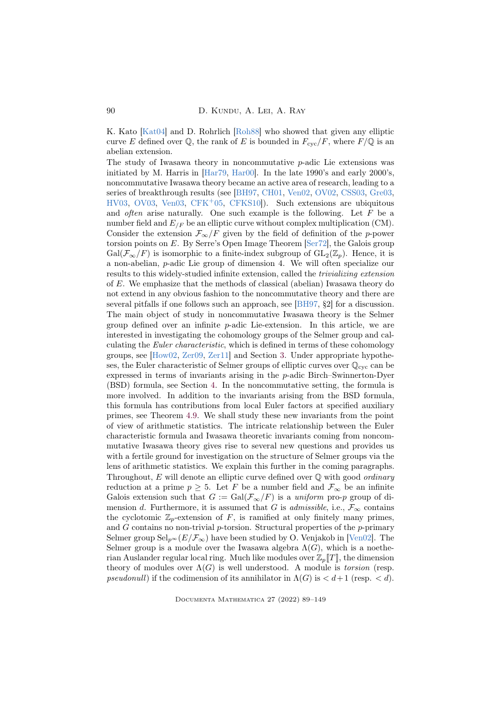K. Kato [\[Kat04\]](#page-58-2) and D. Rohrlich [\[Roh88\]](#page-59-0) who showed that given any elliptic curve E defined over Q, the rank of E is bounded in  $F_{\text{cyc}}/F$ , where  $F/\mathbb{Q}$  is an abelian extension.

The study of Iwasawa theory in noncommutative  $p$ -adic Lie extensions was initiated by M. Harris in [\[Har79,](#page-57-0) [Har00\]](#page-57-1). In the late 1990's and early 2000's, noncommutative Iwasawa theory became an active area of research, leading to a series of breakthrough results (see [\[BH97,](#page-55-0) [CH01,](#page-55-1) [Ven02,](#page-60-1) [OV02,](#page-59-1) [CSS03,](#page-56-0) [Gre03,](#page-57-2) [HV03,](#page-57-3) [OV03,](#page-59-2) [Ven03,](#page-60-2) [CFK](#page-55-2)+05, [CFKS10\]](#page-55-3)). Such extensions are ubiquitous and *often* arise naturally. One such example is the following. Let  $F$  be a number field and  $E_{F}$  be an elliptic curve without complex multiplication (CM). Consider the extension  $\mathcal{F}_{\infty}/F$  given by the field of definition of the p-power torsion points on E. By Serre's Open Image Theorem [\[Ser72\]](#page-60-3), the Galois group  $Gal(\mathcal{F}_{\infty}/F)$  is isomorphic to a finite-index subgroup of  $GL_2(\mathbb{Z}_p)$ . Hence, it is a non-abelian, p-adic Lie group of dimension 4. We will often specialize our results to this widely-studied infinite extension, called the trivializing extension of E. We emphasize that the methods of classical (abelian) Iwasawa theory do not extend in any obvious fashion to the noncommutative theory and there are several pitfalls if one follows such an approach, see [\[BH97,](#page-55-0) §2] for a discussion. The main object of study in noncommutative Iwasawa theory is the Selmer group defined over an infinite p-adic Lie-extension. In this article, we are interested in investigating the cohomology groups of the Selmer group and calculating the Euler characteristic, which is defined in terms of these cohomology groups, see [\[How02,](#page-57-4) [Zer09,](#page-60-4) [Zer11\]](#page-60-5) and Section [3.](#page-8-0) Under appropriate hypotheses, the Euler characteristic of Selmer groups of elliptic curves over  $\mathbb{Q}_{\text{cyc}}$  can be expressed in terms of invariants arising in the p-adic Birch–Swinnerton-Dyer (BSD) formula, see Section [4.](#page-10-0) In the noncommutative setting, the formula is more involved. In addition to the invariants arising from the BSD formula, this formula has contributions from local Euler factors at specified auxiliary primes, see Theorem [4.9.](#page-13-0) We shall study these new invariants from the point of view of arithmetic statistics. The intricate relationship between the Euler characteristic formula and Iwasawa theoretic invariants coming from noncommutative Iwasawa theory gives rise to several new questions and provides us with a fertile ground for investigation on the structure of Selmer groups via the lens of arithmetic statistics. We explain this further in the coming paragraphs. Throughout,  $E$  will denote an elliptic curve defined over  $\mathbb Q$  with good *ordinary* reduction at a prime  $p \geq 5$ . Let F be a number field and  $\mathcal{F}_{\infty}$  be an infinite Galois extension such that  $G := \text{Gal}(\mathcal{F}_{\infty}/F)$  is a uniform pro-p group of dimension d. Furthermore, it is assumed that G is *admissible*, i.e.,  $\mathcal{F}_{\infty}$  contains the cyclotomic  $\mathbb{Z}_p$ -extension of F, is ramified at only finitely many primes, and  $G$  contains no non-trivial p-torsion. Structural properties of the p-primary Selmer group  $\text{Sel}_{p^{\infty}}(E/\mathcal{F}_{\infty})$  have been studied by O. Venjakob in [\[Ven02\]](#page-60-1). The Selmer group is a module over the Iwasawa algebra  $\Lambda(G)$ , which is a noetherian Auslander regular local ring. Much like modules over  $\mathbb{Z}_p[[T]]$ , the dimension theory of modules over  $\Lambda(G)$  is well understood. A module is *torsion* (resp. pseudonull) if the codimension of its annihilator in  $\Lambda(G)$  is  $\lt d+1$  (resp.  $\lt d$ ).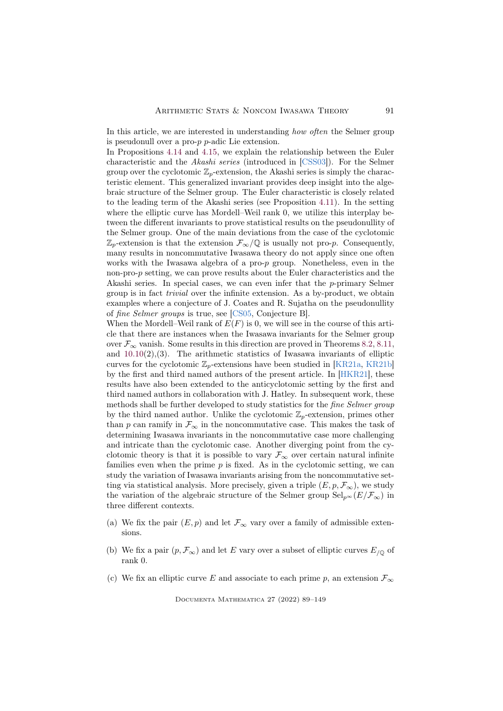In this article, we are interested in understanding how often the Selmer group is pseudonull over a pro-p p-adic Lie extension.

In Propositions [4.14](#page-15-0) and [4.15,](#page-15-1) we explain the relationship between the Euler characteristic and the Akashi series (introduced in [\[CSS03\]](#page-56-0)). For the Selmer group over the cyclotomic  $\mathbb{Z}_p$ -extension, the Akashi series is simply the characteristic element. This generalized invariant provides deep insight into the algebraic structure of the Selmer group. The Euler characteristic is closely related to the leading term of the Akashi series (see Proposition [4.11\)](#page-14-0). In the setting where the elliptic curve has Mordell–Weil rank 0, we utilize this interplay between the different invariants to prove statistical results on the pseudonullity of the Selmer group. One of the main deviations from the case of the cyclotomic  $\mathbb{Z}_p$ -extension is that the extension  $\mathcal{F}_{\infty}/\mathbb{Q}$  is usually not pro-p. Consequently, many results in noncommutative Iwasawa theory do not apply since one often works with the Iwasawa algebra of a pro-p group. Nonetheless, even in the non-pro-p setting, we can prove results about the Euler characteristics and the Akashi series. In special cases, we can even infer that the p-primary Selmer group is in fact trivial over the infinite extension. As a by-product, we obtain examples where a conjecture of J. Coates and R. Sujatha on the pseudonullity of fine Selmer groups is true, see [\[CS05,](#page-56-1) Conjecture B].

When the Mordell–Weil rank of  $E(F)$  is 0, we will see in the course of this article that there are instances when the Iwasawa invariants for the Selmer group over  $\mathcal{F}_{\infty}$  vanish. Some results in this direction are proved in Theorems [8.2,](#page-24-0) [8.11,](#page-28-0) and  $10.10(2), (3)$  $10.10(2), (3)$ . The arithmetic statistics of Iwasawa invariants of elliptic curves for the cyclotomic  $\mathbb{Z}_p$ -extensions have been studied in [\[KR21a,](#page-58-3) [KR21b\]](#page-58-4) by the first and third named authors of the present article. In [\[HKR21\]](#page-57-5), these results have also been extended to the anticyclotomic setting by the first and third named authors in collaboration with J. Hatley. In subsequent work, these methods shall be further developed to study statistics for the fine Selmer group by the third named author. Unlike the cyclotomic  $\mathbb{Z}_p$ -extension, primes other than p can ramify in  $\mathcal{F}_{\infty}$  in the noncommutative case. This makes the task of determining Iwasawa invariants in the noncommutative case more challenging and intricate than the cyclotomic case. Another diverging point from the cyclotomic theory is that it is possible to vary  $\mathcal{F}_{\infty}$  over certain natural infinite families even when the prime  $p$  is fixed. As in the cyclotomic setting, we can study the variation of Iwasawa invariants arising from the noncommutative setting via statistical analysis. More precisely, given a triple  $(E, p, \mathcal{F}_{\infty})$ , we study the variation of the algebraic structure of the Selmer group  $\text{Sel}_{p^{\infty}}(E/\mathcal{F}_{\infty})$  in three different contexts.

- (a) We fix the pair  $(E, p)$  and let  $\mathcal{F}_{\infty}$  vary over a family of admissible extensions.
- (b) We fix a pair  $(p, \mathcal{F}_{\infty})$  and let E vary over a subset of elliptic curves  $E_{\ell 0}$  of rank 0.
- (c) We fix an elliptic curve E and associate to each prime p, an extension  $\mathcal{F}_{\infty}$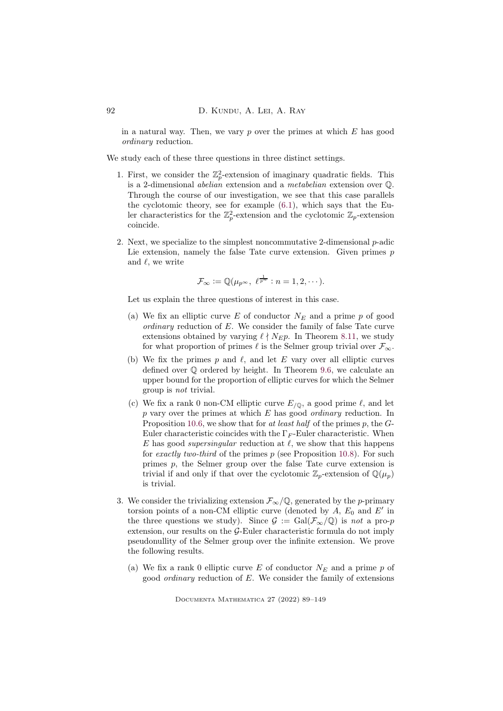in a natural way. Then, we vary  $p$  over the primes at which  $E$  has good ordinary reduction.

We study each of these three questions in three distinct settings.

- 1. First, we consider the  $\mathbb{Z}_p^2$ -extension of imaginary quadratic fields. This is a 2-dimensional abelian extension and a metabelian extension over Q. Through the course of our investigation, we see that this case parallels the cyclotomic theory, see for example [\(6.1\)](#page-18-0), which says that the Euler characteristics for the  $\mathbb{Z}_p^2$ -extension and the cyclotomic  $\mathbb{Z}_p$ -extension coincide.
- 2. Next, we specialize to the simplest noncommutative 2-dimensional p-adic Lie extension, namely the false Tate curve extension. Given primes  $p$ and  $\ell$ , we write

$$
\mathcal{F}_{\infty} := \mathbb{Q}(\mu_{p^{\infty}}, \ell^{\frac{1}{p^n}} : n = 1, 2, \cdots).
$$

Let us explain the three questions of interest in this case.

- (a) We fix an elliptic curve E of conductor  $N_E$  and a prime p of good ordinary reduction of  $E$ . We consider the family of false Tate curve extensions obtained by varying  $\ell \nmid N_E p$ . In Theorem [8.11,](#page-28-0) we study for what proportion of primes  $\ell$  is the Selmer group trivial over  $\mathcal{F}_{\infty}$ .
- (b) We fix the primes p and  $\ell$ , and let E vary over all elliptic curves defined over Q ordered by height. In Theorem [9.6,](#page-41-0) we calculate an upper bound for the proportion of elliptic curves for which the Selmer group is not trivial.
- (c) We fix a rank 0 non-CM elliptic curve  $E_{\sqrt{Q}}$ , a good prime  $\ell$ , and let  $p$  vary over the primes at which  $E$  has good *ordinary* reduction. In Proposition [10.6,](#page-48-0) we show that for at least half of the primes p, the  $G$ -Euler characteristic coincides with the  $\Gamma_F$ -Euler characteristic. When E has good *supersingular* reduction at  $\ell$ , we show that this happens for exactly two-third of the primes  $p$  (see Proposition [10.8\)](#page-49-1). For such primes p, the Selmer group over the false Tate curve extension is trivial if and only if that over the cyclotomic  $\mathbb{Z}_p$ -extension of  $\mathbb{Q}(\mu_p)$ is trivial.
- 3. We consider the trivializing extension  $\mathcal{F}_{\infty}/\mathbb{Q}$ , generated by the *p*-primary torsion points of a non-CM elliptic curve (denoted by  $A$ ,  $E_0$  and  $E'$  in the three questions we study). Since  $\mathcal{G} := \text{Gal}(\mathcal{F}_{\infty}/\mathbb{Q})$  is not a pro-p extension, our results on the G-Euler characteristic formula do not imply pseudonullity of the Selmer group over the infinite extension. We prove the following results.
	- (a) We fix a rank 0 elliptic curve E of conductor  $N_E$  and a prime p of good ordinary reduction of E. We consider the family of extensions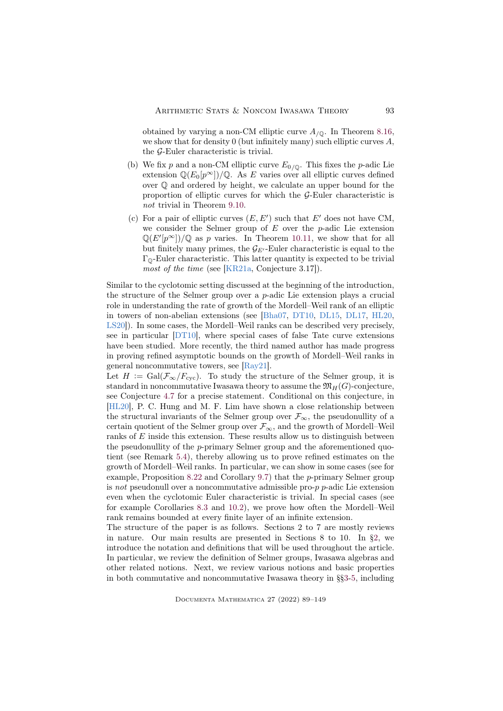obtained by varying a non-CM elliptic curve  $A_{\sqrt{Q}}$ . In Theorem [8.16,](#page-30-0) we show that for density 0 (but infinitely many) such elliptic curves  $A$ , the G-Euler characteristic is trivial.

- (b) We fix p and a non-CM elliptic curve  $E_{0/Q}$ . This fixes the p-adic Lie extension  $\mathbb{Q}(E_0[p^\infty])/\mathbb{Q}$ . As E varies over all elliptic curves defined over Q and ordered by height, we calculate an upper bound for the proportion of elliptic curves for which the G-Euler characteristic is not trivial in Theorem [9.10.](#page-44-0)
- (c) For a pair of elliptic curves  $(E, E')$  such that  $E'$  does not have CM, we consider the Selmer group of  $E$  over the  $p$ -adic Lie extension  $\mathbb{Q}(E'[p^{\infty}])/\mathbb{Q}$  as p varies. In Theorem [10.11,](#page-51-0) we show that for all but finitely many primes, the  $\mathcal{G}_{E'}$ -Euler characteristic is equal to the  $\Gamma_{\mathbb{Q}}$ -Euler characteristic. This latter quantity is expected to be trivial most of the time (see [\[KR21a,](#page-58-3) Conjecture 3.17]).

Similar to the cyclotomic setting discussed at the beginning of the introduction, the structure of the Selmer group over a p-adic Lie extension plays a crucial role in understanding the rate of growth of the Mordell–Weil rank of an elliptic in towers of non-abelian extensions (see [\[Bha07,](#page-55-4) [DT10,](#page-57-6) [DL15,](#page-56-2) [DL17,](#page-56-3) [HL20,](#page-57-7) [LS20\]](#page-58-5)). In some cases, the Mordell–Weil ranks can be described very precisely, see in particular [\[DT10\]](#page-57-6), where special cases of false Tate curve extensions have been studied. More recently, the third named author has made progress in proving refined asymptotic bounds on the growth of Mordell–Weil ranks in general noncommutative towers, see [\[Ray21\]](#page-59-3).

Let  $H := \text{Gal}(\mathcal{F}_{\infty}/F_{\text{cyc}})$ . To study the structure of the Selmer group, it is standard in noncommutative Iwasawa theory to assume the  $\mathfrak{M}_H(G)$ -conjecture, see Conjecture [4.7](#page-13-1) for a precise statement. Conditional on this conjecture, in [\[HL20\]](#page-57-7), P. C. Hung and M. F. Lim have shown a close relationship between the structural invariants of the Selmer group over  $\mathcal{F}_{\infty}$ , the pseudonullity of a certain quotient of the Selmer group over  $\mathcal{F}_\infty,$  and the growth of Mordell–Weil ranks of  $E$  inside this extension. These results allow us to distinguish between the pseudonullity of the p-primary Selmer group and the aforementioned quotient (see Remark [5.4\)](#page-17-0), thereby allowing us to prove refined estimates on the growth of Mordell–Weil ranks. In particular, we can show in some cases (see for example, Proposition [8.22](#page-34-0) and Corollary [9.7\)](#page-41-1) that the p-primary Selmer group is not pseudonull over a noncommutative admissible pro-p p-adic Lie extension even when the cyclotomic Euler characteristic is trivial. In special cases (see for example Corollaries [8.3](#page-25-0) and [10.2\)](#page-46-0), we prove how often the Mordell–Weil rank remains bounded at every finite layer of an infinite extension.

The structure of the paper is as follows. Sections 2 to 7 are mostly reviews in nature. Our main results are presented in Sections 8 to 10. In [§2,](#page-5-0) we introduce the notation and definitions that will be used throughout the article. In particular, we review the definition of Selmer groups, Iwasawa algebras and other related notions. Next, we review various notions and basic properties in both commutative and noncommutative Iwasawa theory in §[§3](#page-8-0)[-5,](#page-16-0) including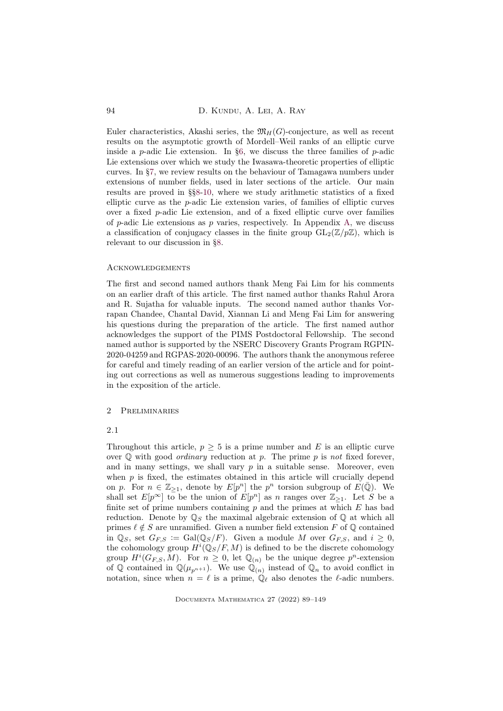94 D. KUNDU, A. LEI, A. RAY

Euler characteristics, Akashi series, the  $\mathfrak{M}_{H}(G)$ -conjecture, as well as recent results on the asymptotic growth of Mordell–Weil ranks of an elliptic curve inside a  $p$ -adic Lie extension. In [§6,](#page-18-1) we discuss the three families of  $p$ -adic Lie extensions over which we study the Iwasawa-theoretic properties of elliptic curves. In [§7,](#page-21-0) we review results on the behaviour of Tamagawa numbers under extensions of number fields, used in later sections of the article. Our main results are proved in §[§8-](#page-22-0)[10,](#page-45-0) where we study arithmetic statistics of a fixed elliptic curve as the p-adic Lie extension varies, of families of elliptic curves over a fixed p-adic Lie extension, and of a fixed elliptic curve over families of p-adic Lie extensions as p varies, respectively. In Appendix [A,](#page-52-0) we discuss a classification of conjugacy classes in the finite group  $GL_2(\mathbb{Z}/p\mathbb{Z})$ , which is relevant to our discussion in [§8.](#page-22-0)

### **ACKNOWLEDGEMENTS**

The first and second named authors thank Meng Fai Lim for his comments on an earlier draft of this article. The first named author thanks Rahul Arora and R. Sujatha for valuable inputs. The second named author thanks Vorrapan Chandee, Chantal David, Xiannan Li and Meng Fai Lim for answering his questions during the preparation of the article. The first named author acknowledges the support of the PIMS Postdoctoral Fellowship. The second named author is supported by the NSERC Discovery Grants Program RGPIN-2020-04259 and RGPAS-2020-00096. The authors thank the anonymous referee for careful and timely reading of an earlier version of the article and for pointing out corrections as well as numerous suggestions leading to improvements in the exposition of the article.

## <span id="page-5-0"></span>2 Preliminaries

### 2.1

Throughout this article,  $p \geq 5$  is a prime number and E is an elliptic curve over  $\mathbb Q$  with good *ordinary* reduction at p. The prime p is not fixed forever, and in many settings, we shall vary  $p$  in a suitable sense. Moreover, even when  $p$  is fixed, the estimates obtained in this article will crucially depend on p. For  $n \in \mathbb{Z}_{\geq 1}$ , denote by  $E[p^n]$  the  $p^n$  torsion subgroup of  $E(\overline{\mathbb{Q}})$ . We shall set  $E[p^{\infty}]$  to be the union of  $E[p^n]$  as n ranges over  $\mathbb{Z}_{\geq 1}$ . Let S be a finite set of prime numbers containing  $p$  and the primes at which  $E$  has bad reduction. Denote by  $\mathbb{Q}_S$  the maximal algebraic extension of  $\mathbb{Q}$  at which all primes  $\ell \notin S$  are unramified. Given a number field extension F of Q contained in  $\mathbb{Q}_S$ , set  $G_{F,S} := \text{Gal}(\mathbb{Q}_S/F)$ . Given a module M over  $G_{F,S}$ , and  $i \geq 0$ , the cohomology group  $H^{i}(\mathbb{Q}_S/F, M)$  is defined to be the discrete cohomology group  $H^i(G_{F,S}, M)$ . For  $n \geq 0$ , let  $\mathbb{Q}_{(n)}$  be the unique degree  $p^n$ -extension of Q contained in  $\mathbb{Q}(\mu_{p^{n+1}})$ . We use  $\mathbb{Q}_{(n)}$  instead of  $\mathbb{Q}_n$  to avoid conflict in notation, since when  $n = \ell$  is a prime,  $\mathbb{Q}_{\ell}$  also denotes the  $\ell$ -adic numbers.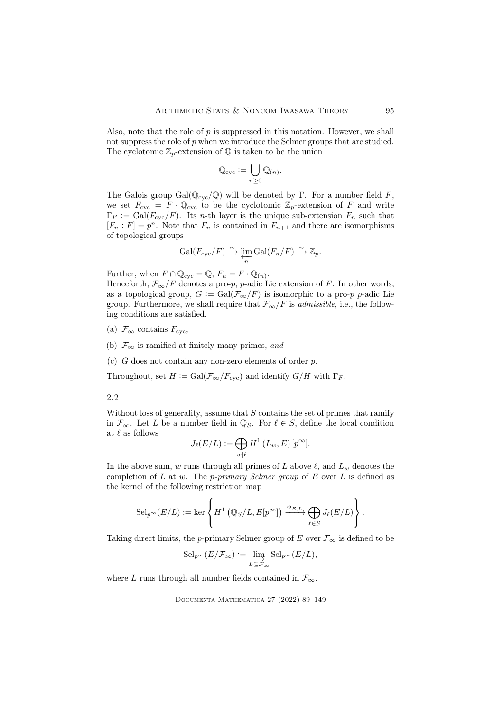Also, note that the role of  $p$  is suppressed in this notation. However, we shall not suppress the role of p when we introduce the Selmer groups that are studied. The cyclotomic  $\mathbb{Z}_p$ -extension of  $\mathbb Q$  is taken to be the union

$$
\mathbb{Q}_{\mathrm{cyc}}:=\bigcup_{n\geq 0}\mathbb{Q}_{(n)}.
$$

The Galois group  $Gal(Q_{\text{cyc}}/Q)$  will be denoted by Γ. For a number field F, we set  $F_{\rm cyc} = F \cdot \mathbb{Q}_{\rm cyc}$  to be the cyclotomic  $\mathbb{Z}_p$ -extension of F and write  $\Gamma_F := \text{Gal}(F_{\text{cyc}}/F)$ . Its *n*-th layer is the unique sub-extension  $F_n$  such that  $[F_n : F] = p^n$ . Note that  $F_n$  is contained in  $F_{n+1}$  and there are isomorphisms of topological groups

$$
\mathrm{Gal}(F_{\mathrm{cyc}}/F) \xrightarrow{\sim} \varprojlim_{n} \mathrm{Gal}(F_n/F) \xrightarrow{\sim} \mathbb{Z}_p.
$$

Further, when  $F \cap \mathbb{Q}_{\text{cyc}} = \mathbb{Q}, F_n = F \cdot \mathbb{Q}_{(n)}$ .

Henceforth,  $\mathcal{F}_{\infty}/F$  denotes a pro-*p*, *p*-adic Lie extension of F. In other words, as a topological group,  $G := \text{Gal}(\mathcal{F}_{\infty}/F)$  is isomorphic to a pro-p p-adic Lie group. Furthermore, we shall require that  $\mathcal{F}_{\infty}/F$  is *admissible*, i.e., the following conditions are satisfied.

(a)  $\mathcal{F}_{\infty}$  contains  $F_{\text{cyc}}$ ,

(b)  $\mathcal{F}_{\infty}$  is ramified at finitely many primes, and

(c)  $G$  does not contain any non-zero elements of order  $p$ .

Throughout, set  $H := \text{Gal}(\mathcal{F}_{\infty}/F_{\text{cyc}})$  and identify  $G/H$  with  $\Gamma_F$ .

2.2

Without loss of generality, assume that  $S$  contains the set of primes that ramify in  $\mathcal{F}_{\infty}$ . Let L be a number field in  $\mathbb{Q}_S$ . For  $\ell \in S$ , define the local condition at  $\ell$  as follows

$$
J_{\ell}(E/L) := \bigoplus_{w|\ell} H^1(L_w, E) [p^{\infty}].
$$

In the above sum, w runs through all primes of L above  $\ell$ , and  $L_w$  denotes the completion of L at w. The *p-primary Selmer group* of E over L is defined as the kernel of the following restriction map

$$
\mathrm{Sel}_{p^{\infty}}(E/L) := \ker \left\{ H^{1} \left( \mathbb{Q}_{S}/L, E[p^{\infty}] \right) \xrightarrow{\Phi_{E,L}} \bigoplus_{\ell \in S} J_{\ell}(E/L) \right\}.
$$

Taking direct limits, the p-primary Selmer group of E over  $\mathcal{F}_{\infty}$  is defined to be

$$
\mathrm{Sel}_{p^{\infty}}(E/\mathcal{F}_{\infty}) := \varinjlim_{L \subseteq \mathcal{F}_{\infty}} \mathrm{Sel}_{p^{\infty}}(E/L),
$$

where L runs through all number fields contained in  $\mathcal{F}_{\infty}$ .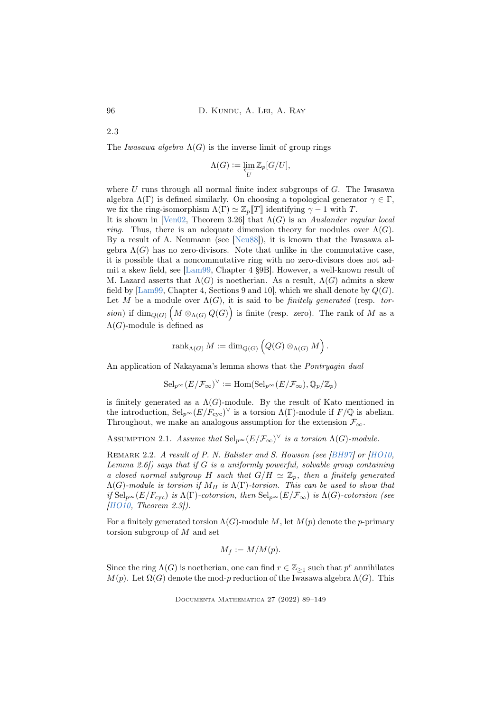2.3

The Iwasawa algebra  $\Lambda(G)$  is the inverse limit of group rings

$$
\Lambda(G):=\varprojlim_U \mathbb{Z}_p [G/U],
$$

where  $U$  runs through all normal finite index subgroups of  $G$ . The Iwasawa algebra  $\Lambda(\Gamma)$  is defined similarly. On choosing a topological generator  $\gamma \in \Gamma$ , we fix the ring-isomorphism  $\Lambda(\Gamma) \simeq \mathbb{Z}_p[[T]]$  identifying  $\gamma - 1$  with T.

It is shown in [\[Ven02,](#page-60-1) Theorem 3.26] that  $\Lambda(G)$  is an Auslander regular local *ring.* Thus, there is an adequate dimension theory for modules over  $\Lambda(G)$ . By a result of A. Neumann (see [\[Neu88\]](#page-59-4)), it is known that the Iwasawa algebra  $\Lambda(G)$  has no zero-divisors. Note that unlike in the commutative case, it is possible that a noncommutative ring with no zero-divisors does not admit a skew field, see [\[Lam99,](#page-58-6) Chapter 4 §9B]. However, a well-known result of M. Lazard asserts that  $\Lambda(G)$  is noetherian. As a result,  $\Lambda(G)$  admits a skew field by [\[Lam99,](#page-58-6) Chapter 4, Sections 9 and 10], which we shall denote by  $Q(G)$ . Let M be a module over  $\Lambda(G)$ , it is said to be *finitely generated* (resp. torsion) if  $\dim_{Q(G)} (M \otimes_{\Lambda(G)} Q(G))$  is finite (resp. zero). The rank of M as a  $\Lambda(G)$ -module is defined as

$$
rank_{\Lambda(G)} M := \dim_{Q(G)} \left( Q(G) \otimes_{\Lambda(G)} M \right).
$$

An application of Nakayama's lemma shows that the Pontryagin dual

$$
\mathrm{Sel}_{p^{\infty}}(E/\mathcal{F}_{\infty})^{\vee} := \mathrm{Hom}(\mathrm{Sel}_{p^{\infty}}(E/\mathcal{F}_{\infty}), \mathbb{Q}_p/\mathbb{Z}_p)
$$

is finitely generated as a  $\Lambda(G)$ -module. By the result of Kato mentioned in the introduction,  $\text{Sel}_{p^{\infty}}(E/F_{\text{cyc}})^{\vee}$  is a torsion  $\Lambda(\Gamma)$ -module if  $F/\mathbb{Q}$  is abelian. Throughout, we make an analogous assumption for the extension  $\mathcal{F}_{\infty}$ .

<span id="page-7-0"></span>ASSUMPTION 2.1. Assume that  $\text{Sel}_{p^{\infty}}(E/\mathcal{F}_{\infty})^{\vee}$  is a torsion  $\Lambda(G)$ -module.

<span id="page-7-1"></span>REMARK 2.2. A result of P. N. Balister and S. Howson (see [\[BH97\]](#page-55-0) or [\[HO10,](#page-57-8) Lemma 2.6]) says that if  $G$  is a uniformly powerful, solvable group containing a closed normal subgroup H such that  $G/H \simeq \mathbb{Z}_p$ , then a finitely generated  $\Lambda(G)$ -module is torsion if  $M_H$  is  $\Lambda(\Gamma)$ -torsion. This can be used to show that if  $\text{Sel}_{p^{\infty}}(E/F_{\text{cyc}})$  is  $\Lambda(\Gamma)$ -cotorsion, then  $\text{Sel}_{p^{\infty}}(E/\mathcal{F}_{\infty})$  is  $\Lambda(G)$ -cotorsion (see [\[HO10,](#page-57-8) Theorem 2.3]).

For a finitely generated torsion  $\Lambda(G)$ -module M, let  $M(p)$  denote the p-primary torsion subgroup of M and set

$$
M_f := M/M(p).
$$

Since the ring  $\Lambda(G)$  is noetherian, one can find  $r \in \mathbb{Z}_{\geq 1}$  such that  $p^r$  annihilates  $M(p)$ . Let  $\Omega(G)$  denote the mod-p reduction of the Iwasawa algebra  $\Lambda(G)$ . This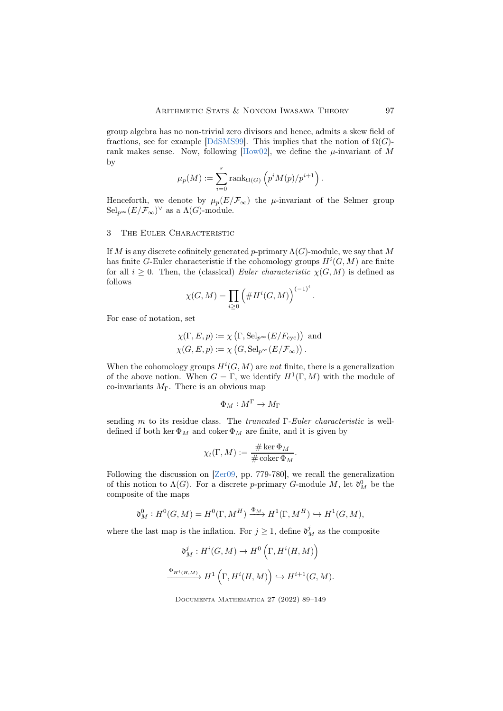group algebra has no non-trivial zero divisors and hence, admits a skew field of fractions, see for example [\[DdSMS99\]](#page-56-4). This implies that the notion of  $\Omega(G)$ -rank makes sense. Now, following [\[How02\]](#page-57-4), we define the  $\mu$ -invariant of M by

$$
\mu_p(M) := \sum_{i=0}^r \text{rank}_{\Omega(G)} \left( p^i M(p) / p^{i+1} \right).
$$

Henceforth, we denote by  $\mu_p(E/\mathcal{F}_\infty)$  the  $\mu$ -invariant of the Selmer group  $\operatorname{Sel}_{p^{\infty}}(E/\mathcal{F}_{\infty})^{\vee}$  as a  $\Lambda(G)$ -module.

### <span id="page-8-0"></span>3 The Euler Characteristic

If M is any discrete cofinitely generated p-primary  $\Lambda(G)$ -module, we say that M has finite G-Euler characteristic if the cohomology groups  $H^i(G, M)$  are finite for all  $i \geq 0$ . Then, the (classical) Euler characteristic  $\chi(G, M)$  is defined as follows (−1)<sup>i</sup>

$$
\chi(G, M) = \prod_{i \ge 0} \left( \#H^i(G, M) \right)^{(-1)}
$$

.

l.

For ease of notation, set

$$
\begin{aligned} \chi(\Gamma, E, p) &:= \chi\left(\Gamma, \operatorname{Sel}_{p^{\infty}}(E/F_{\operatorname{cyc}})\right) \text{ and } \\ \chi(G, E, p) &:= \chi\left(G, \operatorname{Sel}_{p^{\infty}}(E/\mathcal{F}_{\infty})\right). \end{aligned}
$$

When the cohomology groups  $H^i(G, M)$  are not finite, there is a generalization of the above notion. When  $G = \Gamma$ , we identify  $H^1(\Gamma, M)$  with the module of co-invariants  $M_{\Gamma}$ . There is an obvious map

$$
\Phi_M: M^{\Gamma} \to M_{\Gamma}
$$

sending m to its residue class. The *truncated*  $\Gamma$ -Euler *characteristic* is welldefined if both ker  $\Phi_M$  and coker  $\Phi_M$  are finite, and it is given by

$$
\chi_t(\Gamma, M) := \frac{\# \ker \Phi_M}{\# \operatorname{coker} \Phi_M}.
$$

Following the discussion on [\[Zer09,](#page-60-4) pp. 779-780], we recall the generalization of this notion to  $\Lambda(G)$ . For a discrete p-primary G-module M, let  $\mathfrak{d}^0_M$  be the composite of the maps

$$
\mathfrak{d}_{M}^{0}: H^{0}(G,M) = H^{0}(\Gamma, M^{H}) \xrightarrow{\Phi_{M}} H^{1}(\Gamma, M^{H}) \hookrightarrow H^{1}(G,M),
$$

where the last map is the inflation. For  $j \geq 1$ , define  $\mathfrak{d}_{M}^{j}$  as the composite

$$
\mathfrak{d}^j_M: H^i(G,M) \to H^0\left(\Gamma, H^i(H,M)\right)
$$
  

$$
\xrightarrow{\Phi_{H^i(H,M)}} H^1\left(\Gamma, H^i(H,M)\right) \hookrightarrow H^{i+1}(G,M).
$$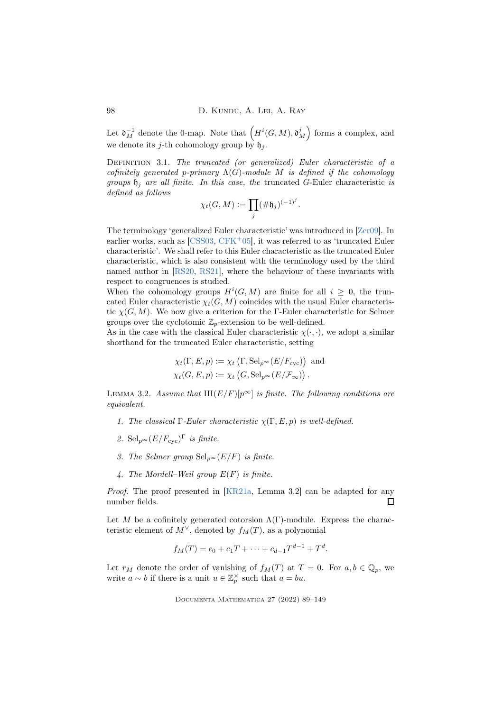Let  $\mathfrak{d}_{M}^{-1}$  denote the 0-map. Note that  $(H^{i}(G,M), \mathfrak{d}_{M}^{j})$  forms a complex, and we denote its *j*-th cohomology group by  $\mathfrak{h}_i$ .

DEFINITION 3.1. The truncated (or generalized) Euler characteristic of a cofinitely generated p-primary  $\Lambda(G)$ -module M is defined if the cohomology groups  $\mathfrak{h}_i$  are all finite. In this case, the truncated G-Euler characteristic is defined as follows

$$
\chi_t(G,M):=\prod_j(\#\mathfrak{h}_j)^{(-1)^j}.
$$

The terminology 'generalized Euler characteristic' was introduced in [\[Zer09\]](#page-60-4). In earlier works, such as  $[CSS03, CFK+05]$  $[CSS03, CFK+05]$  $[CSS03, CFK+05]$ , it was referred to as 'truncated Euler characteristic'. We shall refer to this Euler characteristic as the truncated Euler characteristic, which is also consistent with the terminology used by the third named author in [\[RS20,](#page-59-5) [RS21\]](#page-59-6), where the behaviour of these invariants with respect to congruences is studied.

When the cohomology groups  $H^i(G, M)$  are finite for all  $i \geq 0$ , the truncated Euler characteristic  $\chi_t(G, M)$  coincides with the usual Euler characteristic  $\chi(G, M)$ . We now give a criterion for the Γ-Euler characteristic for Selmer groups over the cyclotomic  $\mathbb{Z}_p$ -extension to be well-defined.

As in the case with the classical Euler characteristic  $\chi(\cdot, \cdot)$ , we adopt a similar shorthand for the truncated Euler characteristic, setting

$$
\chi_t(\Gamma, E, p) := \chi_t(\Gamma, \text{Sel}_{p^{\infty}}(E/F_{\text{cyc}}))
$$
 and  
 $\chi_t(G, E, p) := \chi_t(G, \text{Sel}_{p^{\infty}}(E/\mathcal{F}_{\infty}))$ .

<span id="page-9-0"></span>LEMMA 3.2. Assume that  $\text{III}(E/F)[p^{\infty}]$  is finite. The following conditions are equivalent.

- 1. The classical  $\Gamma$ -Euler characteristic  $\chi(\Gamma, E, p)$  is well-defined.
- 2. Sel $_{p^{\infty}}(E/F_{\text{cyc}})^{\Gamma}$  is finite.
- 3. The Selmer group  $\text{Sel}_{p^{\infty}}(E/F)$  is finite.
- 4. The Mordell–Weil group  $E(F)$  is finite.

Proof. The proof presented in [\[KR21a,](#page-58-3) Lemma 3.2] can be adapted for any number fields. П

Let M be a cofinitely generated cotorsion  $\Lambda(\Gamma)$ -module. Express the characteristic element of  $M^{\vee}$ , denoted by  $f_M(T)$ , as a polynomial

$$
f_M(T) = c_0 + c_1 T + \dots + c_{d-1} T^{d-1} + T^d.
$$

Let  $r_M$  denote the order of vanishing of  $f_M(T)$  at  $T = 0$ . For  $a, b \in \mathbb{Q}_p$ , we write  $a \sim b$  if there is a unit  $u \in \mathbb{Z}_p^{\times}$  such that  $a = bu$ .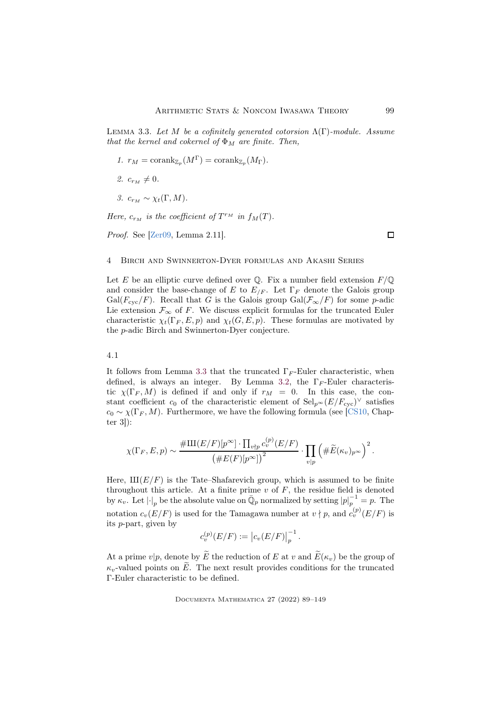<span id="page-10-1"></span>LEMMA 3.3. Let M be a cofinitely generated cotorsion  $\Lambda(\Gamma)$ -module. Assume that the kernel and cokernel of  $\Phi_M$  are finite. Then,

- 1.  $r_M = \text{corank}_{\mathbb{Z}_p}(M^{\Gamma}) = \text{corank}_{\mathbb{Z}_p}(M_{\Gamma}).$
- 2.  $c_{r_M} \neq 0$ .
- 3.  $c_{r_M} \sim \chi_t(\Gamma, M)$ .

Here,  $c_{r_M}$  is the coefficient of  $T^{r_M}$  in  $f_M(T)$ .

Proof. See [\[Zer09,](#page-60-4) Lemma 2.11].

#### <span id="page-10-0"></span>4 Birch and Swinnerton-Dyer formulas and Akashi Series

Let E be an elliptic curve defined over Q. Fix a number field extension  $F/\mathbb{Q}$ and consider the base-change of E to  $E_{/F}$ . Let  $\Gamma_F$  denote the Galois group Gal( $F_{\rm cyc}/F$ ). Recall that G is the Galois group Gal( $\mathcal{F}_{\infty}/F$ ) for some p-adic Lie extension  $\mathcal{F}_{\infty}$  of F. We discuss explicit formulas for the truncated Euler characteristic  $\chi_t(\Gamma_F, E, p)$  and  $\chi_t(G, E, p)$ . These formulas are motivated by the p-adic Birch and Swinnerton-Dyer conjecture.

4.1

It follows from Lemma [3](#page-10-1).3 that the truncated  $\Gamma_F$ -Euler characteristic, when defined, is always an integer. By Lemma [3.2,](#page-9-0) the  $\Gamma_F$ -Euler characteristic  $\chi(\Gamma_F, M)$  is defined if and only if  $r_M = 0$ . In this case, the constant coefficient  $c_0$  of the characteristic element of  $\text{Sel}_{p^{\infty}}(E/F_{\text{cyc}})^{\vee}$  satisfies  $c_0 \sim \chi(\Gamma_F, M)$ . Furthermore, we have the following formula (see [\[CS10,](#page-56-5) Chapter 3]):

$$
\chi(\Gamma_F, E, p) \sim \frac{\# \text{III}(E/F)[p^{\infty}] \cdot \prod_{v \nmid p} c_v^{(p)}(E/F)}{\left(\# E(F)[p^{\infty}]\right)^2} \cdot \prod_{v \mid p} \left(\# \widetilde{E}(\kappa_v)_{p^{\infty}}\right)^2.
$$

Here,  $\text{III}(E/F)$  is the Tate–Shafarevich group, which is assumed to be finite throughout this article. At a finite prime  $v$  of  $F$ , the residue field is denoted by  $\kappa_v$ . Let  $\left| \cdot \right|_p$  be the absolute value on  $\overline{\mathbb{Q}}_p$  normalized by setting  $\left| p \right|_p^{-1} = p$ . The notation  $c_v(E/F)$  is used for the Tamagawa number at  $v \nmid p$ , and  $c_v^{(p)}(E/F)$  is its p-part, given by

$$
c_v^{(p)}(E/F) := |c_v(E/F)|_p^{-1}.
$$

At a prime  $v|p$ , denote by  $\widetilde{E}$  the reduction of E at v and  $\widetilde{E}(\kappa_v)$  be the group of  $\kappa_v$ -valued points on  $\widetilde{E}$ . The next result provides conditions for the truncated Γ-Euler characteristic to be defined.

Documenta Mathematica 27 (2022) 89–149

 $\Box$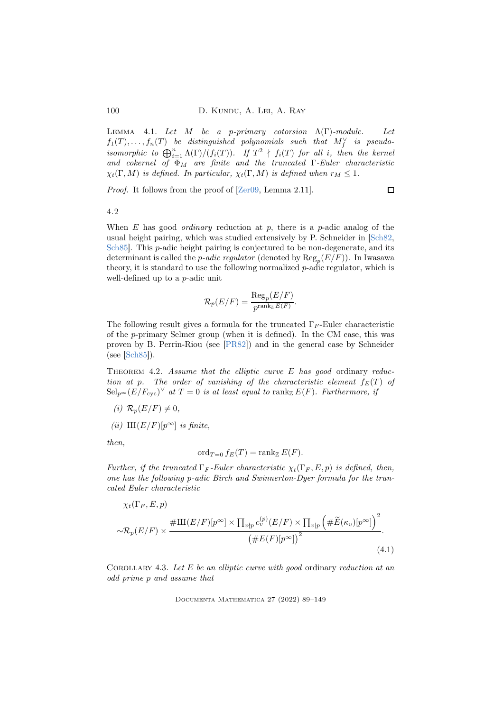<span id="page-11-2"></span>LEMMA 4.1. Let  $M$  be a p-primary cotorsion  $\Lambda(\Gamma)$ -module. Let  $f_1(T), \ldots, f_n(T)$  be distinguished polynomials such that  $M_f^{\vee}$  is pseudoisomorphic to  $\bigoplus_{i=1}^n \Lambda(\Gamma)/(f_i(T))$ . If  $T^2 \nmid f_i(T)$  for all i, then the kernel and cokernel of  $\Phi_M$  are finite and the truncated  $\Gamma$ -Euler characteristic  $\chi_t(\Gamma, M)$  is defined. In particular,  $\chi_t(\Gamma, M)$  is defined when  $r_M \leq 1$ .

Proof. It follows from the proof of  $[Zer09, \text{Lemma } 2.11]$ .

 $\Box$ 

4.2

When  $E$  has good *ordinary* reduction at  $p$ , there is a  $p$ -adic analog of the usual height pairing, which was studied extensively by P. Schneider in [\[Sch82,](#page-59-7) Sch85. This *p*-adic height pairing is conjectured to be non-degenerate, and its determinant is called the *p-adic regulator* (denoted by  $\text{Reg}_p(E/F)$ ). In Iwasawa theory, it is standard to use the following normalized  $p$ -adic regulator, which is well-defined up to a p-adic unit

$$
\mathcal{R}_p(E/F) = \frac{\text{Reg}_p(E/F)}{p^{\text{rank}_{\mathbb{Z}} E(F)}}.
$$

The following result gives a formula for the truncated  $\Gamma_F$ -Euler characteristic of the p-primary Selmer group (when it is defined). In the CM case, this was proven by B. Perrin-Riou (see [\[PR82\]](#page-59-9)) and in the general case by Schneider (see [\[Sch85\]](#page-59-8)).

<span id="page-11-1"></span>THEOREM 4.2. Assume that the elliptic curve E has good ordinary reduction at p. The order of vanishing of the characteristic element  $f_E(T)$  of  $\operatorname{Sel}_{p^{\infty}}(E/F_{\mathrm{cyc}})^{\vee}$  at  $T=0$  is at least equal to  $\operatorname{rank}_{\mathbb{Z}}E(F)$ . Furthermore, if

- (i)  $\mathcal{R}_p(E/F) \neq 0$ ,
- (ii)  $\text{III}(E/F)[p^{\infty}]$  is finite,

then,

<span id="page-11-0"></span>
$$
\operatorname{ord}_{T=0} f_E(T) = \operatorname{rank}_{\mathbb{Z}} E(F).
$$

Further, if the truncated  $\Gamma_F$ -Euler characteristic  $\chi_t(\Gamma_F, E, p)$  is defined, then, one has the following p-adic Birch and Swinnerton-Dyer formula for the truncated Euler characteristic

$$
\chi_t(\Gamma_F, E, p)
$$
  

$$
\sim \mathcal{R}_p(E/F) \times \frac{\# \amalg (E/F)[p^{\infty}] \times \prod_{v \nmid p} c_v^{(p)}(E/F) \times \prod_{v \mid p} \left( \# \widetilde{E}(\kappa_v)[p^{\infty}] \right)^2}{\left( \# E(F)[p^{\infty}] \right)^2}.
$$
\n(4.1)

COROLLARY 4.3. Let  $E$  be an elliptic curve with good ordinary reduction at an odd prime p and assume that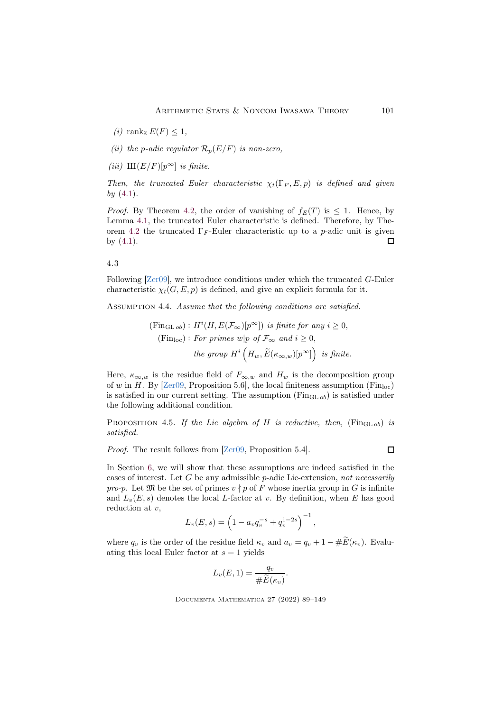(i) rank  $E(F) \leq 1$ ,

(ii) the p-adic regulator  $\mathcal{R}_p(E/F)$  is non-zero,

(iii)  $\text{III}(E/F)[p^{\infty}]$  is finite.

Then, the truncated Euler characteristic  $\chi_t(\Gamma_F, E, p)$  is defined and given by  $(4.1)$ .

*Proof.* By Theorem [4.2,](#page-11-1) the order of vanishing of  $f_E(T)$  is  $\leq 1$ . Hence, by Lemma [4.1,](#page-11-2) the truncated Euler characteristic is defined. Therefore, by The-orem [4.2](#page-11-1) the truncated  $\Gamma_F$ -Euler characteristic up to a p-adic unit is given by  $(4.1)$ .  $\Box$ 

# 4.3

Following [\[Zer09\]](#page-60-4), we introduce conditions under which the truncated G-Euler characteristic  $\chi_t(G, E, p)$  is defined, and give an explicit formula for it.

<span id="page-12-1"></span>ASSUMPTION 4.4. Assume that the following conditions are satisfied.

$$
\begin{aligned} \n(\text{Fin}_{\text{GL ob}}) : H^i(H, E(\mathcal{F}_{\infty})[p^{\infty}]) \n\text{ is finite for any } i \ge 0, \\ \n(\text{Fin}_{\text{loc}}) : \n\text{For primes } w|p \text{ of } \mathcal{F}_{\infty} \text{ and } i \ge 0, \\ \n\text{the group } H^i\left(H_w, \widetilde{E}(\kappa_{\infty, w})[p^{\infty}]\right) \n\text{ is finite.} \n\end{aligned}
$$

Here,  $\kappa_{\infty,w}$  is the residue field of  $F_{\infty,w}$  and  $H_w$  is the decomposition group of w in H. By  $[Zero9, Proposition 5.6]$ , the local finiteness assumption  $(Fin<sub>loc</sub>)$ is satisfied in our current setting. The assumption ( $\text{Fin}_{\text{GL}, ob}$ ) is satisfied under the following additional condition.

<span id="page-12-0"></span>PROPOSITION 4.5. If the Lie algebra of H is reductive, then,  $(\text{Fin}_{\text{GL ob}})$  is satisfied.

Proof. The result follows from [\[Zer09,](#page-60-4) Proposition 5.4].

 $\Box$ 

In Section [6,](#page-18-1) we will show that these assumptions are indeed satisfied in the cases of interest. Let  $G$  be any admissible  $p$ -adic Lie-extension, not necessarily pro-p. Let  $\mathfrak M$  be the set of primes  $v \nmid p$  of F whose inertia group in G is infinite and  $L_v(E, s)$  denotes the local L-factor at v. By definition, when E has good reduction at  $v$ ,

$$
L_v(E, s) = \left(1 - a_v q_v^{-s} + q_v^{1-2s}\right)^{-1},
$$

where  $q_v$  is the order of the residue field  $\kappa_v$  and  $a_v = q_v + 1 - \#\widetilde{E}(\kappa_v)$ . Evaluating this local Euler factor at  $s = 1$  yields

$$
L_v(E,1) = \frac{q_v}{\# \widetilde{E}(\kappa_v)}.
$$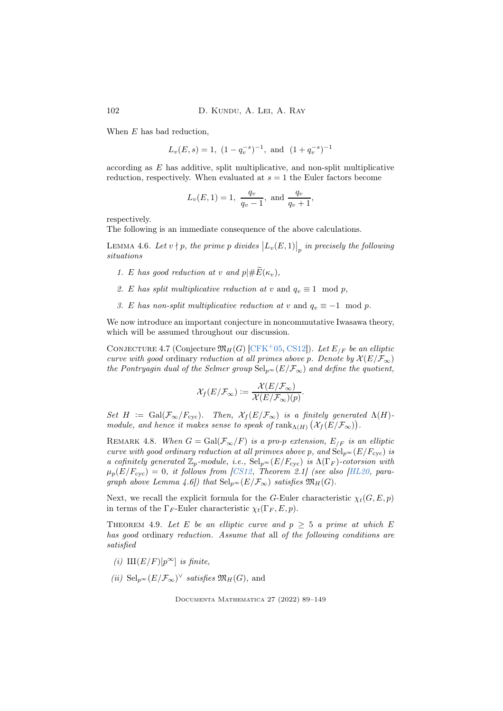When E has bad reduction,

$$
L_v(E, s) = 1
$$
,  $(1 - q_v^{-s})^{-1}$ , and  $(1 + q_v^{-s})^{-1}$ 

according as E has additive, split multiplicative, and non-split multiplicative reduction, respectively. When evaluated at  $s = 1$  the Euler factors become

$$
L_v(E, 1) = 1
$$
,  $\frac{q_v}{q_v - 1}$ , and  $\frac{q_v}{q_v + 1}$ ,

respectively.

The following is an immediate consequence of the above calculations.

<span id="page-13-2"></span>LEMMA 4.6. Let  $v \nmid p$ , the prime  $p$  divides  $\big|L_v(E,1)\big|_p$  in precisely the following situations

- 1. E has good reduction at v and  $p \mid \# \widetilde{E}(\kappa_v)$ ,
- 2. E has split multiplicative reduction at v and  $q_v \equiv 1 \mod p$ ,
- 3. E has non-split multiplicative reduction at v and  $q_v \equiv -1 \mod p$ .

We now introduce an important conjecture in noncommutative Iwasawa theory, which will be assumed throughout our discussion.

<span id="page-13-1"></span>CONJECTURE 4.7 (Conjecture  $\mathfrak{M}_H(G)$  [\[CFK](#page-55-2)<sup>+</sup>05, [CS12\]](#page-56-6)). Let  $E_{/F}$  be an elliptic curve with good ordinary reduction at all primes above p. Denote by  $\mathcal{X}(E/\mathcal{F}_{\infty})$ the Pontryagin dual of the Selmer group  $\text{Sel}_{p^{\infty}}(E/\mathcal{F}_{\infty})$  and define the quotient,

$$
\mathcal{X}_f(E/\mathcal{F}_{\infty}) := \frac{\mathcal{X}(E/\mathcal{F}_{\infty})}{\mathcal{X}(E/\mathcal{F}_{\infty})(p)}.
$$

Set  $H := \text{Gal}(\mathcal{F}_{\infty}/F_{\text{cyc}})$ . Then,  $\mathcal{X}_f(E/\mathcal{F}_{\infty})$  is a finitely generated  $\Lambda(H)$ module, and hence it makes sense to speak of  $\operatorname{rank}_{\Lambda(H)}(\mathcal{X}_f(E/\mathcal{F}_{\infty}))$ .

REMARK 4.8. When  $G = \text{Gal}(\mathcal{F}_{\infty}/F)$  is a pro-p extension,  $E_{/F}$  is an elliptic curve with good ordinary reduction at all primves above p, and  $\operatorname{Sel}_{p^{\infty}}(E/F_{\text{cyc}})$  is a cofinitely generated  $\mathbb{Z}_p$ -module, i.e.,  $\text{Sel}_{p^{\infty}}(E/F_{\text{cyc}})$  is  $\Lambda(\Gamma_F)$ -cotorsion with  $\mu_p(E/F_{\text{cyc}}) = 0$ , it follows from [\[CS12,](#page-56-6) Theorem 2.1] (see also [\[HL20,](#page-57-7) paragraph above Lemma 4.6]) that  $\text{Sel}_{p^{\infty}}(E/\mathcal{F}_{\infty})$  satisfies  $\mathfrak{M}_{H}(G)$ .

Next, we recall the explicit formula for the G-Euler characteristic  $\chi_t(G, E, p)$ in terms of the  $\Gamma_F$ -Euler characteristic  $\chi_t(\Gamma_F, E, p)$ .

<span id="page-13-0"></span>THEOREM 4.9. Let E be an elliptic curve and  $p \geq 5$  a prime at which E has good ordinary reduction. Assume that all of the following conditions are satisfied

- (i)  $\text{III}(E/F)[p^{\infty}]$  is finite,
- (*ii*) Sel<sub>p</sub> $\in$   $(E/\mathcal{F}_{\infty})^{\vee}$  *satisfies*  $\mathfrak{M}_H(G)$ , and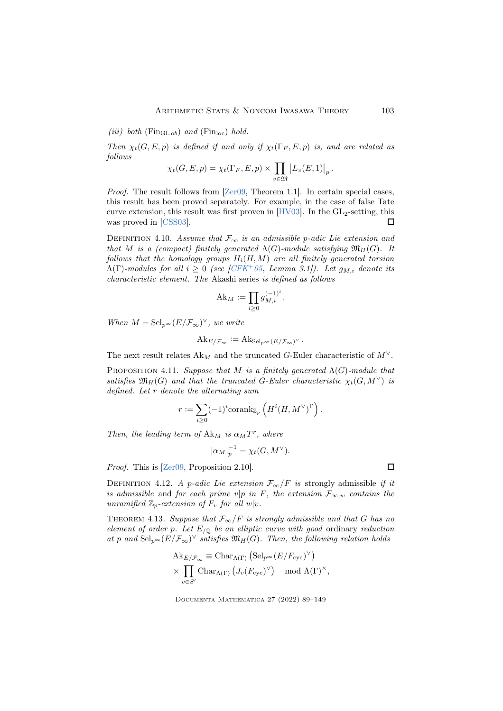(iii) both ( $\text{Fin}_{\text{GL ob}}$ ) and ( $\text{Fin}_{\text{loc}}$ ) hold.

Then  $\chi_t(G, E, p)$  is defined if and only if  $\chi_t(\Gamma_F, E, p)$  is, and are related as follows

$$
\chi_t(G, E, p) = \chi_t(\Gamma_F, E, p) \times \prod_{v \in \mathfrak{M}} \left| L_v(E, 1) \right|_p.
$$

*Proof.* The result follows from  $\left[{\rm Zer}09, {\rm Theorem 1.1}\right]$ . In certain special cases, this result has been proved separately. For example, in the case of false Tate curve extension, this result was first proven in  $[HV03]$ . In the  $GL_2$ -setting, this was proved in [\[CSS03\]](#page-56-0).  $\Box$ 

DEFINITION 4.10. Assume that  $\mathcal{F}_{\infty}$  is an admissible p-adic Lie extension and that M is a (compact) finitely generated  $\Lambda(G)$ -module satisfying  $\mathfrak{M}_{H}(G)$ . It follows that the homology groups  $H_i(H, M)$  are all finitely generated torsion  $\Lambda(\Gamma)$ -modules for all  $i \geq 0$  (see [\[CFK](#page-55-2)<sup>+</sup>05, Lemma 3.1]). Let  $g_{M,i}$  denote its characteristic element. The Akashi series is defined as follows

$$
Ak_M := \prod_{i \ge 0} g_{M,i}^{(-1)^i}.
$$

When  $M = \text{Sel}_{p^{\infty}}(E/\mathcal{F}_{\infty})^{\vee}$ , we write

$$
\mathrm{Ak}_{E/\mathcal{F}_{\infty}}:=\mathrm{Ak}_{\mathrm{Sel}_{p^{\infty}}(E/\mathcal{F}_{\infty})^{\vee}}.
$$

The next result relates  $Ak_M$  and the truncated G-Euler characteristic of  $M^{\vee}$ .

<span id="page-14-0"></span>PROPOSITION 4.11. Suppose that M is a finitely generated  $\Lambda(G)$ -module that satisfies  $\mathfrak{M}_H(G)$  and that the truncated G-Euler characteristic  $\chi_t(G, M^{\vee})$  is defined. Let r denote the alternating sum

$$
r := \sum_{i \geq 0} (-1)^i \text{corank}_{\mathbb{Z}_p} \left( H^i(H, M^{\vee})^{\Gamma} \right).
$$

Then, the leading term of  $A k_M$  is  $\alpha_M T^r$ , where

$$
|\alpha_M|_p^{-1} = \chi_t(G, M^\vee).
$$

Proof. This is [\[Zer09,](#page-60-4) Proposition 2.10].

DEFINITION 4.12. A p-adic Lie extension  $\mathcal{F}_{\infty}/F$  is strongly admissible if it is admissible and for each prime v|p in F, the extension  $\mathcal{F}_{\infty,w}$  contains the unramified  $\mathbb{Z}_p$ -extension of  $F_v$  for all  $w|v$ .

THEOREM 4.13. Suppose that  $\mathcal{F}_{\infty}/F$  is strongly admissible and that G has no element of order p. Let  $E_{/\mathbb{Q}}$  be an elliptic curve with good ordinary reduction at p and  $\text{Sel}_{p^{\infty}}(E/\mathcal{F}_{\infty})^{\vee}$  satisfies  $\mathfrak{M}_{H}(G)$ . Then, the following relation holds

$$
\begin{aligned} \mathrm{Ak}_{E/\mathcal{F}_{\infty}} &\equiv \mathrm{Char}_{\Lambda(\Gamma)} \left( \mathrm{Sel}_{p^{\infty}}(E/F_{\mathrm{cyc}})^{\vee} \right) \\ &\times \prod_{v \in S'} \mathrm{Char}_{\Lambda(\Gamma)} \left( J_v(F_{\mathrm{cyc}})^{\vee} \right) \mod \Lambda(\Gamma)^{\times}, \end{aligned}
$$

Documenta Mathematica 27 (2022) 89–149

 $\Box$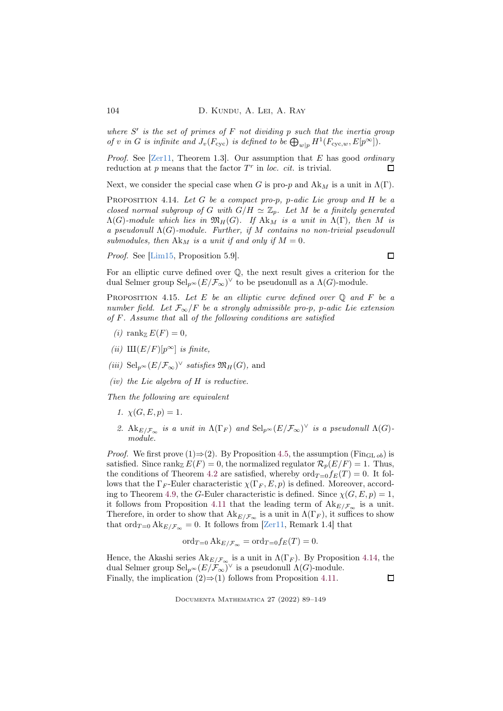where  $S'$  is the set of primes of  $F$  not dividing  $p$  such that the inertia group of v in G is infinite and  $J_v(F_{\text{cyc}})$  is defined to be  $\bigoplus_{w|p} H^1(F_{\text{cyc},w}, E[p^\infty]).$ 

*Proof.* See [\[Zer11,](#page-60-5) Theorem 1.3]. Our assumption that E has good *ordinary* reduction at  $p$  means that the factor  $T^r$  in loc. cit. is trivial. П

Next, we consider the special case when G is pro-p and  $\text{Ak}_M$  is a unit in  $\Lambda(\Gamma)$ .

<span id="page-15-0"></span>PROPOSITION 4.14. Let G be a compact pro-p, p-adic Lie group and H be a closed normal subgroup of G with  $G/H \simeq \mathbb{Z}_p$ . Let M be a finitely generated  $\Lambda(G)$ -module which lies in  $\mathfrak{M}_H(G)$ . If  $\mathbf{A} \mathbf{k}_M$  is a unit in  $\Lambda(\Gamma)$ , then M is a pseudonull  $\Lambda(G)$ -module. Further, if M contains no non-trivial pseudonull submodules, then  $\mathbf{A}\mathbf{k}_M$  is a unit if and only if  $M = 0$ .

Proof. See [\[Lim15,](#page-58-7) Proposition 5.9].

 $\Box$ 

For an elliptic curve defined over Q, the next result gives a criterion for the dual Selmer group  $\mathrm{Sel}_{p^{\infty}}(E/\mathcal{F}_{\infty})^{\vee}$  to be pseudonull as a  $\Lambda(G)$ -module.

<span id="page-15-1"></span>PROPOSITION 4.15. Let E be an elliptic curve defined over  $\mathbb Q$  and F be a number field. Let  $\mathcal{F}_{\infty}/F$  be a strongly admissible pro-p, p-adic Lie extension of F. Assume that all of the following conditions are satisfied

- (i) rank  $E(F) = 0$ ,
- (ii)  $\text{III}(E/F)[p^{\infty}]$  is finite,
- (iii) Sel<sub>p</sub> $\in (E/\mathcal{F}_{\infty})^{\vee}$  satisfies  $\mathfrak{M}_H(G)$ , and
- (iv) the Lie algebra of  $H$  is reductive.

Then the following are equivalent

- 1.  $\chi(G, E, p) = 1$ .
- 2.  $\text{Ak}_{E/\mathcal{F}_{\infty}}$  is a unit in  $\Lambda(\Gamma_F)$  and  $\text{Sel}_{p^{\infty}}(E/\mathcal{F}_{\infty})^{\vee}$  is a pseudonull  $\Lambda(G)$ module.

*Proof.* We first prove (1)⇒(2). By Proposition [4.5,](#page-12-0) the assumption (Fin<sub>GL ob</sub>) is satisfied. Since rank  $E(F) = 0$ , the normalized regulator  $\mathcal{R}_p(E/F) = 1$ . Thus, the conditions of Theorem [4.2](#page-11-1) are satisfied, whereby  $\text{ord}_{T=0}f_E(T) = 0$ . It follows that the  $\Gamma_F$ -Euler characteristic  $\chi(\Gamma_F, E, p)$  is defined. Moreover, accord-ing to Theorem [4.9,](#page-13-0) the G-Euler characteristic is defined. Since  $\chi(G, E, p) = 1$ , it follows from Proposition [4.11](#page-14-0) that the leading term of  $Ak_{E/F_{\infty}}$  is a unit. Therefore, in order to show that  $\text{Ak}_{E/\mathcal{F}_{\infty}}$  is a unit in  $\Lambda(\Gamma_F)$ , it suffices to show that ord $T_{\text{=0}}$  Ak<sub>E/F<sub>∞</sub> = 0. It follows from [\[Zer11,](#page-60-5) Remark 1.4] that</sub>

$$
\operatorname{ord}_{T=0} \operatorname{Ak}_{E/\mathcal{F}_{\infty}} = \operatorname{ord}_{T=0} f_E(T) = 0.
$$

Hence, the Akashi series  $\text{Ak}_{E/F_{\infty}}$  is a unit in  $\Lambda(\Gamma_F)$ . By Proposition [4.14,](#page-15-0) the dual Selmer group  $\text{Sel}_{p^{\infty}}(E/\mathcal{F}_{\infty})^{\vee}$  is a pseudonull  $\Lambda(G)$ -module. Finally, the implication  $(2) \Rightarrow (1)$  follows from Proposition [4.11.](#page-14-0)  $\Box$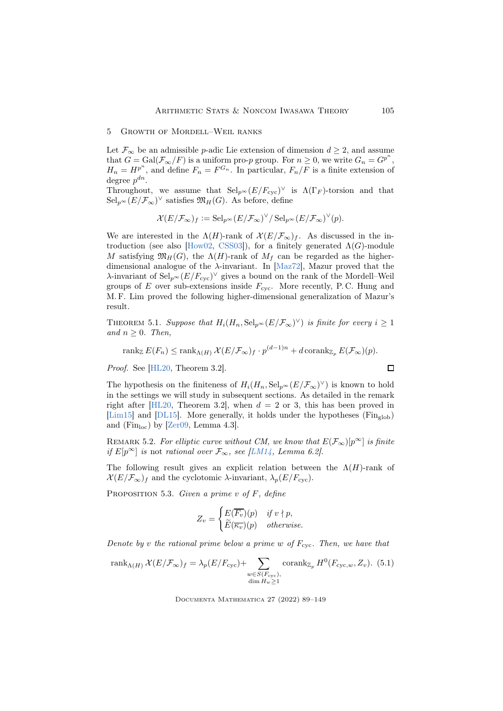# <span id="page-16-0"></span>5 Growth of Mordell–Weil ranks

Let  $\mathcal{F}_{\infty}$  be an admissible p-adic Lie extension of dimension  $d \geq 2$ , and assume that  $G = \text{Gal}(\mathcal{F}_{\infty}/F)$  is a uniform pro-p group. For  $n \geq 0$ , we write  $G_n = G^{p^n}$ ,  $H_n = H^{p^n}$ , and define  $F_n = F^{G_n}$ . In particular,  $F_n/F$  is a finite extension of degree  $p^{dn}$ .

Throughout, we assume that  $\text{Sel}_{p^{\infty}}(E/F_{\text{cyc}})^{\vee}$  is  $\Lambda(\Gamma_F)$ -torsion and that  $\operatorname{Sel}_{p^{\infty}}(E/\mathcal{F}_{\infty})^{\vee}$  satisfies  $\mathfrak{M}_{H}(G)$ . As before, define

$$
\mathcal{X}(E/\mathcal{F}_{\infty})_f := \mathrm{Sel}_{p^{\infty}}(E/\mathcal{F}_{\infty})^{\vee}/ \mathrm{Sel}_{p^{\infty}}(E/\mathcal{F}_{\infty})^{\vee}(p).
$$

We are interested in the  $\Lambda(H)$ -rank of  $\mathcal{X}(E/\mathcal{F}_{\infty})_f$ . As discussed in the in-troduction (see also [\[How02,](#page-57-4) [CSS03\]](#page-56-0)), for a finitely generated  $\Lambda(G)$ -module M satisfying  $\mathfrak{M}_H(G)$ , the  $\Lambda(H)$ -rank of  $M_f$  can be regarded as the higherdimensional analogue of the  $\lambda$ -invariant. In [\[Maz72\]](#page-58-1), Mazur proved that the  $\lambda$ -invariant of  $\text{Sel}_{p^{\infty}}(E/F_{\text{cyc}})^{\vee}$  gives a bound on the rank of the Mordell–Weil groups of  $E$  over sub-extensions inside  $F_{\text{cyc}}$ . More recently, P.C. Hung and M. F. Lim proved the following higher-dimensional generalization of Mazur's result.

<span id="page-16-3"></span>THEOREM 5.1. Suppose that  $H_i(H_n, \text{Sel}_{p^\infty}(E/\mathcal{F}_\infty)^\vee)$  is finite for every  $i \geq 1$ and  $n \geq 0$ . Then,

$$
\operatorname{rank}_{\mathbb{Z}} E(F_n) \le \operatorname{rank}_{\Lambda(H)} \mathcal{X}(E/\mathcal{F}_{\infty})_f \cdot p^{(d-1)n} + d \operatorname{corank}_{\mathbb{Z}_p} E(\mathcal{F}_{\infty})(p).
$$

Proof. See [\[HL20,](#page-57-7) Theorem 3.2].

The hypothesis on the finiteness of  $H_i(H_n, \text{Sel}_{p^\infty}(E/\mathcal{F}_\infty)^\vee)$  is known to hold in the settings we will study in subsequent sections. As detailed in the remark right after [\[HL20,](#page-57-7) Theorem 3.2], when  $d = 2$  or 3, this has been proved in [\[Lim15\]](#page-58-7) and [\[DL15\]](#page-56-2). More generally, it holds under the hypotheses  $(\text{Fin}_{\text{glob}})$ and (Fin<sub>loc</sub>) by [\[Zer09,](#page-60-4) Lemma 4.3].

<span id="page-16-4"></span>REMARK 5.2. For elliptic curve without CM, we know that  $E(\mathcal{F}_{\infty})[p^{\infty}]$  is finite if E[p<sup>∞</sup>] is not rational over  $\mathcal{F}_{\infty}$ , see [\[LM14,](#page-58-8) Lemma 6.2].

The following result gives an explicit relation between the  $\Lambda(H)$ -rank of  $\mathcal{X}(E/\mathcal{F}_{\infty})_f$  and the cyclotomic  $\lambda$ -invariant,  $\lambda_p(E/F_{\text{cyc}})$ .

<span id="page-16-1"></span>PROPOSITION 5.3. Given a prime v of  $F$ , define

$$
Z_v = \begin{cases} E(\overline{F_v})(p) & \text{if } v \nmid p, \\ \widetilde{E}(\overline{\kappa_v})(p) & \text{otherwise.} \end{cases}
$$

Denote by v the rational prime below a prime w of  $F_{\rm cyc}$ . Then, we have that

$$
\operatorname{rank}_{\Lambda(H)} \mathcal{X}(E/\mathcal{F}_{\infty})_f = \lambda_p(E/F_{\text{cyc}}) + \sum_{\substack{w \in S(F_{\text{cyc}}),\\ \dim H_w \ge 1}} \operatorname{corank}_{\mathbb{Z}_p} H^0(F_{\text{cyc},w}, Z_v). \tag{5.1}
$$

Documenta Mathematica 27 (2022) 89–149

<span id="page-16-2"></span> $\Box$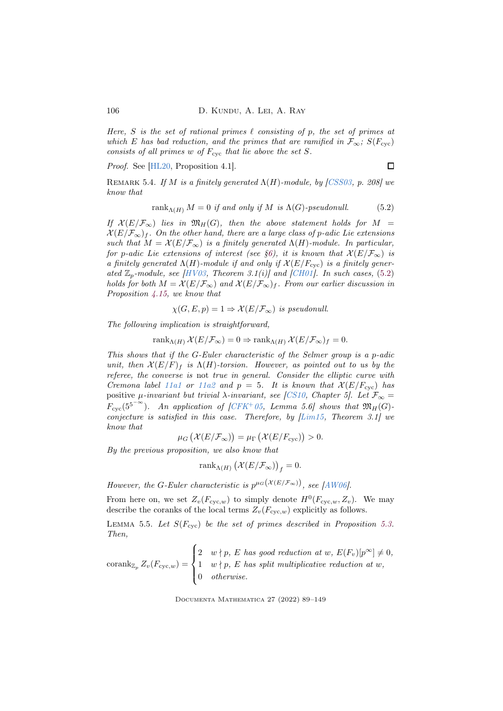Here, S is the set of rational primes  $\ell$  consisting of p, the set of primes at which E has bad reduction, and the primes that are ramified in  $\mathcal{F}_{\infty}$ ;  $S(F_{\text{cyc}})$ consists of all primes  $w$  of  $F_{\text{cyc}}$  that lie above the set  $S$ .

Proof. See [\[HL20,](#page-57-7) Proposition 4.1].

 $\Box$ 

<span id="page-17-0"></span>REMARK 5.4. If M is a finitely generated  $\Lambda(H)$ -module, by [\[CSS03,](#page-56-0) p. 208] we know that

<span id="page-17-1"></span>
$$
rank_{\Lambda(H)} M = 0 \text{ if and only if } M \text{ is } \Lambda(G)\text{-}pseudonull. \tag{5.2}
$$

If  $\mathcal{X}(E/\mathcal{F}_{\infty})$  lies in  $\mathfrak{M}_H(G)$ , then the above statement holds for  $M =$  $\mathcal{X}(E/\mathcal{F}_{\infty})_f$ . On the other hand, there are a large class of p-adic Lie extensions such that  $M = \mathcal{X}(E/\mathcal{F}_{\infty})$  is a finitely generated  $\Lambda(H)$ -module. In particular, for p-adic Lie extensions of interest (see [§6\)](#page-18-1), it is known that  $\mathcal{X}(E/\mathcal{F}_{\infty})$  is a finitely generated  $\Lambda(H)$ -module if and only if  $\mathcal{X}(E/F_{\text{cyc}})$  is a finitely generated  $\mathbb{Z}_p$ -module, see [\[HV03,](#page-57-3) Theorem 3.1(i)] and [\[CH01\]](#page-55-1). In such cases, [\(5.2\)](#page-17-1) holds for both  $M = \mathcal{X}(E/\mathcal{F}_{\infty})$  and  $\mathcal{X}(E/\mathcal{F}_{\infty})_f$ . From our earlier discussion in Proposition [4.15,](#page-15-1) we know that

$$
\chi(G, E, p) = 1 \Rightarrow \mathcal{X}(E/\mathcal{F}_{\infty}) \text{ is pseudonull.}
$$

The following implication is straightforward,

rank $\Lambda(H)$   $\mathcal{X}(E/\mathcal{F}_{\infty}) = 0 \Rightarrow$  rank $\Lambda(H)$   $\mathcal{X}(E/\mathcal{F}_{\infty})_f = 0$ .

This shows that if the G-Euler characteristic of the Selmer group is a p-adic unit, then  $\mathcal{X}(E/F)_f$  is  $\Lambda(H)$ -torsion. However, as pointed out to us by the referee, the converse is not true in general. Consider the elliptic curve with Cremona label [11a1](https://www.lmfdb.org/EllipticCurve/Q/11a1/) or [11a2](https://www.lmfdb.org/EllipticCurve/Q/11a2/) and  $p = 5$ . It is known that  $\mathcal{X}(E/F_{\text{cyc}})$  has positive  $\mu$ -invariant but trivial  $\lambda$ -invariant, see [\[CS10,](#page-56-5) Chapter 5]. Let  $\mathcal{F}_{\infty} =$  $F_{\text{cyc}}(5^{5-\infty})$ . An application of [\[CFK](#page-55-2)+05, Lemma 5.6] shows that  $\mathfrak{M}_H(G)$ conjecture is satisfied in this case. Therefore, by [\[Lim15,](#page-58-7) Theorem 3.1] we know that

$$
\mu_G\left(\mathcal{X}(E/\mathcal{F}_{\infty})\right) = \mu_\Gamma\left(\mathcal{X}(E/F_{\text{cyc}})\right) > 0.
$$

By the previous proposition, we also know that

$$
\mathrm{rank}_{\Lambda(H)}\left(\mathcal{X}(E/\mathcal{F}_{\infty})\right)_f=0.
$$

However, the G-Euler characteristic is  $p^{\mu_G(X(E/\mathcal{F}_{\infty}))}$ , see [\[AW06\]](#page-55-5).

From here on, we set  $Z_v(F_{\text{cyc},w})$  to simply denote  $H^0(F_{\text{cyc},w}, Z_v)$ . We may describe the coranks of the local terms  $Z_v(F_{\text{cyc},w})$  explicitly as follows.

<span id="page-17-2"></span>LEMMA 5.5. Let  $S(F_{\text{cyc}})$  be the set of primes described in Proposition [5.3.](#page-16-1) Then,

$$
\operatorname{corank}_{\mathbb{Z}_p} Z_v(F_{\operatorname{cyc},w}) = \begin{cases} 2 & w \nmid p, \ E \text{ has good reduction at } w, \ E(F_v)[p^\infty] \neq 0, \\ 1 & w \nmid p, \ E \text{ has split multiplicative reduction at } w, \\ 0 & otherwise. \end{cases}
$$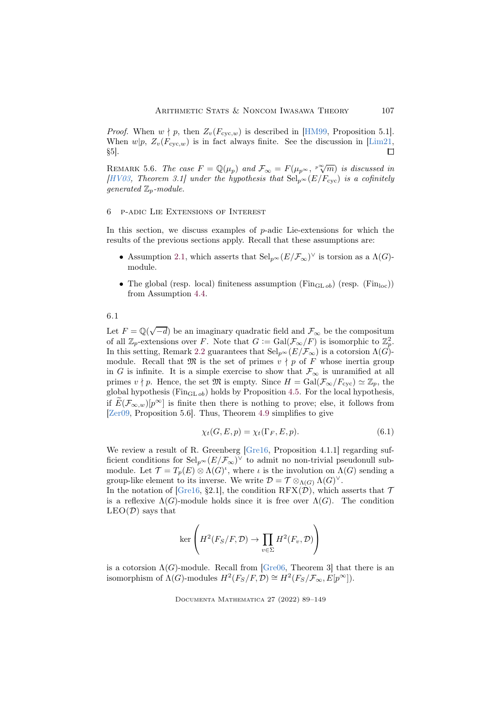*Proof.* When  $w \nmid p$ , then  $Z_v(F_{\text{cyc},w})$  is described in [\[HM99,](#page-57-9) Proposition 5.1]. When  $w|p$ ,  $Z_v(F_{\text{cyc},w})$  is in fact always finite. See the discussion in [\[Lim21,](#page-58-9) §5]. §5].

REMARK 5.6. The case  $F = \mathbb{Q}(\mu_p)$  and  $\mathcal{F}_{\infty} = F(\mu_{p^{\infty}}, \sqrt[p]{m})$  is discussed in [\[HV03,](#page-57-3) Theorem 3.1] under the hypothesis that  $\text{Sel}_{p^{\infty}}(E/F_{\text{cyc}})$  is a cofinitely generated  $\mathbb{Z}_p$ -module.

### <span id="page-18-1"></span>6 p-adic Lie Extensions of Interest

In this section, we discuss examples of  $p$ -adic Lie-extensions for which the results of the previous sections apply. Recall that these assumptions are:

- Assumption [2.1,](#page-7-0) which asserts that  $\text{Sel}_{p^{\infty}}(E/\mathcal{F}_{\infty})^{\vee}$  is torsion as a  $\Lambda(G)$ module.
- The global (resp. local) finiteness assumption ( $\text{Fin}_{\text{GL} ob}$ ) (resp. ( $\text{Fin}_{\text{loc}}$ )) from Assumption [4.4.](#page-12-1)

### 6.1

Let  $F = \mathbb{Q}(\sqrt{-d})$  be an imaginary quadratic field and  $\mathcal{F}_{\infty}$  be the compositum of all  $\mathbb{Z}_p$ -extensions over F. Note that  $G := \text{Gal}(\mathcal{F}_{\infty}/F)$  is isomorphic to  $\mathbb{Z}_p^2$ . In this setting, Remark [2.2](#page-7-1) guarantees that  $\text{Sel}_{p^{\infty}}(E/\mathcal{F}_{\infty})$  is a cotorsion  $\Lambda(G)$ module. Recall that  $\mathfrak{M}$  is the set of primes  $v \nmid p$  of F whose inertia group in G is infinite. It is a simple exercise to show that  $\mathcal{F}_{\infty}$  is unramified at all primes  $v \nmid p$ . Hence, the set M is empty. Since  $H = \text{Gal}(\mathcal{F}_{\infty}/F_{\text{cyc}}) \simeq \mathbb{Z}_p$ , the global hypothesis (Fin<sub>GL ob</sub>) holds by Proposition [4.5.](#page-12-0) For the local hypothesis, if  $E(\mathcal{F}_{\infty,w})[p^{\infty}]$  is finite then there is nothing to prove; else, it follows from [\[Zer09,](#page-60-4) Proposition 5.6]. Thus, Theorem [4.9](#page-13-0) simplifies to give

<span id="page-18-0"></span>
$$
\chi_t(G, E, p) = \chi_t(\Gamma_F, E, p). \tag{6.1}
$$

We review a result of R. Greenberg [\[Gre16,](#page-57-10) Proposition 4.1.1] regarding sufficient conditions for  $\text{Sel}_{p^{\infty}}(E/\mathcal{F}_{\infty})^{\vee}$  to admit no non-trivial pseudonull submodule. Let  $\mathcal{T} = T_p(E) \otimes \Lambda(G)^i$ , where  $\iota$  is the involution on  $\Lambda(G)$  sending a group-like element to its inverse. We write  $\mathcal{D} = \mathcal{T} \otimes_{\Lambda(G)} \Lambda(G)^{\vee}$ .

In the notation of [\[Gre16,](#page-57-10) §2.1], the condition RFX $(\mathcal{D})$ , which asserts that  $\mathcal T$ is a reflexive  $\Lambda(G)$ -module holds since it is free over  $\Lambda(G)$ . The condition  $LEO(D)$  says that

$$
\ker\left(H^2(F_S/F, \mathcal{D}) \to \prod_{v \in \Sigma} H^2(F_v, \mathcal{D})\right)
$$

is a cotorsion  $\Lambda(G)$ -module. Recall from [\[Gre06,](#page-57-11) Theorem 3] that there is an isomorphism of  $\Lambda(G)$ -modules  $H^2(F_S/F, \mathcal{D}) \cong H^2(F_S/F_{\infty}, E[p^{\infty}])$ .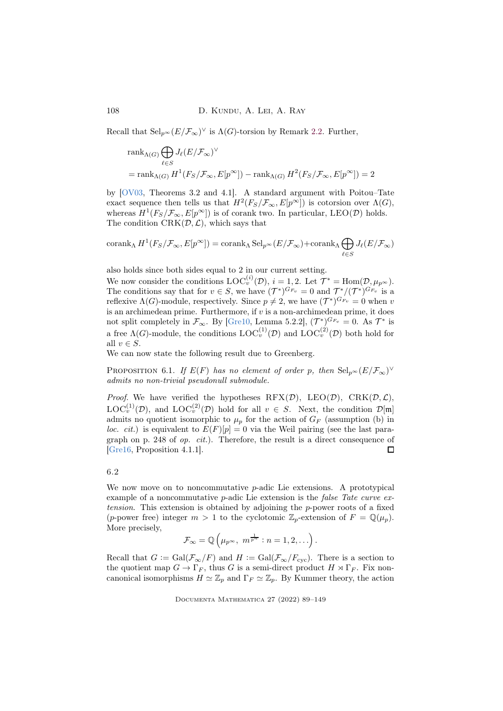Recall that  $\operatorname{Sel}_{p^{\infty}}(E/\mathcal{F}_{\infty})^{\vee}$  is  $\Lambda(G)$ -torsion by Remark [2.2.](#page-7-1) Further,

$$
\begin{aligned} &\mathrm{rank}_{\Lambda(G)}\bigoplus_{\ell\in S}J_{\ell}(E/\mathcal{F}_{\infty})^{\vee}\\ &=\mathrm{rank}_{\Lambda(G)}\,H^1\big(F_S/\mathcal{F}_{\infty},E[p^{\infty}]\big)-\mathrm{rank}_{\Lambda(G)}\,H^2\big(F_S/\mathcal{F}_{\infty},E[p^{\infty}]\big)=2 \end{aligned}
$$

by [\[OV03,](#page-59-2) Theorems 3.2 and 4.1]. A standard argument with Poitou–Tate exact sequence then tells us that  $H^2(F_S/\mathcal{F}_{\infty}, E[p^{\infty}])$  is cotorsion over  $\Lambda(G)$ , whereas  $H^1(F_S/\mathcal{F}_{\infty}, E[p^{\infty}])$  is of corank two. In particular, LEO(D) holds. The condition  $\text{CRK}(\mathcal{D}, \mathcal{L})$ , which says that

$$
\operatorname{corank}_{\Lambda}H^{1}(F_{S}/\mathcal{F}_{\infty}, E[p^{\infty}])=\operatorname{corank}_{\Lambda} \operatorname{Sel}_{p^{\infty}}(E/\mathcal{F}_{\infty})+\operatorname{corank}_{\Lambda} \bigoplus_{\ell \in S} J_{\ell}(E/\mathcal{F}_{\infty})
$$

also holds since both sides equal to 2 in our current setting.

We now consider the conditions  $\mathrm{LOC}_{v}^{(i)}(\mathcal{D}), i = 1, 2$ . Let  $\mathcal{T}^* = \mathrm{Hom}(\mathcal{D}, \mu_{p^{\infty}})$ . The conditions say that for  $v \in S$ , we have  $(\mathcal{T}^*)^{G_{F_v}} = 0$  and  $\mathcal{T}^*/(\mathcal{T}^*)^{G_{F_v}}$  is a reflexive  $\Lambda(G)$ -module, respectively. Since  $p \neq 2$ , we have  $(\mathcal{T}^*)^{G_{F_v}} = 0$  when v is an archimedean prime. Furthermore, if  $v$  is a non-archimedean prime, it does not split completely in  $\mathcal{F}_{\infty}$ . By [\[Gre10,](#page-57-12) Lemma 5.2.2],  $(\mathcal{T}^*)^{G_{F_v}} = 0$ . As  $\mathcal{T}^*$  is a free  $\Lambda(G)$ -module, the conditions  $\mathrm{LOC}_{v}^{(1)}(\mathcal{D})$  and  $\mathrm{LOC}_{v}^{(2)}(\mathcal{D})$  both hold for all  $v \in S$ .

We can now state the following result due to Greenberg.

<span id="page-19-0"></span>PROPOSITION 6.1. If  $E(F)$  has no element of order p, then  $\text{Sel}_{p^{\infty}}(E/\mathcal{F}_{\infty})^{\vee}$ admits no non-trivial pseudonull submodule.

*Proof.* We have verified the hypotheses  $RFX(\mathcal{D})$ ,  $LEO(\mathcal{D})$ ,  $CRK(\mathcal{D}, \mathcal{L})$ ,  $\mathrm{LOC}_{v}^{(1)}(\mathcal{D})$ , and  $\mathrm{LOC}_{v}^{(2)}(\mathcal{D})$  hold for all  $v \in S$ . Next, the condition  $\mathcal{D}[\mathfrak{m}]$ admits no quotient isomorphic to  $\mu_p$  for the action of  $G_F$  (assumption (b) in loc. cit.) is equivalent to  $E(F)[p] = 0$  via the Weil pairing (see the last paragraph on p. 248 of op. cit.). Therefore, the result is a direct consequence of [\[Gre16,](#page-57-10) Proposition 4.1.1].  $\Box$ 

### 6.2

We now move on to noncommutative *p*-adic Lie extensions. A prototypical example of a noncommutative *p*-adic Lie extension is the *false Tate curve ex*tension. This extension is obtained by adjoining the  $p$ -power roots of a fixed (p-power free) integer  $m > 1$  to the cyclotomic  $\mathbb{Z}_p$ -extension of  $F = \mathbb{Q}(\mu_p)$ . More precisely,

$$
\mathcal{F}_{\infty} = \mathbb{Q}\left(\mu_{p^{\infty}}, m^{\frac{1}{p^n}} : n = 1, 2, \ldots\right).
$$

Recall that  $G := \text{Gal}(\mathcal{F}_{\infty}/F)$  and  $H := \text{Gal}(\mathcal{F}_{\infty}/F_{\text{cyc}})$ . There is a section to the quotient map  $G \to \Gamma_F$ , thus G is a semi-direct product  $H \rtimes \Gamma_F$ . Fix noncanonical isomorphisms  $H \simeq \mathbb{Z}_n$  and  $\Gamma_F \simeq \mathbb{Z}_n$ . By Kummer theory, the action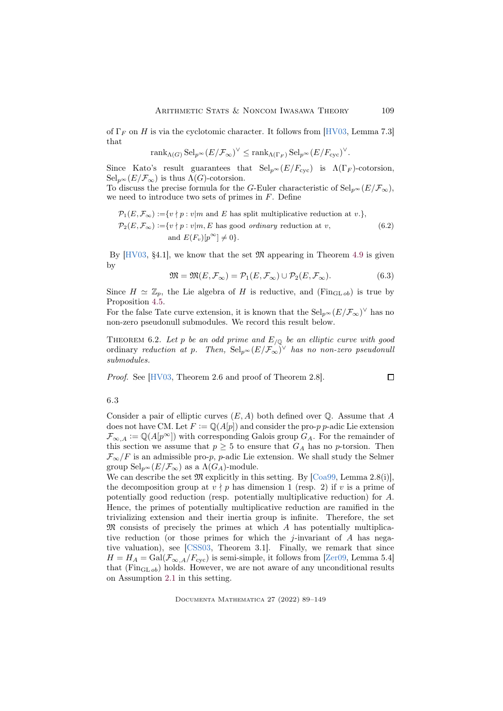of  $\Gamma_F$  on H is via the cyclotomic character. It follows from [\[HV03,](#page-57-3) Lemma 7.3] that

$$
\mathrm{rank}_{\Lambda(G)}\,\mathrm{Sel}_{p^{\infty}}(E/\mathcal{F}_{\infty})^{\vee} \leq \mathrm{rank}_{\Lambda(\Gamma_{F})}\,\mathrm{Sel}_{p^{\infty}}(E/F_{\mathrm{cyc}})^{\vee}.
$$

Since Kato's result guarantees that  $Sel_{p^{\infty}}(E/F_{\text{cyc}})$  is  $\Lambda(\Gamma_F)$ -cotorsion,  $\operatorname{Sel}_{p^{\infty}}(E/\mathcal{F}_{\infty})$  is thus  $\Lambda(G)$ -cotorsion.

To discuss the precise formula for the G-Euler characteristic of  $\text{Sel}_{p^{\infty}}(E/\mathcal{F}_{\infty}),$ we need to introduce two sets of primes in  $F$ . Define

$$
\mathcal{P}_1(E, \mathcal{F}_{\infty}) := \{v \mid p : v \mid m \text{ and } E \text{ has split multiplicative reduction at } v.\},
$$
  
\n
$$
\mathcal{P}_2(E, \mathcal{F}_{\infty}) := \{v \mid p : v \mid m, E \text{ has good ordinary reduction at } v,
$$
  
\nand  $E(F_v)[p^{\infty}] \neq 0\}.$  (6.2)

<span id="page-20-2"></span>By  $[HV03, §4.1]$ , we know that the set  $\mathfrak{M}$  appearing in Theorem [4.9](#page-13-0) is given by

<span id="page-20-0"></span>
$$
\mathfrak{M} = \mathfrak{M}(E, \mathcal{F}_{\infty}) = \mathcal{P}_1(E, \mathcal{F}_{\infty}) \cup \mathcal{P}_2(E, \mathcal{F}_{\infty}). \tag{6.3}
$$

 $\Box$ 

Since  $H \simeq \mathbb{Z}_p$ , the Lie algebra of H is reductive, and (Fin<sub>GL ob</sub>) is true by Proposition [4.5.](#page-12-0)

For the false Tate curve extension, it is known that the  $\text{Sel}_{p^{\infty}}(E/\mathcal{F}_{\infty})^{\vee}$  has no non-zero pseudonull submodules. We record this result below.

<span id="page-20-1"></span>THEOREM 6.2. Let p be an odd prime and  $E_{/\mathbb{Q}}$  be an elliptic curve with good ordinary reduction at p. Then,  $\textup{Sel}_{p^{\infty}}(E/\mathcal{F}_{\infty})^{\vee}$  has no non-zero pseudonull submodules.

Proof. See [\[HV03,](#page-57-3) Theorem 2.6 and proof of Theorem 2.8].

# 6.3

Consider a pair of elliptic curves  $(E, A)$  both defined over  $\mathbb Q$ . Assume that A does not have CM. Let  $F := \mathbb{Q}(A[p])$  and consider the pro-p p-adic Lie extension  $\mathcal{F}_{\infty,A} := \mathbb{Q}(A[p^{\infty}])$  with corresponding Galois group  $G_A$ . For the remainder of this section we assume that  $p \geq 5$  to ensure that  $G_A$  has no p-torsion. Then  $\mathcal{F}_{\infty}/F$  is an admissible pro-p, p-adic Lie extension. We shall study the Selmer group  $\text{Sel}_{p^{\infty}}(E/\mathcal{F}_{\infty})$  as a  $\Lambda(G_{A})$ -module.

We can describe the set  $\mathfrak{M}$  explicitly in this setting. By [\[Coa99,](#page-56-7) Lemma 2.8(i)], the decomposition group at  $v \nmid p$  has dimension 1 (resp. 2) if v is a prime of potentially good reduction (resp. potentially multiplicative reduction) for A. Hence, the primes of potentially multiplicative reduction are ramified in the trivializing extension and their inertia group is infinite. Therefore, the set M consists of precisely the primes at which A has potentially multiplicative reduction (or those primes for which the j-invariant of  $A$  has negative valuation), see [\[CSS03,](#page-56-0) Theorem 3.1]. Finally, we remark that since  $H = H_A = \text{Gal}(\mathcal{F}_{\infty,A}/F_{\text{cyc}})$  is semi-simple, it follows from [\[Zer09,](#page-60-4) Lemma 5.4] that  $(\mathrm{Fin}_{\mathrm{GL} o b})$  holds. However, we are not aware of any unconditional results on Assumption [2.1](#page-7-0) in this setting.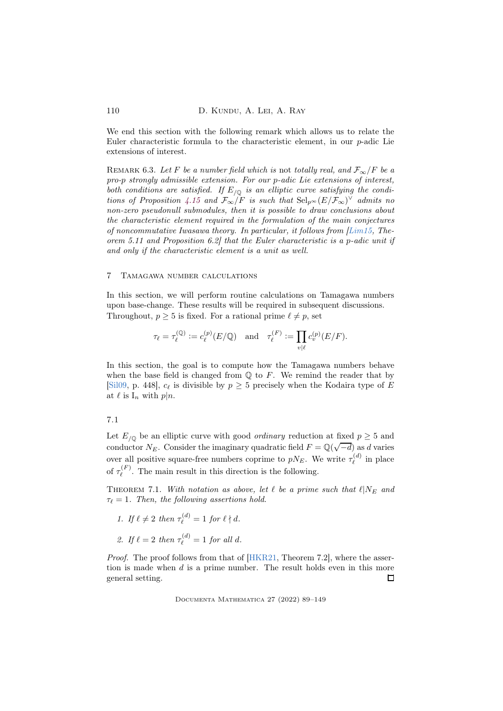We end this section with the following remark which allows us to relate the Euler characteristic formula to the characteristic element, in our p-adic Lie extensions of interest.

REMARK 6.3. Let F be a number field which is not totally real, and  $\mathcal{F}_{\infty}/F$  be a pro-p strongly admissible extension. For our p-adic Lie extensions of interest, both conditions are satisfied. If  $E_{\sqrt{Q}}$  is an elliptic curve satisfying the condi-tions of Proposition [4.15](#page-15-1) and  $\mathcal{F}_{\infty}/F$  is such that  $\text{Sel}_{p^{\infty}}(E/\mathcal{F}_{\infty})^{\vee}$  admits no non-zero pseudonull submodules, then it is possible to draw conclusions about the characteristic element required in the formulation of the main conjectures of noncommutative Iwasawa theory. In particular, it follows from [\[Lim15,](#page-58-7) Theorem 5.11 and Proposition 6.2] that the Euler characteristic is a p-adic unit if and only if the characteristic element is a unit as well.

### <span id="page-21-0"></span>7 Tamagawa number calculations

In this section, we will perform routine calculations on Tamagawa numbers upon base-change. These results will be required in subsequent discussions. Throughout,  $p \geq 5$  is fixed. For a rational prime  $\ell \neq p$ , set

$$
\tau_{\ell} = \tau_{\ell}^{(\mathbb{Q})} := c_{\ell}^{(p)}(E/\mathbb{Q}) \quad \text{and} \quad \tau_{\ell}^{(F)} := \prod_{v|\ell} c_v^{(p)}(E/F).
$$

In this section, the goal is to compute how the Tamagawa numbers behave when the base field is changed from  $\mathbb Q$  to  $F$ . We remind the reader that by [\[Sil09,](#page-60-6) p. 448],  $c_{\ell}$  is divisible by  $p \geq 5$  precisely when the Kodaira type of E at  $\ell$  is  $I_n$  with  $p|n$ .

# 7.1

Let  $E_{/\mathbb{Q}}$  be an elliptic curve with good *ordinary* reduction at fixed  $p \geq 5$  and conductor  $N_E$ . Consider the imaginary quadratic field  $F = \mathbb{Q}(\sqrt{-d})$  as d varies over all positive square-free numbers coprime to  $pN_E$ . We write  $\tau_{\ell}^{(d)}$  $\mathcal{L}_{\ell}^{(a)}$  in place of  $\tau_{\ell}^{(F)}$  $\ell^{(F)}$ . The main result in this direction is the following.

<span id="page-21-1"></span>THEOREM 7.1. With notation as above, let  $\ell$  be a prime such that  $\ell|N_E$  and  $\tau_{\ell}=1$ . Then, the following assertions hold.

- 1. If  $\ell \neq 2$  then  $\tau_{\ell}^{(d)} = 1$  for  $\ell \nmid d$ .
- 2. If  $\ell = 2$  then  $\tau_{\ell}^{(d)} = 1$  for all d.

Proof. The proof follows from that of [\[HKR21,](#page-57-5) Theorem 7.2], where the assertion is made when  $d$  is a prime number. The result holds even in this more general setting.  $\Box$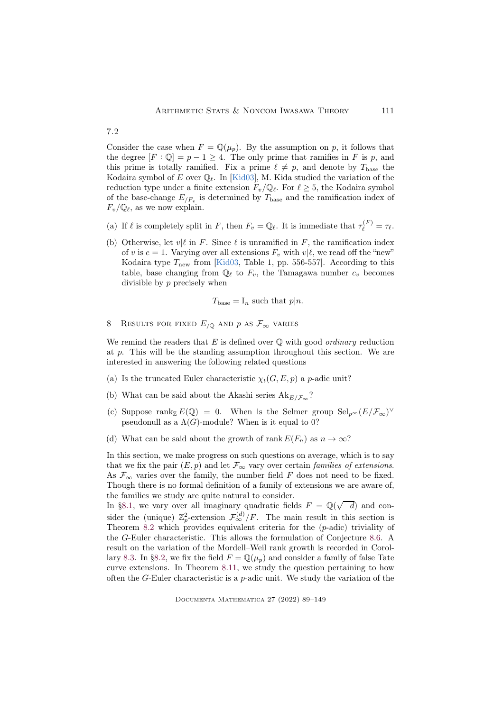Consider the case when  $F = \mathbb{Q}(\mu_p)$ . By the assumption on p, it follows that the degree  $[F: \mathbb{Q}] = p - 1 \ge 4$ . The only prime that ramifies in F is p, and this prime is totally ramified. Fix a prime  $\ell \neq p$ , and denote by  $T_{\text{base}}$  the Kodaira symbol of E over  $\mathbb{Q}_{\ell}$ . In [\[Kid03\]](#page-58-10), M. Kida studied the variation of the reduction type under a finite extension  $F_v/\mathbb{Q}_\ell$ . For  $\ell \geq 5$ , the Kodaira symbol of the base-change  $E_{/F_v}$  is determined by  $T_{\text{base}}$  and the ramification index of  $F_v/\mathbb{Q}_\ell$ , as we now explain.

- (a) If  $\ell$  is completely split in F, then  $F_v = \mathbb{Q}_\ell$ . It is immediate that  $\tau_{\ell}^{(F)} = \tau_{\ell}$ .
- (b) Otherwise, let  $v|\ell$  in F. Since  $\ell$  is unramified in F, the ramification index of v is  $e = 1$ . Varying over all extensions  $F_v$  with  $v | l$ , we read off the "new" Kodaira type  $T_{\text{new}}$  from [\[Kid03,](#page-58-10) Table 1, pp. 556-557]. According to this table, base changing from  $\mathbb{Q}_{\ell}$  to  $F_v$ , the Tamagawa number  $c_v$  becomes divisible by p precisely when

$$
T_{\text{base}} = I_n \text{ such that } p|n.
$$

<span id="page-22-0"></span>8 RESULTS FOR FIXED  $E_{/Q}$  and p as  $\mathcal{F}_{\infty}$  varies

We remind the readers that  $E$  is defined over  $\mathbb Q$  with good *ordinary* reduction at p. This will be the standing assumption throughout this section. We are interested in answering the following related questions

- (a) Is the truncated Euler characteristic  $\chi_t(G, E, p)$  a p-adic unit?
- (b) What can be said about the Akashi series  $Ak_{E/\mathcal{F}_{\infty}}$ ?
- (c) Suppose  $\text{rank}_{\mathbb{Z}} E(\mathbb{Q}) = 0$ . When is the Selmer group  $\text{Sel}_{p^{\infty}}(E/\mathcal{F}_{\infty})^{\vee}$ pseudonull as a  $\Lambda(G)$ -module? When is it equal to 0?
- (d) What can be said about the growth of rank  $E(F_n)$  as  $n \to \infty$ ?

In this section, we make progress on such questions on average, which is to say that we fix the pair  $(E, p)$  and let  $\mathcal{F}_{\infty}$  vary over certain families of extensions. As  $\mathcal{F}_{\infty}$  varies over the family, the number field F does not need to be fixed. Though there is no formal definition of a family of extensions we are aware of, the families we study are quite natural to consider.

In [§8.1,](#page-23-0) we vary over all imaginary quadratic fields  $F = \mathbb{Q}(\sqrt{-d})$  and consider the (unique)  $\mathbb{Z}_p^2$ -extension  $\mathcal{F}_{\infty}^{(d)}/F$ . The main result in this section is Theorem [8.2](#page-24-0) which provides equivalent criteria for the (p-adic) triviality of the G-Euler characteristic. This allows the formulation of Conjecture [8.6.](#page-26-0) A result on the variation of the Mordell–Weil rank growth is recorded in Corol-lary [8.3.](#page-25-0) In [§8.2,](#page-27-0) we fix the field  $F = \mathbb{Q}(\mu_p)$  and consider a family of false Tate curve extensions. In Theorem [8.11,](#page-28-0) we study the question pertaining to how often the G-Euler characteristic is a  $p$ -adic unit. We study the variation of the

7.2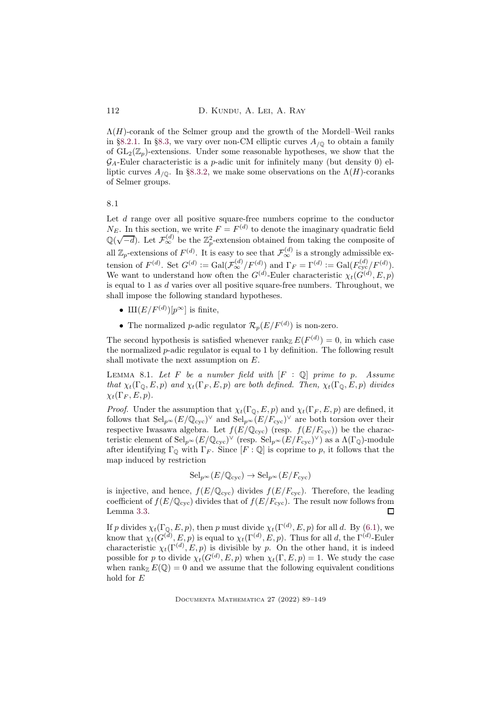$\Lambda(H)$ -corank of the Selmer group and the growth of the Mordell–Weil ranks in [§8.2.1.](#page-29-0) In [§8.3,](#page-30-1) we vary over non-CM elliptic curves  $A_{/0}$  to obtain a family of  $GL_2(\mathbb{Z}_p)$ -extensions. Under some reasonable hypotheses, we show that the  $\mathcal{G}_A$ -Euler characteristic is a p-adic unit for infinitely many (but density 0) elliptic curves  $A_{\ell 0}$ . In [§8.3.2,](#page-33-0) we make some observations on the  $\Lambda(H)$ -coranks of Selmer groups.

<span id="page-23-0"></span>8.1

Let  $d$  range over all positive square-free numbers coprime to the conductor  $N_E$ . In this section, we write  $F = F<sup>(d)</sup>$  to denote the imaginary quadratic field  $\mathbb{Q}(\sqrt{-d})$ . Let  $\mathcal{F}_{\infty}^{(d)}$  be the  $\mathbb{Z}_p^2$ -extension obtained from taking the composite of all  $\mathbb{Z}_p$ -extensions of  $F^{(d)}$ . It is easy to see that  $\mathcal{F}_{\infty}^{(d)}$  is a strongly admissible extension of  $F^{(d)}$ . Set  $G^{(d)} := \text{Gal}(\mathcal{F}_{\infty}^{(d)}/F_{\infty}^{(d)})$  and  $\Gamma_F = \Gamma^{(d)} := \text{Gal}(F_{\text{cyc}}^{(d)}/F_{\infty}^{(d)})$ . We want to understand how often the  $G^{(d)}$ -Euler characteristic  $\chi_t(G^{(d)}, E, p)$ is equal to 1 as d varies over all positive square-free numbers. Throughout, we shall impose the following standard hypotheses.

- $\text{III}(E/F^{(d)})[p^{\infty}]$  is finite,
- The normalized *p*-adic regulator  $\mathcal{R}_p(E/F^{(d)})$  is non-zero.

The second hypothesis is satisfied whenever  $\text{rank}_{\mathbb{Z}} E(F^{(d)}) = 0$ , in which case the normalized p-adic regulator is equal to 1 by definition. The following result shall motivate the next assumption on E.

<span id="page-23-1"></span>LEMMA 8.1. Let F be a number field with  $[F : \mathbb{Q}]$  prime to p. Assume that  $\chi_t(\Gamma_0, E, p)$  and  $\chi_t(\Gamma_F, E, p)$  are both defined. Then,  $\chi_t(\Gamma_0, E, p)$  divides  $\chi_t(\Gamma_F, E, p).$ 

*Proof.* Under the assumption that  $\chi_t(\Gamma_{\mathbb{Q}}, E, p)$  and  $\chi_t(\Gamma_F, E, p)$  are defined, it follows that  $\text{Sel}_{p^{\infty}}(E/\mathbb{Q}_{\text{cyc}})^{\vee}$  and  $\text{Sel}_{p^{\infty}}(E/F_{\text{cyc}})^{\vee}$  are both torsion over their respective Iwasawa algebra. Let  $f(E/\mathbb{Q}_{\text{cyc}})$  (resp.  $f(E/F_{\text{cyc}})$ ) be the characteristic element of  $\mathrm{Sel}_{p^{\infty}}(E/\mathbb{Q}_{\mathrm{cyc}})^{\vee}$  (resp.  $\mathrm{Sel}_{p^{\infty}}(E/F_{\mathrm{cyc}})^{\vee}$ ) as a  $\Lambda(\Gamma_{\mathbb{Q}})$ -module after identifying  $\Gamma_{\mathcal{Q}}$  with  $\Gamma_F$ . Since  $[F:\mathbb{Q}]$  is coprime to p, it follows that the map induced by restriction

$$
Sel_{p^{\infty}}(E/\mathbb{Q}_{\text{cyc}}) \to Sel_{p^{\infty}}(E/F_{\text{cyc}})
$$

is injective, and hence,  $f(E/\mathbb{Q}_{\text{cyc}})$  divides  $f(E/F_{\text{cyc}})$ . Therefore, the leading coefficient of  $f(E/\mathbb{Q}_{\text{cyc}})$  divides that of  $f(E/F_{\text{cyc}})$ . The result now follows from Lemma [3.3.](#page-10-1)  $\Box$ 

If p divides  $\chi_t(\Gamma_{\mathbb{Q}}, E, p)$ , then p must divide  $\chi_t(\Gamma^{(d)}, E, p)$  for all d. By [\(6.1\)](#page-18-0), we know that  $\chi_t(G^{(d)}, E, p)$  is equal to  $\chi_t(\Gamma^{(d)}, E, p)$ . Thus for all d, the  $\Gamma^{(d)}$ -Euler characteristic  $\chi_t(\Gamma^{(d)}, E, p)$  is divisible by p. On the other hand, it is indeed possible for p to divide  $\chi_t(G^{(d)}, E, p)$  when  $\chi_t(\Gamma, E, p) = 1$ . We study the case when rank<sub>Z</sub>  $E(\mathbb{Q}) = 0$  and we assume that the following equivalent conditions hold for E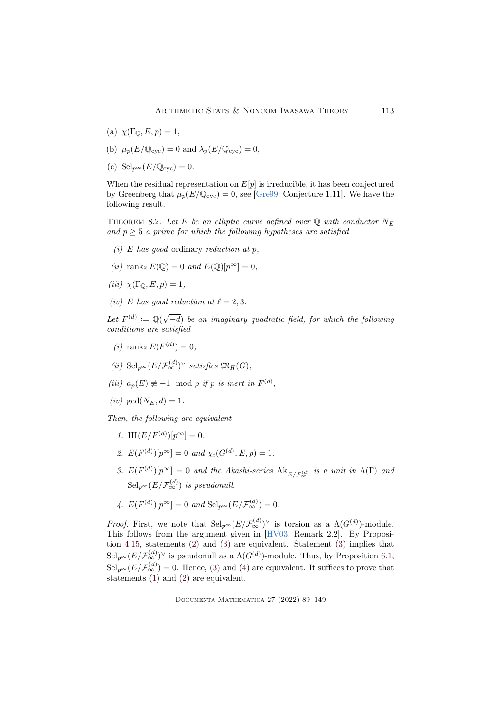- (a)  $\chi(\Gamma_{\mathbb{Q}}, E, p) = 1$ ,
- (b)  $\mu_p(E/\mathbb{Q}_{\text{cyc}}) = 0$  and  $\lambda_p(E/\mathbb{Q}_{\text{cyc}}) = 0$ ,
- (c)  $\text{Sel}_{p^{\infty}}(E/\mathbb{Q}_{\text{cyc}}) = 0.$

When the residual representation on  $E[p]$  is irreducible, it has been conjectured by Greenberg that  $\mu_p(E/\mathbb{Q}_{\text{cyc}}) = 0$ , see [\[Gre99,](#page-57-13) Conjecture 1.11]. We have the following result.

<span id="page-24-0"></span>THEOREM 8.2. Let E be an elliptic curve defined over  $\mathbb Q$  with conductor  $N_E$ and  $p > 5$  a prime for which the following hypotheses are satisfied

- (i) E has good ordinary reduction at p,
- (ii) rank  $E(\mathbb{Q}) = 0$  and  $E(\mathbb{Q})[p^{\infty}] = 0$ ,
- (iii)  $\chi(\Gamma_{\mathbb{O}}, E, p) = 1$ ,
- (iv) E has good reduction at  $\ell = 2, 3$ .

Let  $F^{(d)} := \mathbb{Q}(\sqrt{-d})$  be an imaginary quadratic field, for which the following conditions are satisfied

- (*i*) rank<sub> $\mathbb{Z} E(F^{(d)}) = 0$ ,</sub>
- (ii)  $\text{Sel}_{p^{\infty}}(E/\mathcal{F}_{\infty}^{(d)})^{\vee}$  satisfies  $\mathfrak{M}_H(G)$ ,
- (iii)  $a_p(E) \not\equiv -1 \mod p$  if p is inert in  $F^{(d)}$ ,
- $(iv)$  gcd $(N_E, d) = 1$ .

<span id="page-24-4"></span>Then, the following are equivalent

- <span id="page-24-1"></span>1.  $\text{III}(E/F^{(d)})[p^{\infty}] = 0.$
- <span id="page-24-2"></span>2.  $E(F^{(d)})[p^{\infty}] = 0$  and  $\chi_t(G^{(d)}, E, p) = 1$ .
- 3.  $E(F^{(d)})[p^{\infty}] = 0$  and the Akashi-series  $\text{Ak}_{E/{\mathcal{F}_{\infty}^{(d)}}}$  is a unit in  $\Lambda(\Gamma)$  and  $\operatorname{Sel}_{p^{\infty}}(E/\mathcal{F}_{\infty}^{(d)})$  is pseudonull.
- <span id="page-24-3"></span>4.  $E(F^{(d)})[p^{\infty}] = 0$  and  $\text{Sel}_{p^{\infty}}(E/\mathcal{F}_{\infty}^{(d)}) = 0$ .

*Proof.* First, we note that  $\text{Sel}_{p^{\infty}}(E/\mathcal{F}_{\infty}^{(d)})^{\vee}$  is torsion as a  $\Lambda(G^{(d)})$ -module. This follows from the argument given in [\[HV03,](#page-57-3) Remark 2.2]. By Proposition [4.15,](#page-15-1) statements [\(2\)](#page-24-1) and [\(3\)](#page-24-2) are equivalent. Statement [\(3\)](#page-24-2) implies that  $\text{Sel}_{p^{\infty}}(E/\mathcal{F}_{\infty}^{(d)})^{\vee}$  is pseudonull as a  $\Lambda(G^{(d)})$ -module. Thus, by Proposition [6.1,](#page-19-0)  $\text{Sel}_{p^{\infty}}(E/\mathcal{F}_{\infty}^{(d)}) = 0.$  Hence, [\(3\)](#page-24-2) and [\(4\)](#page-24-3) are equivalent. It suffices to prove that statements  $(1)$  and  $(2)$  are equivalent.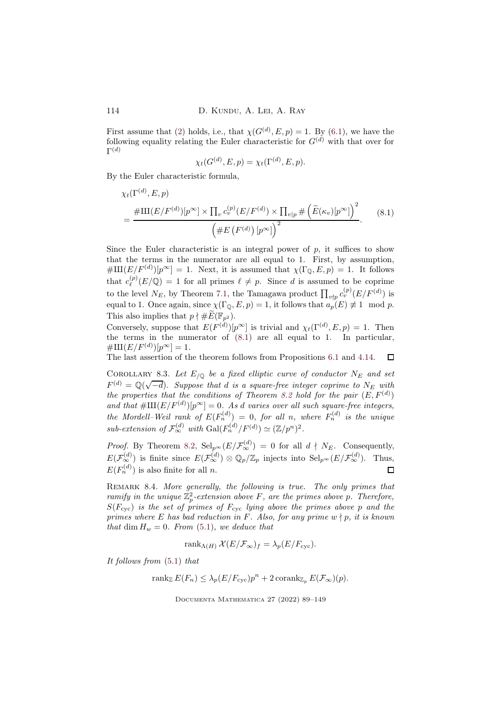First assume that [\(2\)](#page-24-1) holds, i.e., that  $\chi(G^{(d)}, E, p) = 1$ . By [\(6.1\)](#page-18-0), we have the following equality relating the Euler characteristic for  $G<sup>(d)</sup>$  with that over for  $\Gamma^{(d)}$ 

<span id="page-25-1"></span>
$$
\chi_t(G^{(d)}, E, p) = \chi_t(\Gamma^{(d)}, E, p).
$$

By the Euler characteristic formula,

$$
\chi_t(\Gamma^{(d)}, E, p)
$$
  
= 
$$
\frac{\#\amalg(E/F^{(d)})[p^{\infty}] \times \prod_v c_v^{(p)}(E/F^{(d)}) \times \prod_{v|p} \#\left(\widetilde{E}(\kappa_v)[p^{\infty}]\right)^2}{\left(\#E\left(F^{(d)}\right)[p^{\infty}]\right)^2}.
$$
 (8.1)

Since the Euler characteristic is an integral power of  $p$ , it suffices to show that the terms in the numerator are all equal to 1. First, by assumption,  $\#\amalg(E/F^{(d)})[p^{\infty}] = 1$ . Next, it is assumed that  $\chi(\Gamma_{\mathbb{Q}}, E, p) = 1$ . It follows that  $c_{\ell}^{(p)}$  $\ell^{\{p\}}(\mathbb{E}/\mathbb{Q}) = 1$  for all primes  $\ell \neq p$ . Since d is assumed to be coprime to the level  $N_E$ , by Theorem [7.1,](#page-21-1) the Tamagawa product  $\prod_{v \nmid p} c_v^{(p)}(E/F^{(d)})$  is equal to 1. Once again, since  $\chi(\Gamma_0, E, p) = 1$ , it follows that  $a_p(E) \not\equiv 1 \mod p$ . This also implies that  $p \nmid \# \widetilde{E}(\mathbb{F}_{p^2})$ .

Conversely, suppose that  $E(F^{(d)})[p^{\infty}]$  is trivial and  $\chi_t(\Gamma^{(d)}, E, p) = 1$ . Then the terms in the numerator of  $(8.1)$  are all equal to 1. In particular,  $\#\text{III}(E/F^{(d)})[p^{\infty}]=1.$ 

The last assertion of the theorem follows from Propositions [6.1](#page-19-0) and [4.14.](#page-15-0)  $\Box$ 

<span id="page-25-0"></span>COROLLARY 8.3. Let  $E_{\text{10}}$  be a fixed elliptic curve of conductor  $N_E$  and set  $F^{(d)} = \mathbb{Q}(\sqrt{-d})$ . Suppose that d is a square-free integer coprime to  $N_E$  with the properties that the conditions of Theorem [8.2](#page-24-0) hold for the pair  $(E, F<sup>(d)</sup>)$ and that  $\#\text{III}(E/F^{(d)})[p^{\infty}]=0$ . As d varies over all such square-free integers, the Mordell–Weil rank of  $E(F_n^{(d)}) = 0$ , for all n, where  $F_n^{(d)}$  is the unique sub-extension of  $\mathcal{F}_{\infty}^{(d)}$  with  $\text{Gal}(F_n^{(d)}/F^{(d)}) \simeq (\mathbb{Z}/p^n)^2$ .

*Proof.* By Theorem [8.2,](#page-24-0)  $\text{Sel}_{p^{\infty}}(E/\mathcal{F}_{\infty}^{(d)}) = 0$  for all  $d \nmid N_E$ . Consequently,  $E(\mathcal{F}_{\infty}^{(d)})$  is finite since  $E(\mathcal{F}_{\infty}^{(d)}) \otimes \mathbb{Q}_p/\mathbb{Z}_p$  injects into  $\text{Sel}_{p^{\infty}}(E/\mathcal{F}_{\infty}^{(d)})$ . Thus,  $E(F_n^{(d)})$  is also finite for all n.  $\Box$ 

REMARK 8.4. More generally, the following is true. The only primes that ramify in the unique  $\mathbb{Z}_p^2$ -extension above F, are the primes above p. Therefore,  $S(F_{\rm cyc})$  is the set of primes of  $F_{\rm cyc}$  lying above the primes above p and the primes where E has bad reduction in F. Also, for any prime  $w \nmid p$ , it is known that dim  $H_w = 0$ . From [\(5.1\)](#page-16-2), we deduce that

$$
rank_{\Lambda(H)} \mathcal{X}(E/\mathcal{F}_{\infty})_f = \lambda_p(E/F_{\text{cyc}}).
$$

It follows from [\(5.1\)](#page-16-2) that

rank<sub>Z</sub>  $E(F_n) \leq \lambda_p (E/F_{\text{cyc}}) p^n + 2 \operatorname{corank}_{\mathbb{Z}_p} E(\mathcal{F}_{\infty})(p).$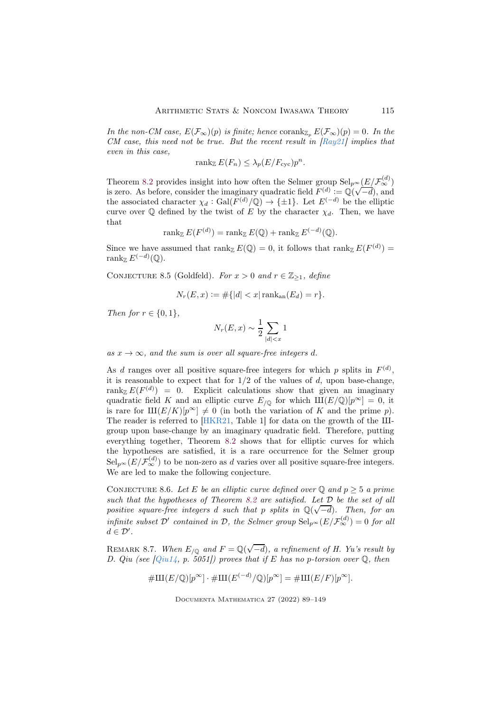In the non-CM case,  $E(\mathcal{F}_{\infty})(p)$  is finite; hence corank<sub>Z<sub>n</sub></sub>  $E(\mathcal{F}_{\infty})(p) = 0$ . In the CM case, this need not be true. But the recent result in  $[Ray21]$  implies that even in this case,

$$
\operatorname{rank}_{\mathbb{Z}} E(F_n) \leq \lambda_p (E/F_{\text{cyc}}) p^n.
$$

Theorem [8.2](#page-24-0) provides insight into how often the Selmer group  $\text{Sel}_{p^{\infty}}(\underline{E}/\mathcal{F}_{\infty}^{(d)})$ is zero. As before, consider the imaginary quadratic field  $F^{(d)} := \mathbb{Q}(\sqrt{-d})$ , and the associated character  $\chi_d : \text{Gal}(F^{(d)}/\mathbb{Q}) \to {\{\pm 1\}}$ . Let  $E^{(-d)}$  be the elliptic curve over  $\mathbb Q$  defined by the twist of E by the character  $\chi_d$ . Then, we have that

$$
\operatorname{rank}_{\mathbb{Z}} E(F^{(d)}) = \operatorname{rank}_{\mathbb{Z}} E(\mathbb{Q}) + \operatorname{rank}_{\mathbb{Z}} E^{(-d)}(\mathbb{Q}).
$$

Since we have assumed that  $\text{rank}_{\mathbb{Z}} E(\mathbb{Q}) = 0$ , it follows that  $\text{rank}_{\mathbb{Z}} E(F^{(d)}) =$  $\operatorname{rank}_{\mathbb{Z}} E^{(-d)}(\mathbb{Q}).$ 

CONJECTURE 8.5 (Goldfeld). For  $x > 0$  and  $r \in \mathbb{Z}_{\geq 1}$ , define

$$
N_r(E, x) := \# \{|d| < x| \operatorname{rank}_{\operatorname{an}}(E_d) = r\}.
$$

Then for  $r \in \{0, 1\}$ ,

$$
N_r(E, x) \sim \frac{1}{2} \sum_{|d| < x} 1
$$

as  $x \to \infty$ , and the sum is over all square-free integers d.

As d ranges over all positive square-free integers for which p splits in  $F<sup>(d)</sup>$ , it is reasonable to expect that for  $1/2$  of the values of d, upon base-change, rank<sub>Z</sub>  $E(F^{(d)}) = 0$ . Explicit calculations show that given an imaginary quadratic field K and an elliptic curve  $E_{/Q}$  for which  $\text{III}(E/\mathbb{Q})[p^{\infty}] = 0$ , it is rare for  $\text{III}(E/K)[p^{\infty}] \neq 0$  (in both the variation of K and the prime p). The reader is referred to  $[HKR21, Table 1]$  for data on the growth of the IIIgroup upon base-change by an imaginary quadratic field. Therefore, putting everything together, Theorem [8.2](#page-24-0) shows that for elliptic curves for which the hypotheses are satisfied, it is a rare occurrence for the Selmer group  $\text{Sel}_{p^{\infty}}(E/\mathcal{F}_{\infty}^{(d)})$  to be non-zero as d varies over all positive square-free integers. We are led to make the following conjecture.

<span id="page-26-0"></span>CONJECTURE 8.6. Let E be an elliptic curve defined over Q and  $p \geq 5$  a prime such that the hypotheses of Theorem [8.2](#page-24-0) are satisfied. Let D be the set of all positive square-free integers d such that p splits in  $\mathbb{Q}(\sqrt{-d})$ . Then, for an infinite subset  $\mathcal{D}'$  contained in  $\mathcal{D}$ , the Selmer group  $\text{Sel}_{p^{\infty}}(E/\mathcal{F}_{\infty}^{(d)})=0$  for all  $d \in \mathcal{D}'$ .

<span id="page-26-1"></span>REMARK 8.7. When  $E_{\sqrt{Q}}$  and  $F = \mathbb{Q}(\sqrt{-d})$ , a refinement of H. Yu's result by D. Qiu (see  $[Qu14, p. 5051]$ ) proves that if E has no p-torsion over  $\mathbb{Q}$ , then

$$
#III(E/\mathbb{Q})[p^{\infty}] \cdot #III(E^{(-d)}/\mathbb{Q})[p^{\infty}] = #III(E/F)[p^{\infty}].
$$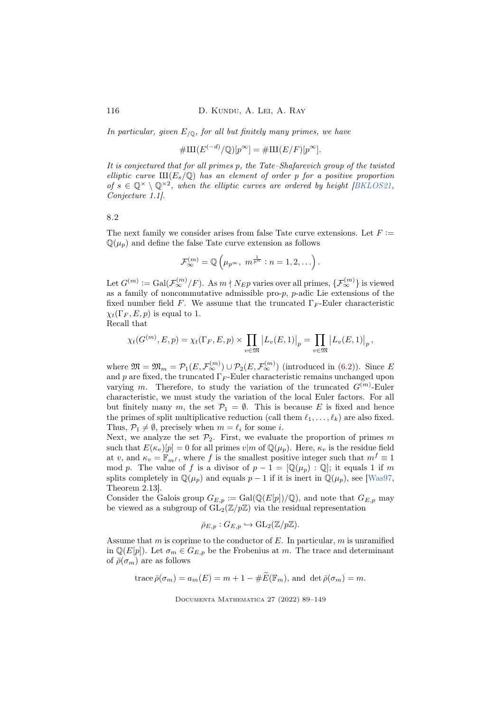In particular, given  $E_{/0}$ , for all but finitely many primes, we have

 $\#\text{III}(E^{(-d)}/\mathbb{Q})[p^{\infty}] = \#\text{III}(E/F)[p^{\infty}].$ 

It is conjectured that for all primes p, the Tate–Shafarevich group of the twisted elliptic curve  $\text{III}(E_s/\mathbb{Q})$  has an element of order p for a positive proportion of  $s \in \mathbb{Q}^{\times} \setminus \mathbb{Q}^{\times 2}$ , when the elliptic curves are ordered by height [\[BKLOS21,](#page-55-6) Conjecture 1.1].

<span id="page-27-0"></span>8.2

The next family we consider arises from false Tate curve extensions. Let  $F :=$  $\mathbb{Q}(\mu_p)$  and define the false Tate curve extension as follows

$$
\mathcal{F}_{\infty}^{(m)} = \mathbb{Q}\left(\mu_{p^{\infty}}, m^{\frac{1}{p^n}} : n = 1, 2, \ldots\right).
$$

Let  $G^{(m)} := \text{Gal}(\mathcal{F}_{\infty}^{(m)}/F)$ . As  $m \nmid N_{EP}$  varies over all primes,  $\{\mathcal{F}_{\infty}^{(m)}\}$  is viewed as a family of noncommutative admissible pro-p,  $p$ -adic Lie extensions of the fixed number field F. We assume that the truncated  $\Gamma_F$ -Euler characteristic  $\chi_t(\Gamma_F, E, p)$  is equal to 1.

Recall that

$$
\chi_t(G^{(m)}, E, p) = \chi_t(\Gamma_F, E, p) \times \prod_{v \in \mathfrak{M}} |L_v(E, 1)|_p = \prod_{v \in \mathfrak{M}} |L_v(E, 1)|_p,
$$

where  $\mathfrak{M} = \mathfrak{M}_m = \mathcal{P}_1(E, \mathcal{F}_{\infty}^{(m)}) \cup \mathcal{P}_2(E, \mathcal{F}_{\infty}^{(m)})$  (introduced in [\(6.2\)](#page-20-0)). Since E and p are fixed, the truncated  $\Gamma_F$ -Euler characteristic remains unchanged upon varying m. Therefore, to study the variation of the truncated  $G^{(m)}$ -Euler characteristic, we must study the variation of the local Euler factors. For all but finitely many m, the set  $\mathcal{P}_1 = \emptyset$ . This is because E is fixed and hence the primes of split multiplicative reduction (call them  $\ell_1, \ldots, \ell_k$ ) are also fixed. Thus,  $\mathcal{P}_1 \neq \emptyset$ , precisely when  $m = \ell_i$  for some *i*.

Next, we analyze the set  $\mathcal{P}_2$ . First, we evaluate the proportion of primes m such that  $E(\kappa_v)[p] = 0$  for all primes  $v|m$  of  $\mathbb{Q}(\mu_p)$ . Here,  $\kappa_v$  is the residue field at v, and  $\kappa_v = \mathbb{F}_{mf}$ , where f is the smallest positive integer such that  $m^f \equiv 1$ mod p. The value of f is a divisor of  $p - 1 = [\mathbb{Q}(\mu_p) : \mathbb{Q}]$ ; it equals 1 if m splits completely in  $\mathbb{Q}(\mu_p)$  and equals  $p-1$  if it is inert in  $\mathbb{Q}(\mu_p)$ , see [\[Was97,](#page-60-7) Theorem 2.13].

Consider the Galois group  $G_{E,p} := \text{Gal}(\mathbb{Q}(E[p])/\mathbb{Q})$ , and note that  $G_{E,p}$  may be viewed as a subgroup of  $GL_2(\mathbb{Z}/p\mathbb{Z})$  via the residual representation

$$
\bar{\rho}_{E,p}: G_{E,p} \hookrightarrow GL_2(\mathbb{Z}/p\mathbb{Z}).
$$

Assume that m is coprime to the conductor of  $E$ . In particular, m is unramified in  $\mathbb{Q}(E[p])$ . Let  $\sigma_m \in G_{E,p}$  be the Frobenius at m. The trace and determinant of  $\bar{\rho}(\sigma_m)$  are as follows

trace 
$$
\bar{\rho}(\sigma_m) = a_m(E) = m + 1 - \#E(\mathbb{F}_m)
$$
, and det  $\bar{\rho}(\sigma_m) = m$ .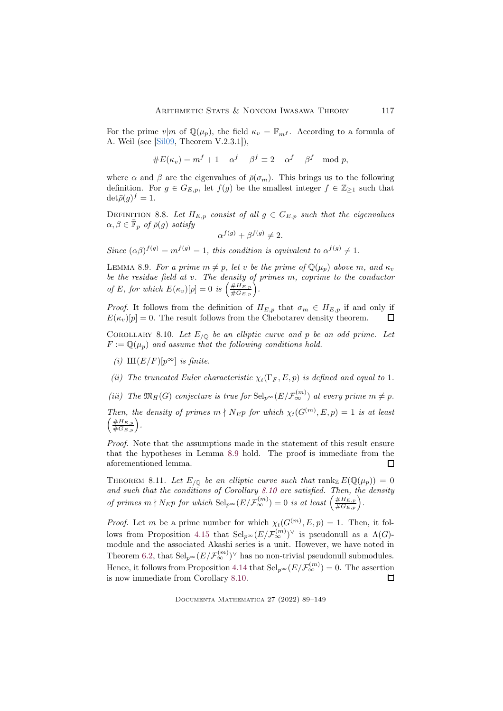For the prime  $v|m$  of  $\mathbb{Q}(\mu_p)$ , the field  $\kappa_v = \mathbb{F}_{m}$ . According to a formula of A. Weil (see [\[Sil09,](#page-60-6) Theorem V.2.3.1]),

#E(κv) = <sup>m</sup><sup>f</sup> + 1 <sup>−</sup> <sup>α</sup> <sup>f</sup> <sup>−</sup> <sup>β</sup> <sup>f</sup> <sup>≡</sup> <sup>2</sup> <sup>−</sup> <sup>α</sup> <sup>f</sup> <sup>−</sup> <sup>β</sup> <sup>f</sup> mod p,

where  $\alpha$  and  $\beta$  are the eigenvalues of  $\bar{\rho}(\sigma_m)$ . This brings us to the following definition. For  $g \in G_{E,p}$ , let  $f(g)$  be the smallest integer  $f \in \mathbb{Z}_{\geq 1}$  such that  $\det \bar{\rho}(g)^f = 1.$ 

DEFINITION 8.8. Let  $H_{E,p}$  consist of all  $g \in G_{E,p}$  such that the eigenvalues  $\alpha, \beta \in \bar{\mathbb{F}}_p$  of  $\bar{\rho}(g)$  satisfy

$$
\alpha^{f(g)} + \beta^{f(g)} \neq 2.
$$

Since  $(\alpha\beta)^{f(g)} = m^{f(g)} = 1$ , this condition is equivalent to  $\alpha^{f(g)} \neq 1$ .

<span id="page-28-1"></span>LEMMA 8.9. For a prime  $m \neq p$ , let v be the prime of  $\mathbb{Q}(\mu_n)$  above m, and  $\kappa_v$ be the residue field at v. The density of primes m, coprime to the conductor of E, for which  $E(\kappa_v)[p] = 0$  is  $\left(\frac{\#H_{E,p}}{\#G_{E,p}}\right)$ .

*Proof.* It follows from the definition of  $H_{E,p}$  that  $\sigma_m \in H_{E,p}$  if and only if  $E(\kappa_n)[p] = 0$ . The result follows from the Chebotarev density theorem.  $E(\kappa_v)[p] = 0$ . The result follows from the Chebotarev density theorem.

<span id="page-28-2"></span>COROLLARY 8.10. Let  $E_{/\mathbb{Q}}$  be an elliptic curve and p be an odd prime. Let  $F := \mathbb{Q}(\mu_p)$  and assume that the following conditions hold.

(i)  $\text{III}(E/F)[p^{\infty}]$  is finite.

(ii) The truncated Euler characteristic  $\chi_t(\Gamma_F, E, p)$  is defined and equal to 1.

(iii) The  $\mathfrak{M}_H(G)$  conjecture is true for  $\text{Sel}_{p^{\infty}}(E/\mathcal{F}_{\infty}^{(m)})$  at every prime  $m \neq p$ .

Then, the density of primes  $m \nmid N_{EP}$  for which  $\chi_t(G^{(m)}, E, p) = 1$  is at least  $\left(\frac{\#H_{E,p}}{\#G_{E,p}}\right).$ 

Proof. Note that the assumptions made in the statement of this result ensure that the hypotheses in Lemma [8.9](#page-28-1) hold. The proof is immediate from the aforementioned lemma. П

<span id="page-28-0"></span>THEOREM 8.11. Let  $E_{/\mathbb{Q}}$  be an elliptic curve such that  $\text{rank}_{\mathbb{Z}} E(\mathbb{Q}(\mu_p)) = 0$ and such that the conditions of Corollary [8.10](#page-28-2) are satisfied. Then, the density of primes  $m \nmid N_{EP}$  for which  $\text{Sel}_{p^{\infty}}(E/\mathcal{F}_{\infty}^{(m)}) = 0$  is at least  $\left( \frac{\#H_{E,p}}{\#G_{E,p}} \right)$ .

*Proof.* Let m be a prime number for which  $\chi_t(G^{(m)}, E, p) = 1$ . Then, it fol-lows from Proposition [4.15](#page-15-1) that  $\text{Sel}_{p^{\infty}}(E/\mathcal{F}_{\infty}^{(m)})^{\vee}$  is pseudonull as a  $\Lambda(G)$ module and the associated Akashi series is a unit. However, we have noted in Theorem [6.2,](#page-20-1) that  $\text{Sel}_{p^{\infty}}(E/\mathcal{F}_{\infty}^{(m)})^{\vee}$  has no non-trivial pseudonull submodules. Hence, it follows from Proposition [4.14](#page-15-0) that  $\text{Sel}_{p^{\infty}}(E/\mathcal{F}_{\infty}^{(m)}) = 0$ . The assertion is now immediate from Corollary [8.10.](#page-28-2)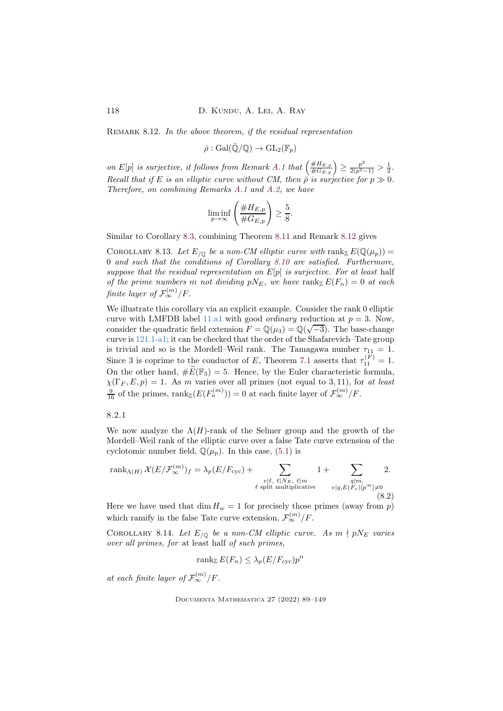<span id="page-29-1"></span>REMARK 8.12. In the above theorem, if the residual representation

 $\bar{\rho}: \text{Gal}(\bar{\mathbb{Q}}/\mathbb{Q}) \to \text{GL}_2(\mathbb{F}_p)$ 

on E[p] is surjective, it follows from Remark [A.1](#page-53-0) that  $\left(\frac{\#H_{E,p}}{\#G_{E,p}}\right) \geq \frac{p^2}{2(p^2-1)} > \frac{1}{2}$ . Recall that if E is an elliptic curve without CM, then  $\bar{\rho}$  is surjective for  $p \gg 0$ . Therefore, on combining Remarks [A.1](#page-53-0) and [A.2,](#page-54-0) we have

$$
\liminf_{p \to \infty} \left( \frac{\#H_{E,p}}{\#G_{E,p}} \right) \ge \frac{5}{8}
$$

.

Similar to Corollary [8.3,](#page-25-0) combining Theorem [8.11](#page-28-0) and Remark [8.12](#page-29-1) gives

COROLLARY 8.13. Let  $E_{/\mathbb{Q}}$  be a non-CM elliptic curve with rank  $E(\mathbb{Q}(\mu_p)) =$ 0 and such that the conditions of Corollary [8.10](#page-28-2) are satisfied. Furthermore, suppose that the residual representation on  $E[p]$  is surjective. For at least half of the prime numbers m not dividing  $pN_E$ , we have rank  $E(F_n) = 0$  at each finite layer of  $\mathcal{F}_{\infty}^{(m)}/F$ .

We illustrate this corollary via an explicit example. Consider the rank 0 elliptic curve with LMFDB label [11.a1](https://www.lmfdb.org/EllipticCurve/Q/11/a/1) with good *ordinary* reduction at  $p = 3$ . Now, consider the quadratic field extension  $F = \mathbb{Q}(\mu_3) = \mathbb{Q}(\sqrt{-3})$ . The base-change curve is [121.1-a1;](https://www.lmfdb.org/EllipticCurve/2.0.3.1/121.1/a/1) it can be checked that the order of the Shafarevich–Tate group is trivial and so is the Mordell–Weil rank. The Tamagawa number  $\tau_{11} = 1$ . Since 3 is coprime to the conductor of E, Theorem [7.1](#page-21-1) asserts that  $\tau_{11}^{(F)} = 1$ . On the other hand,  $\#\widetilde{E}(\mathbb{F}_3) = 5$ . Hence, by the Euler characteristic formula,  $\chi(\Gamma_F, E, p) = 1$ . As m varies over all primes (not equal to 3, 11), for at least  $\frac{9}{16}$  of the primes,  $\text{rank}_{\mathbb{Z}}(E(F_n^{(m)})) = 0$  at each finite layer of  $\mathcal{F}_{\infty}^{(m)}/F$ .

<span id="page-29-0"></span>8.2.1

We now analyze the  $\Lambda(H)$ -rank of the Selmer group and the growth of the Mordell–Weil rank of the elliptic curve over a false Tate curve extension of the cyclotomic number field,  $\mathbb{Q}(\mu_p)$ . In this case, [\(5.1\)](#page-16-2) is

rank<sub>\Lambda(H)</sub> 
$$
\mathcal{X}(E/\mathcal{F}_{\infty}^{(m)})_f = \lambda_p(E/F_{\text{cyc}}) + \sum_{\substack{v|\ell, \ell|N_E, \ell|m \\ \ell \text{ split multiplicative}}} 1 + \sum_{\substack{q|m, \\ v|q, E(F_v)[p^{\infty}]\neq 0}} 2.
$$
 (8.2)

Here we have used that  $\dim H_w = 1$  for precisely those primes (away from p) which ramify in the false Tate curve extension,  $\mathcal{F}_{\infty}^{(m)}/F$ .

COROLLARY 8.14. Let  $E_{/\mathbb{Q}}$  be a non-CM elliptic curve. As  $m \nmid pN_E$  varies over all primes, for at least half of such primes,

<span id="page-29-2"></span>
$$
\operatorname{rank}_{\mathbb{Z}} E(F_n) \le \lambda_p (E/F_{\text{cyc}}) p^n
$$

at each finite layer of  $\mathcal{F}_{\infty}^{(m)}/F$ .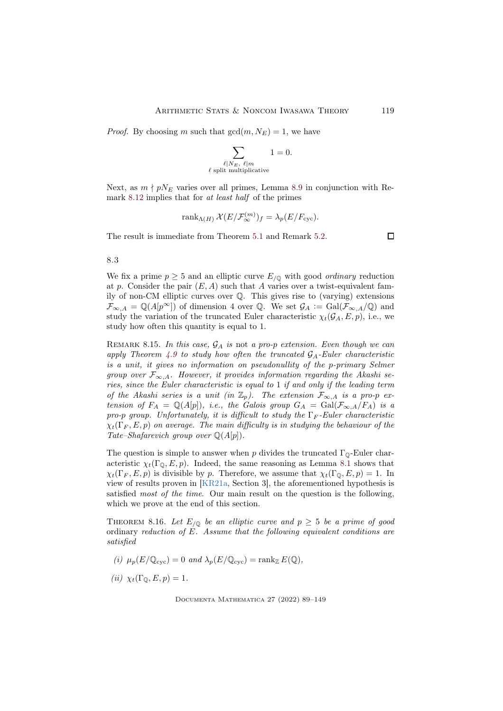*Proof.* By choosing m such that  $gcd(m, N_E) = 1$ , we have

$$
\sum_{\substack{\ell \mid N_E, \ \ell \mid m \\ \ell \ \text{split multiplicative}}} 1 = 0.
$$

Next, as  $m \nmid pN_E$  varies over all primes, Lemma [8.9](#page-28-1) in conjunction with Remark [8.12](#page-29-1) implies that for at least half of the primes

$$
\operatorname{rank}_{\Lambda(H)} \mathcal{X}(E/\mathcal{F}_{\infty}^{(m)})_f = \lambda_p(E/F_{\text{cyc}}).
$$

The result is immediate from Theorem [5.1](#page-16-3) and Remark [5.2.](#page-16-4)

<span id="page-30-1"></span>8.3

We fix a prime  $p \geq 5$  and an elliptic curve  $E_{\text{O}}$  with good *ordinary* reduction at p. Consider the pair  $(E, A)$  such that A varies over a twist-equivalent family of non-CM elliptic curves over Q. This gives rise to (varying) extensions  $\mathcal{F}_{\infty,A} = \mathbb{Q}(A[p^{\infty}])$  of dimension 4 over Q. We set  $\mathcal{G}_A := \text{Gal}(\mathcal{F}_{\infty,A}/\mathbb{Q})$  and study the variation of the truncated Euler characteristic  $\chi_t(\mathcal{G}_A, E, p)$ , i.e., we study how often this quantity is equal to 1.

<span id="page-30-2"></span>REMARK 8.15. In this case,  $\mathcal{G}_A$  is not a pro-p extension. Even though we can apply Theorem [4.9](#page-13-0) to study how often the truncated  $G_A$ -Euler characteristic is a unit, it gives no information on pseudonullity of the p-primary Selmer group over  $\mathcal{F}_{\infty,A}$ . However, it provides information regarding the Akashi series, since the Euler characteristic is equal to 1 if and only if the leading term of the Akashi series is a unit (in  $\mathbb{Z}_p$ ). The extension  $\mathcal{F}_{\infty,A}$  is a pro-p extension of  $F_A = \mathbb{Q}(A[p])$ , i.e., the Galois group  $G_A = \text{Gal}(\mathcal{F}_{\infty,A}/F_A)$  is a pro-p group. Unfortunately, it is difficult to study the  $\Gamma_F$ -Euler characteristic  $\chi_t(\Gamma_F, E, p)$  on average. The main difficulty is in studying the behaviour of the Tate–Shafarevich group over  $\mathbb{Q}(A[p])$ .

The question is simple to answer when p divides the truncated  $\Gamma_{\mathbb{Q}}$ -Euler characteristic  $\chi_t(\Gamma_0, E, p)$ . Indeed, the same reasoning as Lemma [8.1](#page-23-1) shows that  $\chi_t(\Gamma_F, E, p)$  is divisible by p. Therefore, we assume that  $\chi_t(\Gamma_{\mathbb{Q}}, E, p) = 1$ . In view of results proven in [\[KR21a,](#page-58-3) Section 3], the aforementioned hypothesis is satisfied most of the time. Our main result on the question is the following, which we prove at the end of this section.

<span id="page-30-0"></span>THEOREM 8.16. Let  $E_{/\mathbb{Q}}$  be an elliptic curve and  $p \geq 5$  be a prime of good ordinary reduction of  $\overline{E}$ . Assume that the following equivalent conditions are satisfied

(i) 
$$
\mu_p(E/\mathbb{Q}_{\text{cyc}}) = 0
$$
 and  $\lambda_p(E/\mathbb{Q}_{\text{cyc}}) = \text{rank}_{\mathbb{Z}} E(\mathbb{Q}),$ 

$$
(ii) \ \chi_t(\Gamma_{\mathbb{Q}}, E, p) = 1.
$$

Documenta Mathematica 27 (2022) 89–149

 $\Box$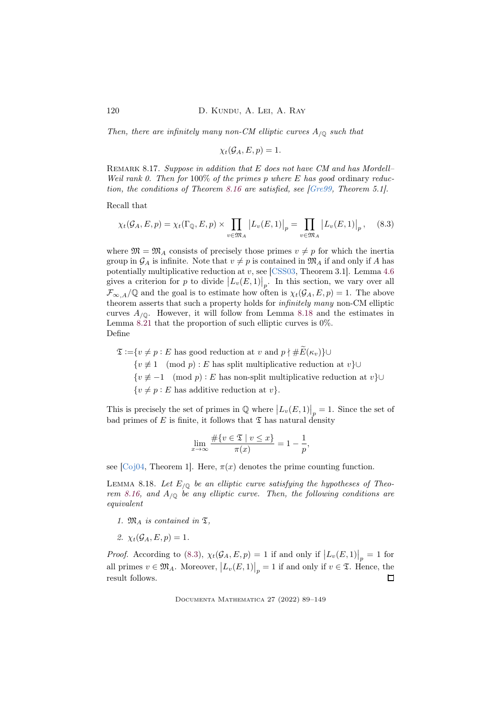Then, there are infinitely many non-CM elliptic curves  $A_{\sqrt{Q}}$  such that

$$
\chi_t(\mathcal{G}_A, E, p) = 1.
$$

REMARK 8.17. Suppose in addition that  $E$  does not have  $CM$  and has Mordell– Weil rank 0. Then for  $100\%$  of the primes p where E has good ordinary reduction, the conditions of Theorem [8.16](#page-30-0) are satisfied, see [\[Gre99,](#page-57-13) Theorem 5.1].

Recall that

<span id="page-31-1"></span>
$$
\chi_t(\mathcal{G}_A, E, p) = \chi_t(\Gamma_{\mathbb{Q}}, E, p) \times \prod_{v \in \mathfrak{M}_A} \left| L_v(E, 1) \right|_p = \prod_{v \in \mathfrak{M}_A} \left| L_v(E, 1) \right|_p, \quad (8.3)
$$

where  $\mathfrak{M} = \mathfrak{M}_A$  consists of precisely those primes  $v \neq p$  for which the inertia group in  $\mathcal{G}_A$  is infinite. Note that  $v \neq p$  is contained in  $\mathfrak{M}_A$  if and only if A has potentially multiplicative reduction at v, see [\[CSS03,](#page-56-0) Theorem 3.1]. Lemma [4.6](#page-13-2) gives a criterion for p to divide  $|L_v(E, 1)|_p$ . In this section, we vary over all  $\mathcal{F}_{\infty,A}/\mathbb{Q}$  and the goal is to estimate how often is  $\chi_t(\mathcal{G}_A, E, p) = 1$ . The above theorem asserts that such a property holds for infinitely many non-CM elliptic curves  $A_{\sqrt{0}}$ . However, it will follow from Lemma [8.18](#page-31-0) and the estimates in Lemma [8.21](#page-33-1) that the proportion of such elliptic curves is 0%. Define

 $\mathfrak{T} := \{v \neq p : E \text{ has good reduction at } v \text{ and } p \nmid \# \widetilde{E}(\kappa_v)\} \cup$  $\{v \not\equiv 1 \pmod{p} : E$  has split multiplicative reduction at  $v$ }∪ { $v \not\equiv -1 \pmod{p}$ : E has non-split multiplicative reduction at  $v$ }∪  $\{v \neq p : E$  has additive reduction at  $v\}.$ 

This is precisely the set of primes in  $\mathbb{Q}$  where  $|L_v(E,1)|_p = 1$ . Since the set of bad primes of E is finite, it follows that  $\mathfrak T$  has natural density

$$
\lim_{x \to \infty} \frac{\#\{v \in \mathfrak{T} \mid v \le x\}}{\pi(x)} = 1 - \frac{1}{p},
$$

see [\[Coj04,](#page-56-8) Theorem 1]. Here,  $\pi(x)$  denotes the prime counting function.

<span id="page-31-0"></span>LEMMA 8.18. Let  $E_{/\mathbb{Q}}$  be an elliptic curve satisfying the hypotheses of Theo-rem [8.16,](#page-30-0) and  $A_{\sqrt{Q}}$  be any elliptic curve. Then, the following conditions are equivalent

- 1.  $\mathfrak{M}_A$  is contained in  $\mathfrak{T}$ ,
- 2.  $\chi_t(\mathcal{G}_A, E, p) = 1$ .

*Proof.* According to [\(8.3\)](#page-31-1),  $\chi_t(\mathcal{G}_A, E, p) = 1$  if and only if  $|L_v(E, 1)|_p = 1$  for all primes  $v \in \mathfrak{M}_A$ . Moreover,  $|L_v(E,1)|_p = 1$  if and only if  $v \in \mathfrak{T}$ . Hence, the result follows.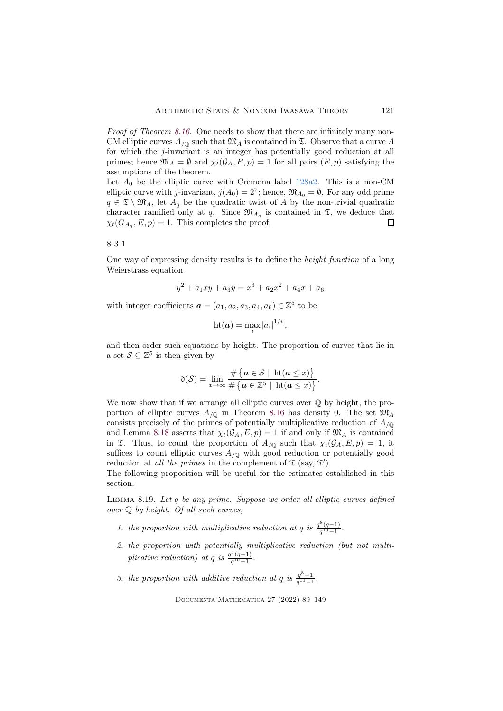Proof of Theorem [8.16.](#page-30-0) One needs to show that there are infinitely many non-CM elliptic curves  $A_{\sqrt{0}}$  such that  $\mathfrak{M}_A$  is contained in  $\mathfrak{T}$ . Observe that a curve A for which the j-invariant is an integer has potentially good reduction at all primes; hence  $\mathfrak{M}_A = \emptyset$  and  $\chi_t(\mathcal{G}_A, E, p) = 1$  for all pairs  $(E, p)$  satisfying the assumptions of the theorem.

Let  $A_0$  be the elliptic curve with Cremona label [128a2.](https://www.lmfdb.org/EllipticCurve/Q/128/a/1) This is a non-CM elliptic curve with j-invariant,  $j(A_0) = 2^7$ ; hence,  $\mathfrak{M}_{A_0} = \emptyset$ . For any odd prime  $q \in \mathfrak{T} \setminus \mathfrak{M}_A$ , let  $A_q$  be the quadratic twist of A by the non-trivial quadratic character ramified only at q. Since  $\mathfrak{M}_{A_q}$  is contained in  $\mathfrak{T}$ , we deduce that  $\chi_t(G_{A_q}, E, p) = 1$ . This completes the proof. П

8.3.1

One way of expressing density results is to define the height function of a long Weierstrass equation

$$
y^2 + a_1xy + a_3y = x^3 + a_2x^2 + a_4x + a_6
$$

with integer coefficients  $\boldsymbol{a} = (a_1, a_2, a_3, a_4, a_6) \in \mathbb{Z}^5$  to be

$$
\mathrm{ht}(\boldsymbol{a})=\max_{i}\left|a_{i}\right|^{1/i},
$$

and then order such equations by height. The proportion of curves that lie in a set  $S \subseteq \mathbb{Z}^5$  is then given by

$$
\mathfrak{d}(\mathcal{S}) = \lim_{x \to \infty} \frac{\# \{ a \in \mathcal{S} \mid \mathrm{ht}(a \leq x) \}}{\# \{ a \in \mathbb{Z}^5 \mid \mathrm{ht}(a \leq x) \}}.
$$

We now show that if we arrange all elliptic curves over  $\mathbb{Q}$  by height, the proportion of elliptic curves  $A_{\sqrt{0}}$  in Theorem [8.16](#page-30-0) has density 0. The set  $\mathfrak{M}_A$ consists precisely of the primes of potentially multiplicative reduction of  $A_{\sqrt{Q}}$ and Lemma [8.18](#page-31-0) asserts that  $\chi_t(\mathcal{G}_A, E, p) = 1$  if and only if  $\mathfrak{M}_A$  is contained in  $\mathfrak T$ . Thus, to count the proportion of  $A_{/\mathbb Q}$  such that  $\chi_t(\mathcal G_A, E, p) = 1$ , it suffices to count elliptic curves  $A_{\sqrt{Q}}$  with good reduction or potentially good reduction at *all the primes* in the complement of  $\mathfrak{T}$  (say,  $\mathfrak{T}'$ ).

The following proposition will be useful for the estimates established in this section.

<span id="page-32-0"></span>Lemma 8.19. Let q be any prime. Suppose we order all elliptic curves defined over Q by height. Of all such curves,

- 1. the proportion with multiplicative reduction at q is  $\frac{q^8(q-1)}{q^{10}-1}$  $\frac{(q-1)}{q^{10}-1}$ .
- 2. the proportion with potentially multiplicative reduction (but not multiplicative reduction) at q is  $\frac{q^3(q-1)}{q^{10}-1}$  $\frac{(q-1)}{q^{10}-1}$ .
- 3. the proportion with additive reduction at q is  $q^{8}-1 \over q^{10}-1$ .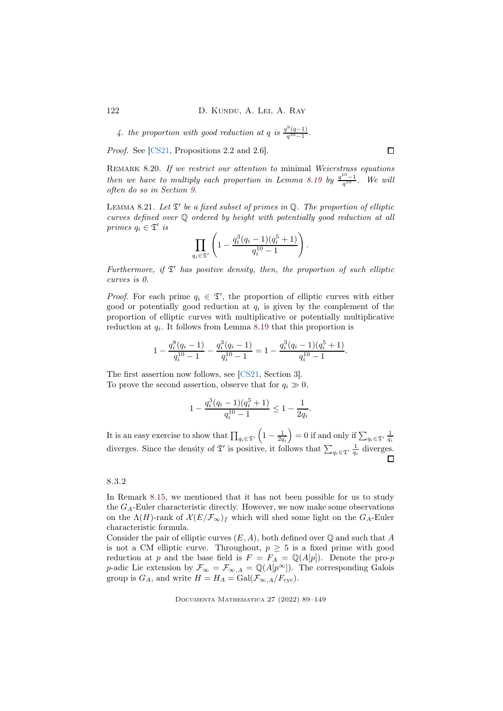4. the proportion with good reduction at q is  $\frac{q^9(q-1)}{q^{10}-1}$  $\frac{(q-1)}{q^{10}-1}$ .

Proof. See [\[CS21,](#page-56-9) Propositions 2.2 and 2.6].

<span id="page-33-2"></span>REMARK 8.20. If we restrict our attention to minimal Weierstrass equations then we have to multiply each proportion in Lemma [8.19](#page-32-0) by  $\frac{q^{10}-1}{q^{10}}$ . We will often do so in Section [9.](#page-34-1)

<span id="page-33-1"></span>LEMMA 8.21. Let  $\mathfrak{T}'$  be a fixed subset of primes in Q. The proportion of elliptic curves defined over Q ordered by height with potentially good reduction at all primes  $q_i \in \mathfrak{T}'$  is

$$
\prod_{q_i \in \mathfrak{T}'} \left(1 - \frac{q_i^3(q_i-1)(q_i^5+1)}{q_i^{10}-1}\right).
$$

Furthermore, if  $\mathfrak{T}'$  has positive density, then, the proportion of such elliptic curves is 0.

*Proof.* For each prime  $q_i \in \mathcal{I}'$ , the proportion of elliptic curves with either good or potentially good reduction at  $q_i$  is given by the complement of the proportion of elliptic curves with multiplicative or potentially multiplicative reduction at  $q_i$ . It follows from Lemma [8.19](#page-32-0) that this proportion is

$$
1 - \frac{q_i^8(q_i - 1)}{q_i^{10} - 1} - \frac{q_i^3(q_i - 1)}{q_i^{10} - 1} = 1 - \frac{q_i^3(q_i - 1)(q_i^5 + 1)}{q_i^{10} - 1}.
$$

The first assertion now follows, see [\[CS21,](#page-56-9) Section 3]. To prove the second assertion, observe that for  $q_i \gg 0$ ,

1 −

$$
-\frac{q_i^3(q_i-1)(q_i^5+1)}{q_i^{10}-1} \le 1 - \frac{1}{2q_i}.
$$

It is an easy exercise to show that  $\prod_{q_i \in \mathfrak{T}'}$  $\left(1-\frac{1}{2q_i}\right)$ ) = 0 if and only if  $\sum_{q_i \in \mathfrak{T}'} \frac{1}{q_i}$ diverges. Since the density of  $\mathfrak{T}'$  is positive, it follows that  $\sum_{q_i \in \mathfrak{T}'} \frac{1}{q_i}$  diverges.

## <span id="page-33-0"></span>8.3.2

In Remark [8.15,](#page-30-2) we mentioned that it has not been possible for us to study the  $G_A$ -Euler characteristic directly. However, we now make some observations on the  $\Lambda(H)$ -rank of  $\mathcal{X}(E/\mathcal{F}_{\infty})_f$  which will shed some light on the  $G_A$ -Euler characteristic formula.

Consider the pair of elliptic curves  $(E, A)$ , both defined over  $\mathbb Q$  and such that A is not a CM elliptic curve. Throughout,  $p \geq 5$  is a fixed prime with good reduction at p and the base field is  $F = F_A = \mathbb{Q}(A[p])$ . Denote the pro-p p-adic Lie extension by  $\mathcal{F}_{\infty} = \mathcal{F}_{\infty,A} = \mathbb{Q}(A[p^{\infty}])$ . The corresponding Galois group is  $G_A$ , and write  $H = H_A = \text{Gal}(\mathcal{F}_{\infty,A}/F_{\text{cyc}})$ .

Documenta Mathematica 27 (2022) 89–149

 $\Box$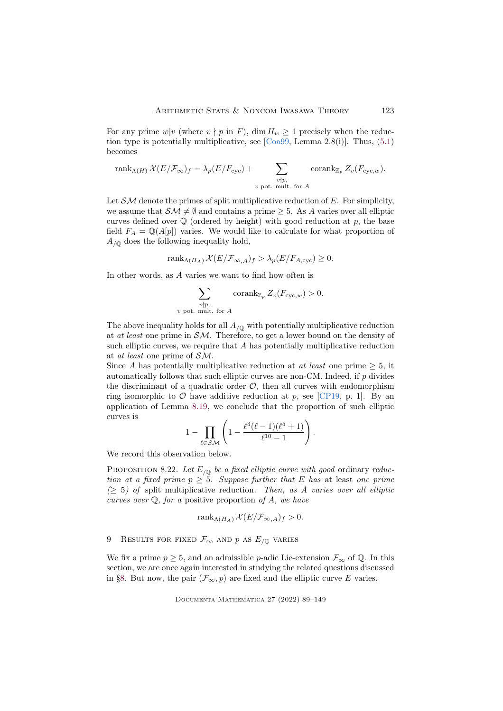For any prime w|v (where  $v \nmid p$  in F), dim  $H_w \ge 1$  precisely when the reduction type is potentially multiplicative, see  $[Coa99, Lemma 2.8(i)]$ . Thus,  $(5.1)$ becomes

$$
rank_{\Lambda(H)} \mathcal{X}(E/\mathcal{F}_{\infty})_f = \lambda_p(E/F_{\text{cyc}}) + \sum_{\substack{v \nmid p, \\ v \text{ pot. mult. for } A}} \text{corank}_{\mathbb{Z}_p} Z_v(F_{\text{cyc},w}).
$$

Let  $\mathcal{SM}$  denote the primes of split multiplicative reduction of E. For simplicity, we assume that  $\mathcal{SM} \neq \emptyset$  and contains a prime  $\geq 5$ . As A varies over all elliptic curves defined over  $\mathbb Q$  (ordered by height) with good reduction at p, the base field  $F_A = \mathbb{Q}(A[p])$  varies. We would like to calculate for what proportion of  $A_{/\mathbb{Q}}$  does the following inequality hold,

rank<sub>Λ(H<sub>A</sub>)</sub>  $\mathcal{X}(E/\mathcal{F}_{\infty,A})_f > \lambda_p(E/F_{A,\text{cyc}}) \geq 0.$ 

In other words, as A varies we want to find how often is

$$
\sum_{\substack{v\nmid p,\\v \text{ pot. mult. for } A}} \operatorname{corank}_{\mathbb{Z}_p} Z_v(F_{\operatorname{cyc},w}) > 0.
$$

The above inequality holds for all  $A_{\sqrt{Q}}$  with potentially multiplicative reduction at *at least* one prime in  $\mathcal{SM}$ . Therefore, to get a lower bound on the density of such elliptic curves, we require that  $A$  has potentially multiplicative reduction at at least one prime of SM.

Since A has potentially multiplicative reduction at at least one prime  $\geq 5$ , it automatically follows that such elliptic curves are non-CM. Indeed, if p divides the discriminant of a quadratic order  $\mathcal{O}$ , then all curves with endomorphism ring isomorphic to  $\mathcal O$  have additive reduction at p, see [\[CP19,](#page-56-10) p. 1]. By an application of Lemma [8.19,](#page-32-0) we conclude that the proportion of such elliptic curves is

$$
1-\prod_{\ell\in \mathcal{SM}}\left(1-\frac{\ell^3(\ell-1)(\ell^5+1)}{\ell^{10}-1}\right).
$$

We record this observation below.

<span id="page-34-0"></span>PROPOSITION 8.22. Let  $E_{\sqrt{Q}}$  be a fixed elliptic curve with good ordinary reduction at a fixed prime  $p \geq 5$ . Suppose further that E has at least one prime  $(2\ 5)$  of split multiplicative reduction. Then, as A varies over all elliptic curves over  $\mathbb Q$ , for a positive proportion of A, we have

$$
rank_{\Lambda(H_A)} \mathcal{X}(E/\mathcal{F}_{\infty,A})_f > 0.
$$

<span id="page-34-1"></span>9 RESULTS FOR FIXED  $\mathcal{F}_{\infty}$  and p as  $E_{/\mathbb{Q}}$  varies

We fix a prime  $p \geq 5$ , and an admissible p-adic Lie-extension  $\mathcal{F}_{\infty}$  of Q. In this section, we are once again interested in studying the related questions discussed in [§8.](#page-22-0) But now, the pair  $(\mathcal{F}_{\infty}, p)$  are fixed and the elliptic curve E varies.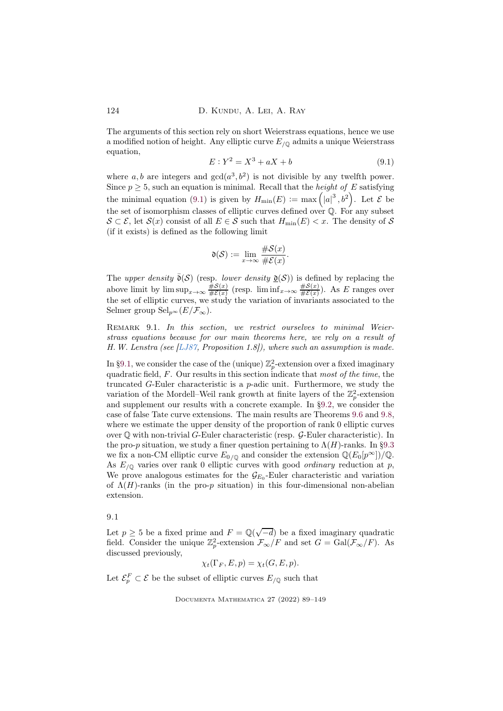<span id="page-35-0"></span>The arguments of this section rely on short Weierstrass equations, hence we use a modified notion of height. Any elliptic curve  $E_{\sqrt{Q}}$  admits a unique Weierstrass equation,

$$
E: Y^2 = X^3 + aX + b \tag{9.1}
$$

where a, b are integers and  $gcd(a^3, b^2)$  is not divisible by any twelfth power. Since  $p \geq 5$ , such an equation is minimal. Recall that the *height of E* satisfying the minimal equation [\(9.1\)](#page-35-0) is given by  $H_{\text{min}}(E) := \max\left(|a|^3, b^2\right)$ . Let  $\mathcal E$  be the set of isomorphism classes of elliptic curves defined over  $\mathbb{Q}$ . For any subset  $S \subset \mathcal{E}$ , let  $\mathcal{S}(x)$  consist of all  $E \in \mathcal{S}$  such that  $H_{\min}(E) < x$ . The density of  $\mathcal{S}$ (if it exists) is defined as the following limit

$$
\mathfrak{d}(\mathcal{S}) := \lim_{x \to \infty} \frac{\#\mathcal{S}(x)}{\#\mathcal{E}(x)}.
$$

The upper density  $\bar{\mathfrak{d}}(\mathcal{S})$  (resp. lower density  $\underline{\mathfrak{d}}(\mathcal{S})$ ) is defined by replacing the above limit by  $\limsup_{x\to\infty} \frac{\#S(x)}{\#E(x)}$  $\frac{\#S(x)}{\#E(x)}$  (resp.  $\liminf_{x\to\infty} \frac{\#S(x)}{\#E(x)}$  $\frac{\#8(x)}{\#E(x)}$ ). As E ranges over the set of elliptic curves, we study the variation of invariants associated to the Selmer group  $\text{Sel}_{n^{\infty}}(E/\mathcal{F}_{\infty}).$ 

REMARK 9.1. In this section, we restrict ourselves to minimal Weierstrass equations because for our main theorems here, we rely on a result of H.W. Lenstra (see [\[LJ87,](#page-58-11) Proposition 1.8]), where such an assumption is made.

In [§9.1,](#page-35-1) we consider the case of the (unique)  $\mathbb{Z}_p^2$ -extension over a fixed imaginary quadratic field,  $F$ . Our results in this section indicate that most of the time, the truncated  $G$ -Euler characteristic is a  $p$ -adic unit. Furthermore, we study the variation of the Mordell–Weil rank growth at finite layers of the  $\mathbb{Z}_p^2$ -extension and supplement our results with a concrete example. In [§9.2,](#page-39-0) we consider the case of false Tate curve extensions. The main results are Theorems [9.6](#page-41-0) and [9.8,](#page-43-0) where we estimate the upper density of the proportion of rank 0 elliptic curves over  $\mathbb Q$  with non-trivial G-Euler characteristic (resp.  $\mathcal G$ -Euler characteristic). In the pro-p situation, we study a finer question pertaining to  $\Lambda(H)$ -ranks. In [§9.3](#page-43-1) we fix a non-CM elliptic curve  $E_{0/\mathbb{Q}}$  and consider the extension  $\mathbb{Q}(E_0[p^\infty])/\mathbb{Q}$ . As  $E_{\sqrt{Q}}$  varies over rank 0 elliptic curves with good *ordinary* reduction at p, We prove analogous estimates for the  $\mathcal{G}_{E_0}$ -Euler characteristic and variation of  $\Lambda(H)$ -ranks (in the pro-p situation) in this four-dimensional non-abelian extension.

<span id="page-35-1"></span>9.1

Let  $p \geq 5$  be a fixed prime and  $F = \mathbb{Q}(\sqrt{-d})$  be a fixed imaginary quadratic field. Consider the unique  $\mathbb{Z}_p^2$ -extension  $\mathcal{F}_{\infty}/F$  and set  $G = \text{Gal}(\mathcal{F}_{\infty}/F)$ . As discussed previously,

$$
\chi_t(\Gamma_F, E, p) = \chi_t(G, E, p).
$$

Let  $\mathcal{E}_p^F \subset \mathcal{E}$  be the subset of elliptic curves  $E_{/\mathbb{Q}}$  such that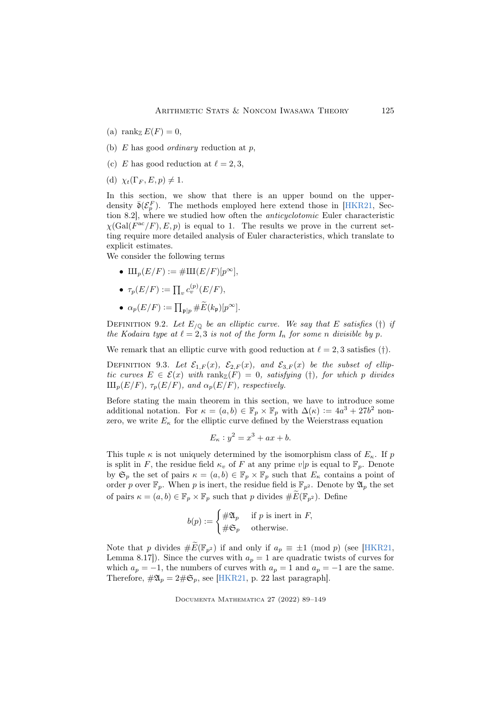- (a) rank $\mathbb{E}(F) = 0$ ,
- (b)  $E$  has good *ordinary* reduction at  $p$ ,
- (c) E has good reduction at  $\ell = 2, 3$ ,
- (d)  $\chi_t(\Gamma_F, E, p) \neq 1$ .

In this section, we show that there is an upper bound on the upperdensity  $\bar{\mathfrak{d}}(\mathcal{E}_p^F)$ . The methods employed here extend those in [\[HKR21,](#page-57-5) Section 8.2], where we studied how often the anticyclotomic Euler characteristic  $\chi(Gal(F^{ac}/F), E, p)$  is equal to 1. The results we prove in the current setting require more detailed analysis of Euler characteristics, which translate to explicit estimates.

We consider the following terms

•  $\text{III}_p(E/F) := \# \text{III}(E/F)[p^{\infty}],$ 

• 
$$
\tau_p(E/F) := \prod_v c_v^{(p)}(E/F),
$$

•  $\alpha_p(E/F) := \prod_{\mathfrak{p} \mid p} \# \widetilde{E}(k_\mathfrak{p})[p^\infty].$ 

DEFINITION 9.2. Let  $E_{\text{/}0}$  be an elliptic curve. We say that E satisfies (†) if the Kodaira type at  $\ell = 2, 3$  is not of the form  $I_n$  for some n divisible by p.

We remark that an elliptic curve with good reduction at  $\ell = 2, 3$  satisfies (†).

DEFINITION 9.3. Let  $\mathcal{E}_{1,F}(x)$ ,  $\mathcal{E}_{2,F}(x)$ , and  $\mathcal{E}_{3,F}(x)$  be the subset of elliptic curves  $E \in \mathcal{E}(x)$  with  $\text{rank}_{\mathbb{Z}}(F) = 0$ , satisfying (†), for which p divides  $\amalg_{\mathcal{D}}(E/F), \tau_{\mathcal{D}}(E/F),$  and  $\alpha_{\mathcal{D}}(E/F),$  respectively.

Before stating the main theorem in this section, we have to introduce some additional notation. For  $\kappa = (a, b) \in \mathbb{F}_p \times \mathbb{F}_p$  with  $\Delta(\kappa) := 4a^3 + 27b^2$  nonzero, we write  $E_{\kappa}$  for the elliptic curve defined by the Weierstrass equation

$$
E_{\kappa} : y^2 = x^3 + ax + b.
$$

This tuple  $\kappa$  is not uniquely determined by the isomorphism class of  $E_{\kappa}$ . If p is split in F, the residue field  $\kappa_v$  of F at any prime  $v|p$  is equal to  $\mathbb{F}_p$ . Denote by  $\mathfrak{S}_p$  the set of pairs  $\kappa = (a, b) \in \mathbb{F}_p \times \mathbb{F}_p$  such that  $E_\kappa$  contains a point of order p over  $\mathbb{F}_p$ . When p is inert, the residue field is  $\mathbb{F}_{p^2}$ . Denote by  $\mathfrak{A}_p$  the set of pairs  $\kappa = (a, b) \in \mathbb{F}_p \times \mathbb{F}_p$  such that p divides  $\#E(\mathbb{F}_{p^2})$ . Define

$$
b(p) := \begin{cases} \#\mathfrak{A}_p & \text{if } p \text{ is inert in } F, \\ \#\mathfrak{S}_p & \text{otherwise.} \end{cases}
$$

Note that p divides  $\#E(\mathbb{F}_{p^2})$  if and only if  $a_p \equiv \pm 1 \pmod{p}$  (see [\[HKR21,](#page-57-5) Lemma 8.17]). Since the curves with  $a_p = 1$  are quadratic twists of curves for which  $a_p = -1$ , the numbers of curves with  $a_p = 1$  and  $a_p = -1$  are the same. Therefore,  $\#\mathfrak{A}_p = 2\#\mathfrak{S}_p$ , see [\[HKR21,](#page-57-5) p. 22 last paragraph].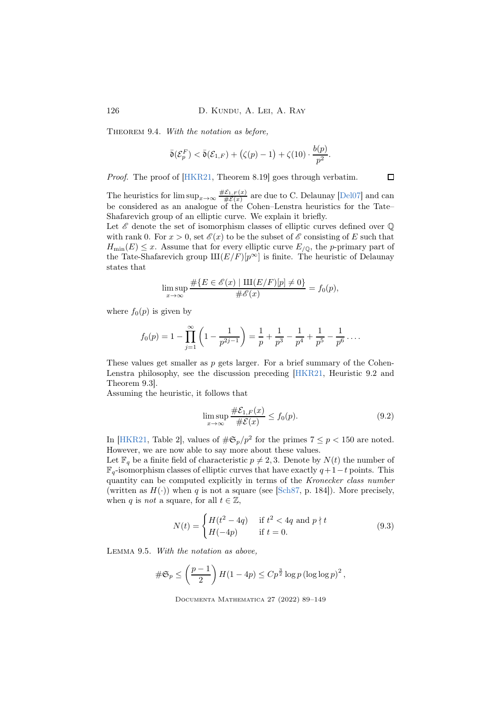THEOREM 9.4. With the notation as before,

$$
\bar{\mathfrak{d}}(\mathcal{E}_{p}^{F}) < \bar{\mathfrak{d}}(\mathcal{E}_{1,F}) + (\zeta(p)-1) + \zeta(10) \cdot \frac{b(p)}{p^{2}}.
$$

Proof. The proof of [\[HKR21,](#page-57-5) Theorem 8.19] goes through verbatim.

The heuristics for  $\limsup_{x\to\infty} \frac{\#E_{1,F}(x)}{\#E(x)}$  are due to C. Delaunay [\[Del07\]](#page-56-11) and can be considered as an analogue of the Cohen–Lenstra heuristics for the Tate– Shafarevich group of an elliptic curve. We explain it briefly.

Let  $\mathscr E$  denote the set of isomorphism classes of elliptic curves defined over  $\mathbb Q$ with rank 0. For  $x > 0$ , set  $\mathscr{E}(x)$  to be the subset of  $\mathscr{E}$  consisting of E such that  $H_{\text{min}}(E) \leq x$ . Assume that for every elliptic curve  $E_{\text{Q}}$ , the p-primary part of the Tate-Shafarevich group  $\text{III}(E/F)[p^{\infty}]$  is finite. The heuristic of Delaunay states that

$$
\limsup_{x \to \infty} \frac{\#\{E \in \mathscr{E}(x) \mid \mathrm{III}(E/F)[p] \neq 0\}}{\#\mathscr{E}(x)} = f_0(p),
$$

where  $f_0(p)$  is given by

$$
f_0(p) = 1 - \prod_{j=1}^{\infty} \left( 1 - \frac{1}{p^{2j-1}} \right) = \frac{1}{p} + \frac{1}{p^3} - \frac{1}{p^4} + \frac{1}{p^5} - \frac{1}{p^6} \dots
$$

These values get smaller as  $p$  gets larger. For a brief summary of the Cohen-Lenstra philosophy, see the discussion preceding [\[HKR21,](#page-57-5) Heuristic 9.2 and Theorem 9.3].

Assuming the heuristic, it follows that

<span id="page-37-0"></span>
$$
\limsup_{x \to \infty} \frac{\#\mathcal{E}_{1,F}(x)}{\#\mathcal{E}(x)} \le f_0(p). \tag{9.2}
$$

In [\[HKR21,](#page-57-5) Table 2], values of  $\#\mathfrak{S}_p/p^2$  for the primes  $7 \le p < 150$  are noted. However, we are now able to say more about these values.

Let  $\mathbb{F}_q$  be a finite field of characteristic  $p \neq 2, 3$ . Denote by  $N(t)$  the number of  $\mathbb{F}_q$ -isomorphism classes of elliptic curves that have exactly  $q+1-t$  points. This quantity can be computed explicitly in terms of the Kronecker class number (written as  $H(.)$ ) when q is not a square (see [\[Sch87,](#page-59-11) p. 184]). More precisely, when q is not a square, for all  $t \in \mathbb{Z}$ ,

$$
N(t) = \begin{cases} H(t^2 - 4q) & \text{if } t^2 < 4q \text{ and } p \nmid t \\ H(-4p) & \text{if } t = 0. \end{cases}
$$
 (9.3)

<span id="page-37-1"></span>Lemma 9.5. With the notation as above,

$$
\#\mathfrak{S}_p \le \left(\frac{p-1}{2}\right)H(1-4p) \le Cp^{\frac{3}{2}}\log p \left(\log\log p\right)^2,
$$

Documenta Mathematica 27 (2022) 89–149

 $\Box$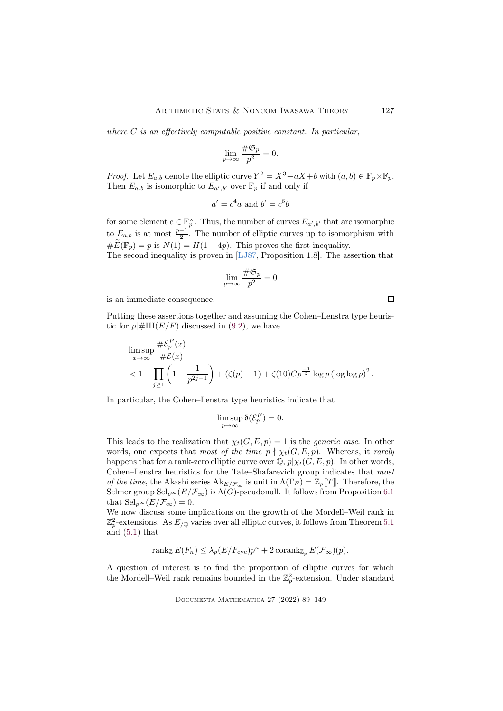where  $C$  is an effectively computable positive constant. In particular,

$$
\lim_{p \to \infty} \frac{\#\mathfrak{S}_p}{p^2} = 0.
$$

*Proof.* Let  $E_{a,b}$  denote the elliptic curve  $Y^2 = X^3 + aX + b$  with  $(a, b) \in \mathbb{F}_p \times \mathbb{F}_p$ . Then  $E_{a,b}$  is isomorphic to  $E_{a',b'}$  over  $\mathbb{F}_p$  if and only if

$$
a' = c^4 a \text{ and } b' = c^6 b
$$

for some element  $c \in \mathbb{F}_p^{\times}$ . Thus, the number of curves  $E_{a',b'}$  that are isomorphic to  $E_{a,b}$  is at most  $\frac{p-1}{2}$ . The number of elliptic curves up to isomorphism with  $\widetilde{\#E}(\mathbb{F}_p) = p$  is  $N(1) = H(1-4p)$ . This proves the first inequality.

The second inequality is proven in [\[LJ87,](#page-58-11) Proposition 1.8]. The assertion that

$$
\lim_{p\to\infty}\frac{\#\mathfrak{S}_p}{p^2}=0
$$

is an immediate consequence.

Putting these assertions together and assuming the Cohen–Lenstra type heuristic for  $p\#III(E/F)$  discussed in [\(9.2\)](#page-37-0), we have

$$
\limsup_{x \to \infty} \frac{\#\mathcal{E}_p^F(x)}{\#\mathcal{E}(x)} < 1 - \prod_{j \ge 1} \left(1 - \frac{1}{p^{2j-1}}\right) + (\zeta(p) - 1) + \zeta(10)Cp^{\frac{-1}{2}}\log p (\log \log p)^2.
$$

In particular, the Cohen–Lenstra type heuristics indicate that

$$
\limsup_{p\to\infty}\bar{\mathfrak{d}}(\mathcal{E}_p^F)=0.
$$

This leads to the realization that  $\chi_t(G, E, p) = 1$  is the *generic case*. In other words, one expects that most of the time  $p \nmid \chi_t(G, E, p)$ . Whereas, it rarely happens that for a rank-zero elliptic curve over  $\mathbb{Q}, p|_{\chi_t}(G, E, p)$ . In other words, Cohen–Lenstra heuristics for the Tate–Shafarevich group indicates that most of the time, the Akashi series  $\mathrm{Ak}_{E/\mathcal{F}_{\infty}}$  is unit in  $\Lambda(\Gamma_F) = \mathbb{Z}_p[[T]]$ . Therefore, the Selmer group  $\text{Sel}_{p^{\infty}}(E/\mathcal{F}_{\infty})$  is  $\Lambda(G)$ -pseudonull. It follows from Proposition [6.1](#page-19-0) that  $\text{Sel}_{p^{\infty}}(E/\mathcal{F}_{\infty}) = 0.$ 

We now discuss some implications on the growth of the Mordell–Weil rank in  $\mathbb{Z}_p^2$ -extensions. As  $E_{\mathcal{P}}$  varies over all elliptic curves, it follows from Theorem [5.1](#page-16-3) and [\(5.1\)](#page-16-2) that

$$
\operatorname{rank}_{\mathbb{Z}} E(F_n) \leq \lambda_p (E/F_{\text{cyc}}) p^n + 2 \operatorname{corank}_{\mathbb{Z}_p} E(\mathcal{F}_{\infty})(p).
$$

A question of interest is to find the proportion of elliptic curves for which the Mordell–Weil rank remains bounded in the  $\mathbb{Z}_p^2$ -extension. Under standard

 $\Box$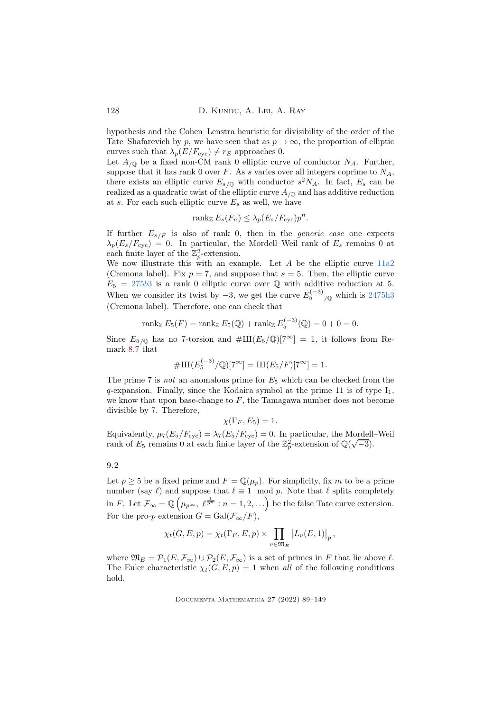hypothesis and the Cohen–Lenstra heuristic for divisibility of the order of the Tate–Shafarevich by p, we have seen that as  $p \to \infty$ , the proportion of elliptic curves such that  $\lambda_p(E/F_{\text{cyc}}) \neq r_E$  approaches 0.

Let  $A_{\sqrt{0}}$  be a fixed non-CM rank 0 elliptic curve of conductor  $N_A$ . Further, suppose that it has rank 0 over F. As s varies over all integers coprime to  $N_A$ , there exists an elliptic curve  $E_{s/\mathbb{Q}}$  with conductor  $s^2N_A$ . In fact,  $E_s$  can be realized as a quadratic twist of the elliptic curve  $A_{\sqrt{Q}}$  and has additive reduction at s. For each such elliptic curve  $E_s$  as well, we have

$$
\operatorname{rank}_{\mathbb{Z}} E_s(F_n) \leq \lambda_p(E_s/F_{\text{cyc}})p^n.
$$

If further  $E_{s/F}$  is also of rank 0, then in the *generic case* one expects  $\lambda_p(E_s/F_{\text{cyc}}) = 0$ . In particular, the Mordell–Weil rank of  $E_s$  remains 0 at each finite layer of the  $\mathbb{Z}_p^2$ -extension.

We now illustrate this with an example. Let  $A$  be the elliptic curve  $11a2$ (Cremona label). Fix  $p = 7$ , and suppose that  $s = 5$ . Then, the elliptic curve  $E_5 = 275b3$  $E_5 = 275b3$  $E_5 = 275b3$  is a rank 0 elliptic curve over Q with additive reduction at 5. When we consider its twist by  $-3$ , we get the curve  $E_5^{(-3)}_{\sqrt{\mathbb{Q}}}$  which is [2475h3](https://www.lmfdb.org/EllipticCurve/Q/2475/a/1) (Cremona label). Therefore, one can check that

$$
\operatorname{rank}_{\mathbb{Z}} E_5(F) = \operatorname{rank}_{\mathbb{Z}} E_5(\mathbb{Q}) + \operatorname{rank}_{\mathbb{Z}} E_5^{(-3)}(\mathbb{Q}) = 0 + 0 = 0.
$$

Since  $E_{5/Q}$  has no 7-torsion and  $\#\text{III}(E_5/\mathbb{Q})[7^\infty] = 1$ , it follows from Remark [8.7](#page-26-1) that

$$
\#III(E_5^{(-3)}/\mathbb{Q})[7^{\infty}] = III(E_5/F)[7^{\infty}] = 1.
$$

The prime 7 is not an anomalous prime for  $E_5$  which can be checked from the  $q$ -expansion. Finally, since the Kodaira symbol at the prime 11 is of type  $I_1$ , we know that upon base-change to  $F$ , the Tamagawa number does not become divisible by 7. Therefore,

$$
\chi(\Gamma_F, E_5) = 1.
$$

Equivalently,  $\mu_7(E_5/F_{\text{cyc}}) = \lambda_7(E_5/F_{\text{cyc}}) = 0$ . In particular, the Mordell–Weil rank of  $E_5$  remains 0 at each finite layer of the  $\mathbb{Z}_p^2$ -extension of  $\mathbb{Q}(\sqrt{-3})$ .

<span id="page-39-0"></span>9.2

Let  $p \geq 5$  be a fixed prime and  $F = \mathbb{Q}(\mu_p)$ . For simplicity, fix m to be a prime number (say  $\ell$ ) and suppose that  $\ell \equiv 1 \mod p$ . Note that  $\ell$  splits completely in F. Let  $\mathcal{F}_{\infty} = \mathbb{Q} \left( \mu_{p^{\infty}}, \ \ell^{\frac{1}{p^n}} : n = 1, 2, \ldots \right)$  be the false Tate curve extension. For the pro-p extension  $G = \text{Gal}(\mathcal{F}_{\infty}/F)$ ,

$$
\chi_t(G, E, p) = \chi_t(\Gamma_F, E, p) \times \prod_{v \in \mathfrak{M}_E} |L_v(E, 1)|_p,
$$

where  $\mathfrak{M}_E = \mathcal{P}_1(E, \mathcal{F}_\infty) \cup \mathcal{P}_2(E, \mathcal{F}_\infty)$  is a set of primes in F that lie above  $\ell$ . The Euler characteristic  $\chi_t(G, E, p) = 1$  when all of the following conditions hold.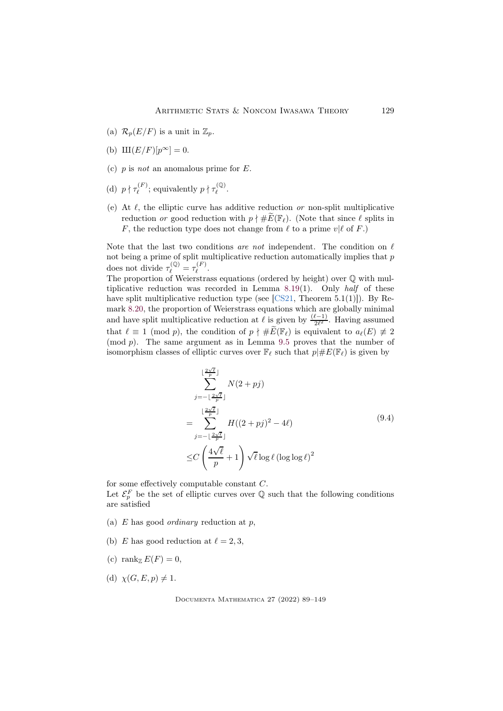- (a)  $\mathcal{R}_p(E/F)$  is a unit in  $\mathbb{Z}_p$ .
- (b)  $\text{III}(E/F)[p^{\infty}] = 0.$
- (c)  $p$  is not an anomalous prime for  $E$ .
- (d)  $p \nmid \tau_{\ell}^{(F)}$  $\tau_{\ell}^{(F)}$ ; equivalently  $p \nmid \tau_{\ell}^{(\mathbb{Q})}$ .(ש).<br>l
- (e) At  $\ell$ , the elliptic curve has additive reduction or non-split multiplicative reduction or good reduction with  $p \nmid \# \widetilde{E}(\mathbb{F}_\ell)$ . (Note that since  $\ell$  splits in F, the reduction type does not change from  $\ell$  to a prime  $v | \ell$  of F.)

Note that the last two conditions are not independent. The condition on  $\ell$ not being a prime of split multiplicative reduction automatically implies that  $p$ does not divide  $\tau_{\ell}^{(\mathbb{Q})} = \tau_{\ell}^{(F)}$  $\frac{\ell}{\ell}$ .

The proportion of Weierstrass equations (ordered by height) over Q with multiplicative reduction was recorded in Lemma [8.19\(](#page-32-0)1). Only half of these have split multiplicative reduction type (see  $[CS21, Theorem 5.1(1)]$ ). By Remark [8.20,](#page-33-2) the proportion of Weierstrass equations which are globally minimal and have split multiplicative reduction at  $\ell$  is given by  $\frac{(\ell-1)}{2\ell^2}$ . Having assumed that  $\ell \equiv 1 \pmod{p}$ , the condition of  $p \nmid \# \widetilde{E}(\mathbb{F}_\ell)$  is equivalent to  $a_\ell(E) \not\equiv 2$ (mod p). The same argument as in Lemma [9.5](#page-37-1) proves that the number of isomorphism classes of elliptic curves over  $\mathbb{F}_{\ell}$  such that  $p\#E(\mathbb{F}_{\ell})$  is given by

<span id="page-40-0"></span>
$$
\sum_{j=-\lfloor \frac{2\sqrt{\ell}}{p} \rfloor}^{\lfloor \frac{2\sqrt{\ell}}{p} \rfloor} N(2+pj)
$$
  
= 
$$
\sum_{j=-\lfloor \frac{2\sqrt{\ell}}{p} \rfloor}^{\lfloor \frac{2\sqrt{\ell}}{p} \rfloor} H((2+pj)^2 - 4\ell)
$$
  

$$
\leq C \left( \frac{4\sqrt{\ell}}{p} + 1 \right) \sqrt{\ell} \log \ell (\log \log \ell)^2
$$
 (9.4)

for some effectively computable constant C.

Let  $\mathcal{E}_p^F$  be the set of elliptic curves over Q such that the following conditions are satisfied

- (a)  $E$  has good *ordinary* reduction at  $p$ ,
- (b) E has good reduction at  $\ell = 2, 3$ ,
- (c) rank  $E(F) = 0$ ,
- (d)  $\chi(G, E, p) \neq 1$ .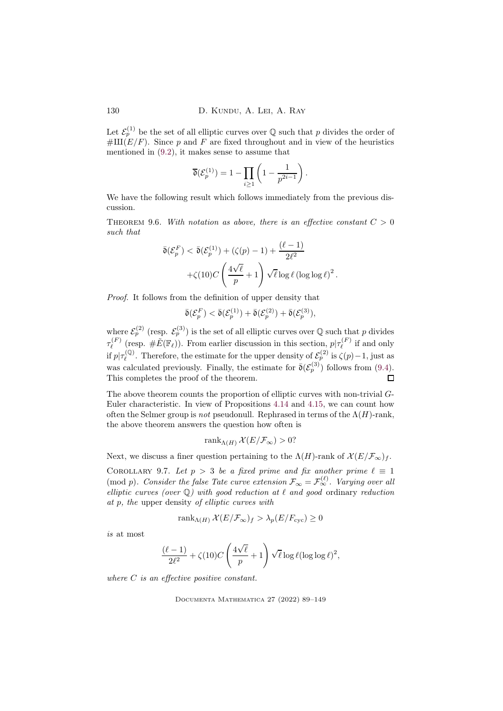Let  $\mathcal{E}_p^{(1)}$  be the set of all elliptic curves over  $\mathbb Q$  such that p divides the order of  $\#III(E/F)$ . Since p and F are fixed throughout and in view of the heuristics mentioned in [\(9.2\)](#page-37-0), it makes sense to assume that

$$
\overline{\mathfrak{d}}(\mathcal{E}_p^{(1)}) = 1 - \prod_{i \ge 1} \left( 1 - \frac{1}{p^{2i-1}} \right).
$$

We have the following result which follows immediately from the previous discussion.

<span id="page-41-0"></span>THEOREM 9.6. With notation as above, there is an effective constant  $C > 0$ such that

$$
\bar{\mathfrak{d}}(\mathcal{E}_p^F) < \bar{\mathfrak{d}}(\mathcal{E}_p^{(1)}) + (\zeta(p) - 1) + \frac{(\ell - 1)}{2\ell^2} + \zeta(10)C\left(\frac{4\sqrt{\ell}}{p} + 1\right)\sqrt{\ell}\log\ell\left(\log\log\ell\right)^2.
$$

Proof. It follows from the definition of upper density that

$$
\bar{\mathfrak{d}}(\mathcal{E}_p^F) < \bar{\mathfrak{d}}(\mathcal{E}_p^{(1)}) + \bar{\mathfrak{d}}(\mathcal{E}_p^{(2)}) + \bar{\mathfrak{d}}(\mathcal{E}_p^{(3)}),
$$

where  $\mathcal{E}_p^{(2)}$  (resp.  $\mathcal{E}_p^{(3)}$ ) is the set of all elliptic curves over Q such that p divides  $\tau^{(F)}_\ell$  $\mathcal{L}_{\ell}^{(F)}$  (resp.  $\#\tilde{E}(\mathbb{F}_{\ell})$ ). From earlier discussion in this section,  $p|\tau_{\ell}^{(F)}$  $\iota_{\ell}^{(F)}$  if and only if  $p|\tau_\ell^{(\mathbb{Q})}$  $\mathcal{L}^{(Q)}$ . Therefore, the estimate for the upper density of  $\mathcal{E}^{(2)}_p$  is  $\zeta(p) - 1$ , just as was calculated previously. Finally, the estimate for  $\bar{\mathfrak{d}}(\mathcal{E}_p^{(3)})$  follows from [\(9.4\)](#page-40-0). This completes the proof of the theorem.  $\Box$ 

The above theorem counts the proportion of elliptic curves with non-trivial G-Euler characteristic. In view of Propositions [4.14](#page-15-0) and [4.15,](#page-15-1) we can count how often the Selmer group is not pseudonull. Rephrased in terms of the  $\Lambda(H)$ -rank, the above theorem answers the question how often is

$$
\operatorname{rank}_{\Lambda(H)} \mathcal{X}(E/\mathcal{F}_{\infty}) > 0?
$$

Next, we discuss a finer question pertaining to the  $\Lambda(H)$ -rank of  $\mathcal{X}(E/\mathcal{F}_{\infty})_f$ .

<span id="page-41-1"></span>COROLLARY 9.7. Let  $p > 3$  be a fixed prime and fix another prime  $\ell \equiv 1$ (mod p). Consider the false Tate curve extension  $\mathcal{F}_{\infty} = \mathcal{F}_{\infty}^{(\ell)}$ . Varying over all elliptic curves (over  $\mathbb{Q}$ ) with good reduction at  $\ell$  and good ordinary reduction at p, the upper density of elliptic curves with

$$
rank_{\Lambda(H)} \mathcal{X}(E/\mathcal{F}_{\infty})_f > \lambda_p(E/F_{\text{cyc}}) \ge 0
$$

is at most

$$
\frac{(\ell-1)}{2\ell^2} + \zeta(10)C\left(\frac{4\sqrt{\ell}}{p} + 1\right)\sqrt{\ell}\log \ell(\log \log \ell)^2,
$$

where C is an effective positive constant.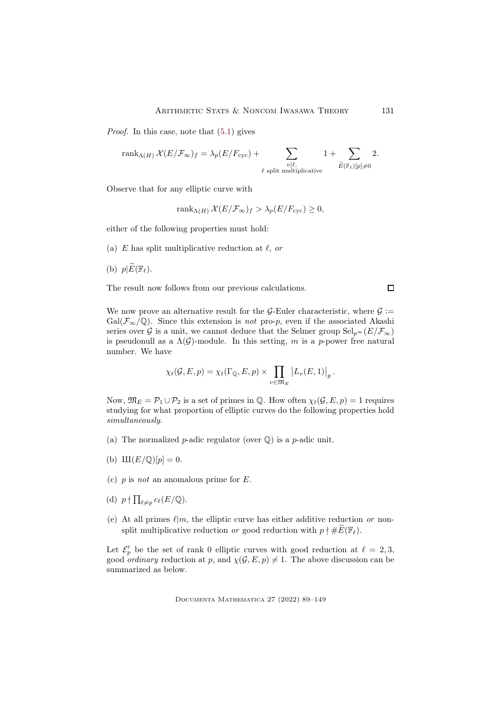Proof. In this case, note that [\(5.1\)](#page-16-2) gives

$$
\mathrm{rank}_{\Lambda(H)}\,\mathcal{X}(E/\mathcal{F}_\infty)_f=\lambda_p(E/F_{\mathrm{cyc}})+\sum_{\substack{v\mid \ell,\\ \ell\text{ split multiplicative}}}1+\sum_{\widetilde{E}(\mathbb{F}_\ell)[p]\neq 0}2.
$$

Observe that for any elliptic curve with

rank<sub>Λ(H)</sub>  $\mathcal{X}(E/\mathcal{F}_{\infty})_f > \lambda_p(E/F_{\text{cyc}}) \geq 0$ ,

either of the following properties must hold:

- (a) E has split multiplicative reduction at  $\ell$ , or
- (b)  $p|\widetilde{E}(\mathbb{F}_{\ell})$ .

The result now follows from our previous calculations.

We now prove an alternative result for the G-Euler characteristic, where  $\mathcal{G}$  :=  $Gal(\mathcal{F}_{\infty}/\mathbb{Q})$ . Since this extension is *not* pro-p, even if the associated Akashi series over G is a unit, we cannot deduce that the Selmer group  $\text{Sel}_{n^{\infty}}(E/\mathcal{F}_{\infty})$ is pseudonull as a  $\Lambda(G)$ -module. In this setting, m is a p-power free natural number. We have

$$
\chi_t(\mathcal{G}, E, p) = \chi_t(\Gamma_{\mathbb{Q}}, E, p) \times \prod_{v \in \mathfrak{M}_E} \left| L_v(E, 1) \right|_p.
$$

Now,  $\mathfrak{M}_E = \mathcal{P}_1 \cup \mathcal{P}_2$  is a set of primes in  $\mathbb{Q}$ . How often  $\chi_t(\mathcal{G}, E, p) = 1$  requires studying for what proportion of elliptic curves do the following properties hold simultaneously.

- (a) The normalized *p*-adic regulator (over  $\mathbb{Q}$ ) is a *p*-adic unit.
- (b)  $III(E/\mathbb{Q})[p] = 0.$
- (c)  $p$  is not an anomalous prime for  $E$ .
- (d)  $p \nmid \prod_{\ell \neq p} c_{\ell}(E/\mathbb{Q}).$
- (e) At all primes  $\ell | m$ , the elliptic curve has either additive reduction or nonsplit multiplicative reduction or good reduction with  $p \nmid \# \widetilde{E}(\mathbb{F}_\ell)$ .

Let  $\mathcal{E}'_p$  be the set of rank 0 elliptic curves with good reduction at  $\ell = 2, 3$ , good *ordinary* reduction at p, and  $\chi(\mathcal{G}, E, p) \neq 1$ . The above discussion can be summarized as below.

Documenta Mathematica 27 (2022) 89–149

 $\Box$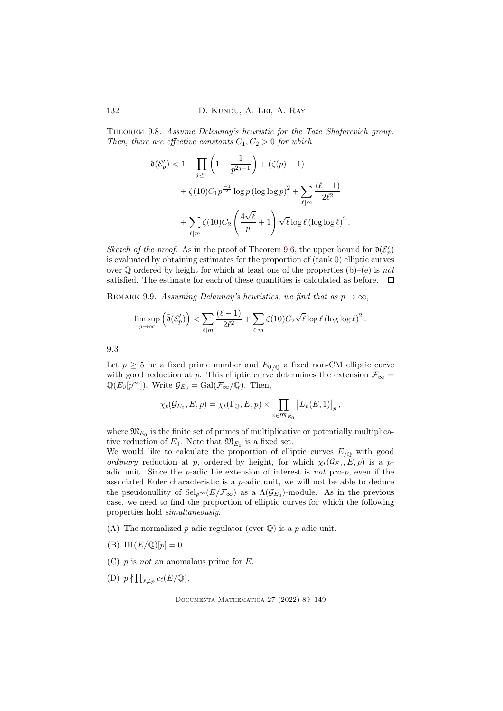<span id="page-43-0"></span>Theorem 9.8. Assume Delaunay's heuristic for the Tate–Shafarevich group. Then, there are effective constants  $C_1, C_2 > 0$  for which

$$
\overline{\mathfrak{d}}(\mathcal{E}_p') < 1 - \prod_{j \ge 1} \left( 1 - \frac{1}{p^{2j-1}} \right) + (\zeta(p) - 1)
$$
\n
$$
+ \zeta(10)C_1 p^{-1} \log p (\log \log p)^2 + \sum_{\ell \mid m} \frac{(\ell - 1)}{2\ell^2}
$$
\n
$$
+ \sum_{\ell \mid m} \zeta(10)C_2 \left( \frac{4\sqrt{\ell}}{p} + 1 \right) \sqrt{\ell} \log \ell (\log \log \ell)^2.
$$

Sketch of the proof. As in the proof of Theorem [9.6,](#page-41-0) the upper bound for  $\bar{\mathfrak{d}}(\mathcal{E}'_p)$ is evaluated by obtaining estimates for the proportion of (rank 0) elliptic curves over  $\mathbb Q$  ordered by height for which at least one of the properties (b)–(e) is not satisfied. The estimate for each of these quantities is calculated as before.  $\Box$ 

REMARK 9.9. Assuming Delaunay's heuristics, we find that as  $p \to \infty$ ,

$$
\limsup_{p \to \infty} \left( \bar{\mathfrak{d}}(\mathcal{E}'_p) \right) < \sum_{\ell \mid m} \frac{(\ell-1)}{2\ell^2} + \sum_{\ell \mid m} \zeta(10) C_2 \sqrt{\ell} \log \ell \left( \log \log \ell \right)^2.
$$

<span id="page-43-1"></span>9.3

Let  $p \geq 5$  be a fixed prime number and  $E_{0/\mathbb{Q}}$  a fixed non-CM elliptic curve with good reduction at p. This elliptic curve determines the extension  $\mathcal{F}_{\infty} =$  $\mathbb{Q}(E_0[p^\infty])$ . Write  $\mathcal{G}_{E_0} = \text{Gal}(\mathcal{F}_{\infty}/\mathbb{Q})$ . Then,

$$
\chi_t(\mathcal{G}_{E_0}, E, p) = \chi_t(\Gamma_{\mathbb{Q}}, E, p) \times \prod_{v \in \mathfrak{M}_{E_0}} |L_v(E, 1)|_p,
$$

where  $\mathfrak{M}_{E_0}$  is the finite set of primes of multiplicative or potentially multiplicative reduction of  $E_0$ . Note that  $\mathfrak{M}_{E_0}$  is a fixed set.

We would like to calculate the proportion of elliptic curves  $E_{\sqrt{Q}}$  with good ordinary reduction at p, ordered by height, for which  $\chi_t(\mathcal{G}_{E_0}, E, p)$  is a padic unit. Since the  $p$ -adic Lie extension of interest is *not* pro- $p$ , even if the associated Euler characteristic is a p-adic unit, we will not be able to deduce the pseudonullity of  $\text{Sel}_{p^{\infty}}(E/\mathcal{F}_{\infty})$  as a  $\Lambda(\mathcal{G}_{E_0})$ -module. As in the previous case, we need to find the proportion of elliptic curves for which the following properties hold simultaneously.

- (A) The normalized *p*-adic regulator (over  $\mathbb{Q}$ ) is a *p*-adic unit.
- (B)  $\text{III}(E/\mathbb{Q})[p] = 0.$
- (C)  $p$  is not an anomalous prime for  $E$ .
- (D)  $p \nmid \prod_{\ell \neq p} c_{\ell}(E/\mathbb{Q}).$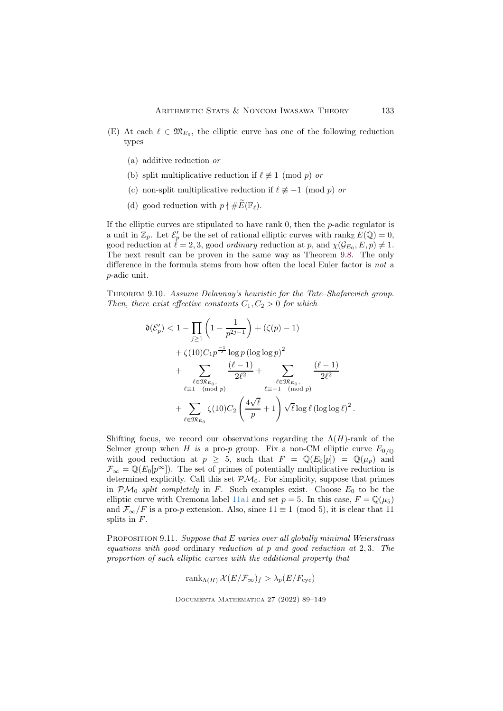- (E) At each  $\ell \in \mathfrak{M}_{E_0}$ , the elliptic curve has one of the following reduction types
	- (a) additive reduction or
	- (b) split multiplicative reduction if  $\ell \not\equiv 1 \pmod{p}$  or
	- (c) non-split multiplicative reduction if  $\ell \not\equiv -1 \pmod{p}$  or
	- (d) good reduction with  $p \nmid \# \widetilde{E}(\mathbb{F}_\ell)$ .

If the elliptic curves are stipulated to have rank  $0$ , then the  $p$ -adic regulator is a unit in  $\mathbb{Z}_p$ . Let  $\mathcal{E}'_p$  be the set of rational elliptic curves with rank  $E(\mathbb{Q}) = 0$ , good reduction at  $\ell = 2, 3$ , good *ordinary* reduction at p, and  $\chi(\mathcal{G}_{E_0}, E, p) \neq 1$ . The next result can be proven in the same way as Theorem [9.8.](#page-43-0) The only difference in the formula stems from how often the local Euler factor is not a p-adic unit.

<span id="page-44-0"></span>Theorem 9.10. Assume Delaunay's heuristic for the Tate–Shafarevich group. Then, there exist effective constants  $C_1, C_2 > 0$  for which

$$
\bar{\mathfrak{d}}(\mathcal{E}'_{p}) < 1 - \prod_{j\geq 1} \left( 1 - \frac{1}{p^{2j-1}} \right) + (\zeta(p) - 1) \\
&+ \zeta(10) C_1 p^{-\frac{1}{2}} \log p \left( \log \log p \right)^2 \\
&+ \sum_{\ell \in \mathfrak{M}_{E_0,}} \frac{(\ell - 1)}{2\ell^2} + \sum_{\ell \in \mathfrak{M}_{E_0,}} \frac{(\ell - 1)}{2\ell^2} \\
&+ \sum_{\ell \in \mathfrak{M}_{E_0}} \zeta(10) C_2 \left( \frac{4\sqrt{\ell}}{p} + 1 \right) \sqrt{\ell} \log \ell \left( \log \log \ell \right)^2.
$$

Shifting focus, we record our observations regarding the  $\Lambda(H)$ -rank of the Selmer group when H is a pro-p group. Fix a non-CM elliptic curve  $E_{0/Q}$ with good reduction at  $p \geq 5$ , such that  $F = \mathbb{Q}(E_0[p]) = \mathbb{Q}(\mu_p)$  and  $\mathcal{F}_{\infty} = \mathbb{Q}(E_0[p^{\infty}])$ . The set of primes of potentially multiplicative reduction is determined explicitly. Call this set  $\mathcal{PM}_0$ . For simplicity, suppose that primes in  $\mathcal{PM}_0$  split completely in F. Such examples exist. Choose  $E_0$  to be the elliptic curve with Cremona label [11a1](https://www.lmfdb.org/EllipticCurve/Q/11a1/) and set  $p = 5$ . In this case,  $F = \mathbb{Q}(\mu_5)$ and  $\mathcal{F}_{\infty}/F$  is a pro-p extension. Also, since  $11 \equiv 1 \pmod{5}$ , it is clear that 11 splits in F.

PROPOSITION 9.11. Suppose that E varies over all globally minimal Weierstrass equations with good ordinary reduction at p and good reduction at 2, 3. The proportion of such elliptic curves with the additional property that

$$
\operatorname{rank}_{\Lambda(H)} \mathcal{X}(E/\mathcal{F}_{\infty})_f > \lambda_p(E/F_{\text{cyc}})
$$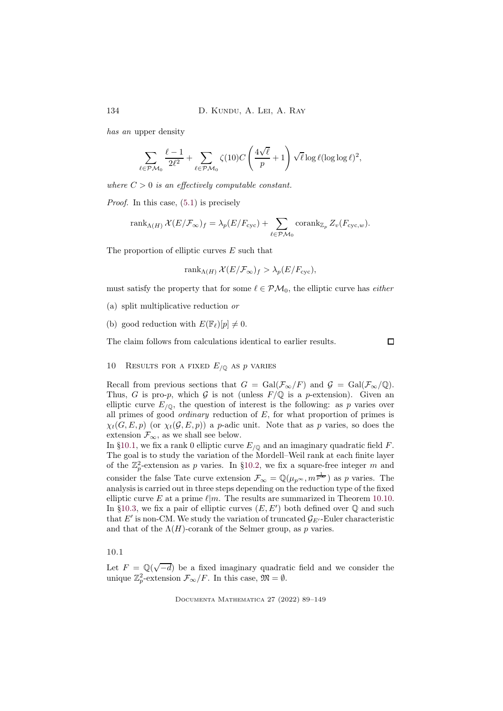has an upper density

$$
\sum_{\ell\in \mathcal{PM}_0}\frac{\ell-1}{2\ell^2}+\sum_{\ell\in \mathcal{PM}_0}\zeta(10)C\left(\frac{4\sqrt{\ell}}{p}+1\right)\sqrt{\ell}\log \ell(\log\log \ell)^2,
$$

where  $C > 0$  is an effectively computable constant.

Proof. In this case, [\(5.1\)](#page-16-2) is precisely

$$
\operatorname{rank}_{\Lambda(H)} \mathcal{X}(E/\mathcal{F}_{\infty})_f = \lambda_p(E/F_{\text{cyc}}) + \sum_{\ell \in \mathcal{PM}_0} \operatorname{corank}_{\mathbb{Z}_p} Z_v(F_{\text{cyc},w}).
$$

The proportion of elliptic curves E such that

$$
rank_{\Lambda(H)} \mathcal{X}(E/\mathcal{F}_{\infty})_f > \lambda_p(E/F_{\text{cyc}}),
$$

must satisfy the property that for some  $\ell \in \mathcal{PM}_0$ , the elliptic curve has *either* 

- (a) split multiplicative reduction or
- (b) good reduction with  $E(\mathbb{F}_{\ell})[p] \neq 0$ .

The claim follows from calculations identical to earlier results.

 $\Box$ 

# <span id="page-45-0"></span>10 RESULTS FOR A FIXED  $E_{\sqrt{Q}}$  AS p VARIES

Recall from previous sections that  $G = \text{Gal}(\mathcal{F}_{\infty}/F)$  and  $\mathcal{G} = \text{Gal}(\mathcal{F}_{\infty}/\mathbb{Q})$ . Thus, G is pro-p, which G is not (unless  $F/Q$  is a p-extension). Given an elliptic curve  $E_{\sqrt{Q}}$ , the question of interest is the following: as p varies over all primes of good *ordinary* reduction of  $E$ , for what proportion of primes is  $\chi_t(G, E, p)$  (or  $\chi_t(\mathcal{G}, E, p)$ ) a p-adic unit. Note that as p varies, so does the extension  $\mathcal{F}_{\infty}$ , as we shall see below.

In [§10.1,](#page-45-1) we fix a rank 0 elliptic curve  $E_{\sqrt{Q}}$  and an imaginary quadratic field F. The goal is to study the variation of the Mordell–Weil rank at each finite layer of the  $\mathbb{Z}_p^2$ -extension as p varies. In [§10.2,](#page-46-1) we fix a square-free integer m and consider the false Tate curve extension  $\mathcal{F}_{\infty} = \mathbb{Q}(\mu_{p^{\infty}}, m^{\frac{1}{p^{\infty}}})$  as p varies. The analysis is carried out in three steps depending on the reduction type of the fixed elliptic curve E at a prime  $\ell | m$ . The results are summarized in Theorem [10.10.](#page-49-0) In [§10.3,](#page-50-0) we fix a pair of elliptic curves  $(E, E')$  both defined over  $\mathbb Q$  and such that E' is non-CM. We study the variation of truncated  $\mathcal{G}_{E'}$ -Euler characteristic and that of the  $\Lambda(H)$ -corank of the Selmer group, as p varies.

### <span id="page-45-1"></span>10.1

Let  $F = \mathbb{Q}(\sqrt{-d})$  be a fixed imaginary quadratic field and we consider the unique  $\mathbb{Z}_p^2$ -extension  $\mathcal{F}_{\infty}/F$ . In this case,  $\mathfrak{M} = \emptyset$ .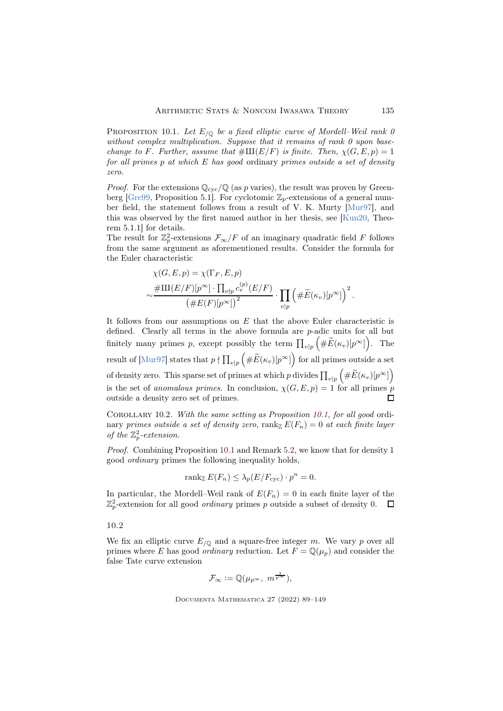<span id="page-46-2"></span>PROPOSITION 10.1. Let  $E_{\text{/}0}$  be a fixed elliptic curve of Mordell–Weil rank 0 without complex multiplication. Suppose that it remains of rank 0 upon basechange to F. Further, assume that  $\#\amalg (E/F)$  is finite. Then,  $\chi(G, E, p) = 1$ for all primes  $p$  at which  $E$  has good ordinary primes outside a set of density zero.

*Proof.* For the extensions  $\mathbb{Q}_{\text{cyc}}/\mathbb{Q}$  (as p varies), the result was proven by Green-berg [\[Gre99,](#page-57-13) Proposition 5.1]. For cyclotomic  $\mathbb{Z}_p$ -extensions of a general number field, the statement follows from a result of V. K. Murty [\[Mur97\]](#page-59-12), and this was observed by the first named author in her thesis, see [\[Kun20,](#page-58-12) Theorem 5.1.1] for details.

The result for  $\mathbb{Z}_p^2$ -extensions  $\mathcal{F}_{\infty}/F$  of an imaginary quadratic field F follows from the same argument as aforementioned results. Consider the formula for the Euler characteristic

$$
\chi(G, E, p) = \chi(\Gamma_F, E, p)
$$
  
 
$$
\sim \frac{\# \amalg (E/F)[p^{\infty}] \cdot \prod_{v \nmid p} c_v^{(p)}(E/F)}{\left(\# E(F)[p^{\infty}]\right)^2} \cdot \prod_{v \mid p} \left(\# \widetilde{E}(\kappa_v)[p^{\infty}]\right)^2.
$$

It follows from our assumptions on  $E$  that the above Euler characteristic is defined. Clearly all terms in the above formula are p-adic units for all but finitely many primes p, except possibly the term  $\prod_{v|p} \left( \# \widetilde{E}(\kappa_v)[p^{\infty}] \right)$ . The result of [\[Mur97\]](#page-59-12) states that  $p \nmid \prod_{v|p} \left( \# \widetilde{E}(\kappa_v)[p^\infty] \right)$  for all primes outside a set of density zero. This sparse set of primes at which p divides  $\prod_{v|p} \left( \# \widetilde{E}(\kappa_v)[p^\infty] \right)$ is the set of anomalous primes. In conclusion,  $\chi(G, E, p) = 1$  for all primes p outside a density zero set of primes.  $\Box$ 

<span id="page-46-0"></span>COROLLARY 10.2. With the same setting as Proposition [10.1,](#page-46-2) for all good ordinary primes outside a set of density zero, rank<sub>Z</sub>  $E(F_n) = 0$  at each finite layer of the  $\mathbb{Z}_p^2$ -extension.

Proof. Combining Proposition [10.1](#page-46-2) and Remark [5.2,](#page-16-4) we know that for density 1 good ordinary primes the following inequality holds,

$$
\operatorname{rank}_{\mathbb{Z}} E(F_n) \leq \lambda_p(E/F_{\text{cyc}}) \cdot p^n = 0.
$$

In particular, the Mordell–Weil rank of  $E(F_n) = 0$  in each finite layer of the  $\mathbb{Z}_p^2$ -extension for all good *ordinary* primes p outside a subset of density 0.

<span id="page-46-1"></span>10.2

We fix an elliptic curve  $E_{/Q}$  and a square-free integer m. We vary p over all primes where E has good *ordinary* reduction. Let  $F = \mathbb{Q}(\mu_p)$  and consider the false Tate curve extension

$$
\mathcal{F}_{\infty} := \mathbb{Q}(\mu_{p^{\infty}}, m^{\frac{1}{p^{\infty}}}),
$$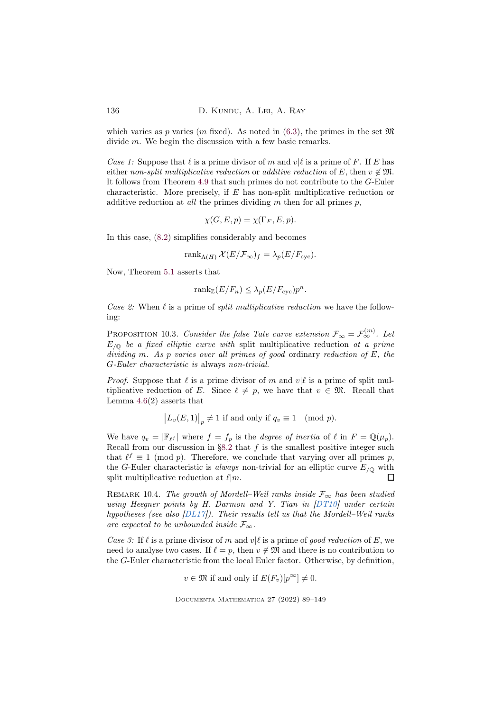which varies as p varies (m fixed). As noted in  $(6.3)$ , the primes in the set  $\mathfrak{M}$ divide m. We begin the discussion with a few basic remarks.

Case 1: Suppose that  $\ell$  is a prime divisor of m and  $v|\ell$  is a prime of F. If E has either non-split multiplicative reduction or additive reduction of E, then  $v \notin \mathfrak{M}$ . It follows from Theorem [4.9](#page-13-0) that such primes do not contribute to the G-Euler characteristic. More precisely, if E has non-split multiplicative reduction or additive reduction at *all* the primes dividing  $m$  then for all primes  $p$ ,

$$
\chi(G, E, p) = \chi(\Gamma_F, E, p).
$$

In this case, [\(8.2\)](#page-29-2) simplifies considerably and becomes

$$
rank_{\Lambda(H)} \mathcal{X}(E/\mathcal{F}_{\infty})_f = \lambda_p(E/F_{\text{cyc}}).
$$

Now, Theorem [5.1](#page-16-3) asserts that

$$
rank_{\mathbb{Z}}(E/F_n) \leq \lambda_p(E/F_{\text{cyc}})p^n.
$$

Case 2: When  $\ell$  is a prime of *split multiplicative reduction* we have the following:

<span id="page-47-0"></span>PROPOSITION 10.3. Consider the false Tate curve extension  $\mathcal{F}_{\infty} = \mathcal{F}_{\infty}^{(m)}$ . Let  $E_{\sqrt{Q}}$  be a fixed elliptic curve with split multiplicative reduction at a prime dividing m. As p varies over all primes of good ordinary reduction of E, the G-Euler characteristic is always non-trivial.

*Proof.* Suppose that  $\ell$  is a prime divisor of m and  $v|\ell$  is a prime of split multiplicative reduction of E. Since  $\ell \neq p$ , we have that  $v \in \mathfrak{M}$ . Recall that Lemma  $4.6(2)$  $4.6(2)$  asserts that

$$
\big|L_v(E,1)\big|_p\neq 1\hbox{ if and only if }q_v\equiv 1\pmod p.
$$

We have  $q_v = |\mathbb{F}_{\ell} f|$  where  $f = f_p$  is the *degree of inertia* of  $\ell$  in  $F = \mathbb{Q}(\mu_p)$ . Recall from our discussion in [§8.2](#page-27-0) that  $f$  is the smallest positive integer such that  $\ell^f \equiv 1 \pmod{p}$ . Therefore, we conclude that varying over all primes p, the G-Euler characteristic is *always* non-trivial for an elliptic curve  $E_{/Q}$  with split multiplicative reduction at  $\ell | m$ . П

REMARK 10.4. The growth of Mordell–Weil ranks inside  $\mathcal{F}_{\infty}$  has been studied using Heegner points by H. Darmon and Y. Tian in  $|DT10|$  under certain hypotheses (see also [\[DL17\]](#page-56-3)). Their results tell us that the Mordell–Weil ranks are expected to be unbounded inside  $\mathcal{F}_{\infty}$ .

Case 3: If  $\ell$  is a prime divisor of m and  $v|\ell$  is a prime of good reduction of E, we need to analyse two cases. If  $\ell = p$ , then  $v \notin \mathfrak{M}$  and there is no contribution to the G-Euler characteristic from the local Euler factor. Otherwise, by definition,

 $v \in \mathfrak{M}$  if and only if  $E(F_v)[p^{\infty}] \neq 0$ .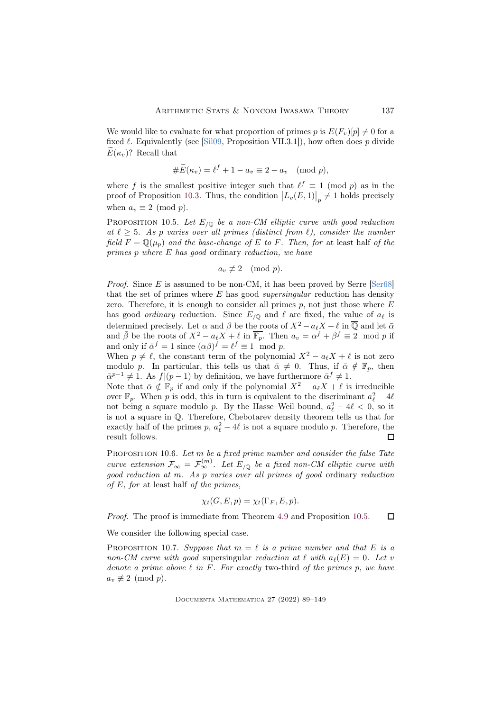We would like to evaluate for what proportion of primes p is  $E(F_v)[p] \neq 0$  for a fixed  $\ell$ . Equivalently (see [\[Sil09,](#page-60-6) Proposition VII.3.1]), how often does p divide  $E(\kappa_v)$ ? Recall that

$$
\#\widetilde{E}(\kappa_v) = \ell^f + 1 - a_v \equiv 2 - a_v \pmod{p},
$$

where f is the smallest positive integer such that  $\ell^f \equiv 1 \pmod{p}$  as in the proof of Proposition [10.3.](#page-47-0) Thus, the condition  $|L_v(E,1)|_p \neq 1$  holds precisely when  $a_v \equiv 2 \pmod{p}$ .

<span id="page-48-1"></span>PROPOSITION 10.5. Let  $E_{/\mathbb{Q}}$  be a non-CM elliptic curve with good reduction at  $\ell \geq 5$ . As p varies over all primes (distinct from  $\ell$ ), consider the number field  $F = \mathbb{Q}(\mu_p)$  and the base-change of E to F. Then, for at least half of the primes p where E has good ordinary reduction, we have

$$
a_v \not\equiv 2 \pmod{p}.
$$

*Proof.* Since E is assumed to be non-CM, it has been proved by Serre  $\lceil \text{Ser68} \rceil$ that the set of primes where  $E$  has good *supersingular* reduction has density zero. Therefore, it is enough to consider all primes  $p$ , not just those where  $E$ has good *ordinary* reduction. Since  $E_{/Q}$  and  $\ell$  are fixed, the value of  $a_{\ell}$  is determined precisely. Let  $\alpha$  and  $\beta$  be the roots of  $X^2 - a_\ell X + \ell$  in  $\overline{\mathbb{Q}}$  and let  $\overline{\alpha}$ and  $\bar{\beta}$  be the roots of  $X^2 - a_\ell X + \ell$  in  $\overline{\mathbb{F}_p}$ . Then  $a_v = \alpha^f + \beta^f \equiv 2 \mod p$  if and only if  $\bar{\alpha}^f = 1$  since  $(\alpha \beta)^f = \ell^f \equiv 1 \mod p$ .

When  $p \neq \ell$ , the constant term of the polynomial  $X^2 - a_{\ell}X + \ell$  is not zero modulo p. In particular, this tells us that  $\bar{\alpha} \neq 0$ . Thus, if  $\bar{\alpha} \notin \mathbb{F}_n$ , then  $\bar{\alpha}^{p-1} \neq 1$ . As  $f|(p-1)$  by definition, we have furthermore  $\bar{\alpha}^f \neq 1$ .

Note that  $\bar{\alpha} \notin \mathbb{F}_p$  if and only if the polynomial  $X^2 - a_\ell X + \ell$  is irreducible over  $\mathbb{F}_p$ . When p is odd, this in turn is equivalent to the discriminant  $a_\ell^2 - 4\ell$ not being a square modulo p. By the Hasse–Weil bound,  $a_{\ell}^2 - 4\ell < 0$ , so it is not a square in Q. Therefore, Chebotarev density theorem tells us that for exactly half of the primes  $p, a_\ell^2 - 4\ell$  is not a square modulo p. Therefore, the result follows.

<span id="page-48-0"></span>PROPOSITION 10.6. Let  $m$  be a fixed prime number and consider the false Tate curve extension  $\mathcal{F}_{\infty} = \mathcal{F}_{\infty}^{(m)}$ . Let  $E_{/\mathbb{Q}}$  be a fixed non-CM elliptic curve with good reduction at m. As p varies over all primes of good ordinary reduction of  $E$ , for at least half of the primes,

$$
\chi_t(G, E, p) = \chi_t(\Gamma_F, E, p).
$$

Proof. The proof is immediate from Theorem [4.9](#page-13-0) and Proposition [10.5.](#page-48-1)  $\Box$ 

We consider the following special case.

PROPOSITION 10.7. Suppose that  $m = \ell$  is a prime number and that E is a non-CM curve with good supersingular reduction at  $\ell$  with  $a_{\ell}(E) = 0$ . Let v denote a prime above  $\ell$  in F. For exactly two-third of the primes p, we have  $a_v \not\equiv 2 \pmod{p}$ .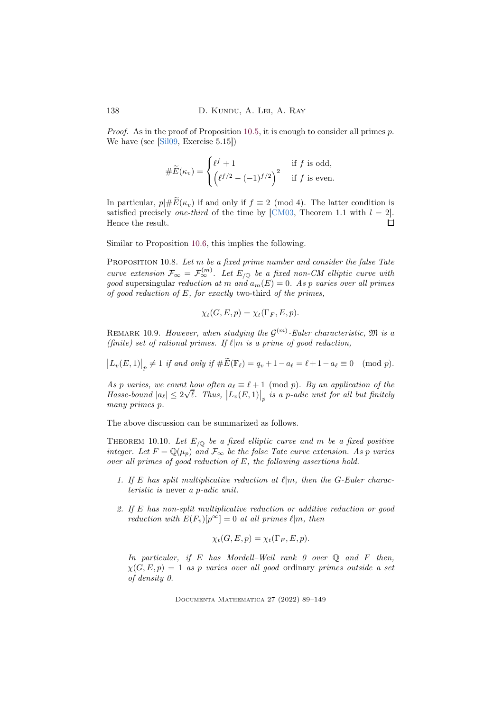*Proof.* As in the proof of Proposition [10.5,](#page-48-1) it is enough to consider all primes  $p$ . We have (see [\[Sil09,](#page-60-6) Exercise 5.15])

$$
\#\widetilde{E}(\kappa_v) = \begin{cases} \ell^f + 1 & \text{if } f \text{ is odd,} \\ \left(\ell^{f/2} - (-1)^{f/2}\right)^2 & \text{if } f \text{ is even.} \end{cases}
$$

In particular,  $p\# \widetilde{E}(\kappa_v)$  if and only if  $f \equiv 2 \pmod{4}$ . The latter condition is satisfied precisely one-third of the time by [\[CM03,](#page-55-7) Theorem 1.1 with  $l = 2$ ]. Hence the result.  $\Box$ 

Similar to Proposition [10.6,](#page-48-0) this implies the following.

<span id="page-49-1"></span>PROPOSITION 10.8. Let m be a fixed prime number and consider the false Tate curve extension  $\mathcal{F}_{\infty} = \mathcal{F}_{\infty}^{(m)}$ . Let  $E_{/\mathbb{Q}}$  be a fixed non-CM elliptic curve with good supersingular reduction at m and  $a_m(E) = 0$ . As p varies over all primes of good reduction of  $E$ , for exactly two-third of the primes,

$$
\chi_t(G, E, p) = \chi_t(\Gamma_F, E, p).
$$

REMARK 10.9. However, when studying the  $\mathcal{G}^{(m)}$ -Euler characteristic,  $\mathfrak{M}$  is a (finite) set of rational primes. If  $\ell | m$  is a prime of good reduction,

 $\left| L_v(E,1) \right|_p \neq 1$  if and only if  $\# \widetilde{E}(\mathbb{F}_\ell) = q_v + 1 - a_\ell = \ell + 1 - a_\ell \equiv 0 \pmod{p}.$ 

As p varies, we count how often  $a_\ell \equiv \ell + 1 \pmod{p}$ . By an application of the Hasse-bound  $|a_{\ell}| \leq 2\sqrt{\ell}$ . Thus,  $|L_v(E, 1)|_p$  is a p-adic unit for all but finitely many primes p.

The above discussion can be summarized as follows.

<span id="page-49-0"></span>THEOREM 10.10. Let  $E_{\sqrt{Q}}$  be a fixed elliptic curve and m be a fixed positive integer. Let  $F = \mathbb{Q}(\mu_p)$  and  $\mathcal{F}_{\infty}$  be the false Tate curve extension. As p varies over all primes of good reduction of  $E$ , the following assertions hold.

- 1. If E has split multiplicative reduction at  $\ell | m$ , then the G-Euler characteristic is never a p-adic unit.
- 2. If E has non-split multiplicative reduction or additive reduction or good reduction with  $E(F_v)[p^{\infty}]=0$  at all primes  $\ell|m$ , then

$$
\chi_t(G, E, p) = \chi_t(\Gamma_F, E, p).
$$

In particular, if E has Mordell–Weil rank 0 over  $\mathbb Q$  and F then,  $\chi(G, E, p) = 1$  as p varies over all good ordinary primes outside a set of density 0.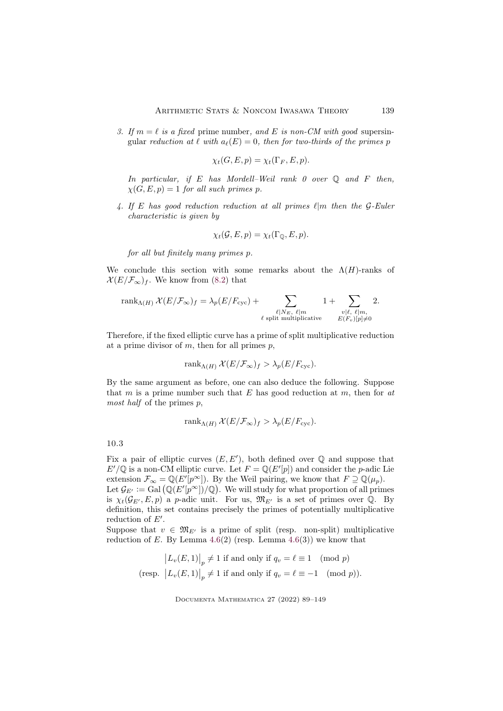3. If  $m = \ell$  is a fixed prime number, and E is non-CM with good supersingular reduction at  $\ell$  with  $a_{\ell}(E) = 0$ , then for two-thirds of the primes p

$$
\chi_t(G, E, p) = \chi_t(\Gamma_F, E, p).
$$

In particular, if E has Mordell–Weil rank  $\theta$  over  $\mathbb Q$  and  $F$  then,  $\chi(G, E, p) = 1$  for all such primes p.

4. If E has good reduction reduction at all primes  $\ell | m$  then the G-Euler characteristic is given by

$$
\chi_t(\mathcal{G}, E, p) = \chi_t(\Gamma_{\mathbb{Q}}, E, p).
$$

for all but finitely many primes p.

We conclude this section with some remarks about the  $\Lambda(H)$ -ranks of  $\mathcal{X}(E/\mathcal{F}_{\infty})_f$ . We know from [\(8.2\)](#page-29-2) that

$$
\operatorname{rank}_{\Lambda(H)} \mathcal{X}(E/\mathcal{F}_{\infty})_f = \lambda_p(E/F_{\text{cyc}}) + \sum_{\substack{\ell \mid N_E, \ \ell \mid m \\ \ell \text{ split multiplicative}}} 1 + \sum_{\substack{v \mid \ell, \ \ell \mid m, \\ E(F_v)[p] \neq 0}} 2.
$$

Therefore, if the fixed elliptic curve has a prime of split multiplicative reduction at a prime divisor of  $m$ , then for all primes  $p$ ,

$$
rank_{\Lambda(H)} \mathcal{X}(E/\mathcal{F}_{\infty})_f > \lambda_p(E/F_{\text{cyc}}).
$$

By the same argument as before, one can also deduce the following. Suppose that m is a prime number such that  $E$  has good reduction at  $m$ , then for  $at$ most half of the primes  $p$ ,

$$
rank_{\Lambda(H)} \mathcal{X}(E/\mathcal{F}_{\infty})_f > \lambda_p(E/F_{\text{cyc}}).
$$

<span id="page-50-0"></span>10.3

Fix a pair of elliptic curves  $(E, E')$ , both defined over  $\mathbb Q$  and suppose that  $E'/\mathbb{Q}$  is a non-CM elliptic curve. Let  $F = \mathbb{Q}(E'[p])$  and consider the p-adic Lie extension  $\mathcal{F}_{\infty} = \mathbb{Q}(E'[p^{\infty}])$ . By the Weil pairing, we know that  $F \supseteq \mathbb{Q}(\mu_p)$ . Let  $\mathcal{G}_{E'} := \operatorname{Gal}(\mathbb{Q}(E'[\tilde{p}^{\infty}])/\mathbb{Q})$ . We will study for what proportion of all primes

is  $\chi_t(\mathcal{G}_{E'}, E, p)$  a p-adic unit. For us,  $\mathfrak{M}_{E'}$  is a set of primes over Q. By definition, this set contains precisely the primes of potentially multiplicative reduction of  $E'$ .

Suppose that  $v \in \mathfrak{M}_{E'}$  is a prime of split (resp. non-split) multiplicative reduction of E. By Lemma  $4.6(2)$  $4.6(2)$  (resp. Lemma  $4.6(3)$ ) we know that

$$
|L_v(E,1)|_p \neq 1 \text{ if and only if } q_v = \ell \equiv 1 \pmod{p}
$$
  
(resp.  $|L_v(E,1)|_p \neq 1$  if and only if  $q_v = \ell \equiv -1 \pmod{p}$ ).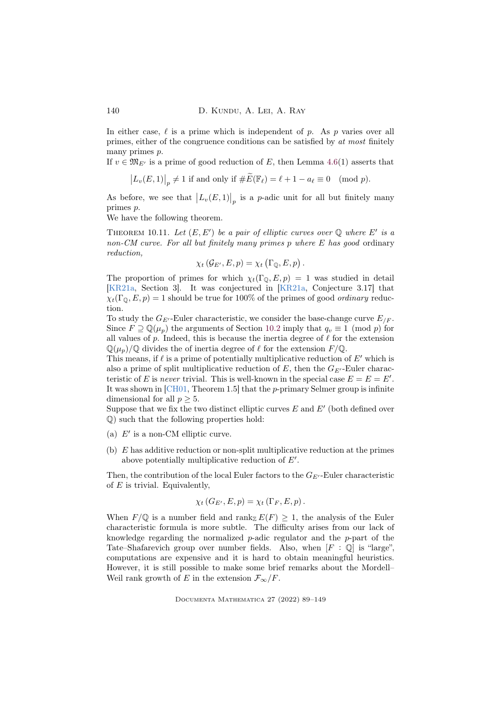In either case,  $\ell$  is a prime which is independent of p. As p varies over all primes, either of the congruence conditions can be satisfied by at most finitely many primes p.

If  $v \in \mathfrak{M}_{E'}$  is a prime of good reduction of E, then Lemma [4.6\(](#page-13-2)1) asserts that

$$
\big|L_v(E,1)\big|_p\neq 1\text{ if and only if }\#\widetilde{E}(\mathbb{F}_\ell)=\ell+1-a_\ell\equiv 0\pmod{p}.
$$

As before, we see that  $|L_v(E,1)|_p$  is a *p*-adic unit for all but finitely many primes p.

We have the following theorem.

<span id="page-51-0"></span>THEOREM 10.11. Let  $(E, E')$  be a pair of elliptic curves over  $\mathbb Q$  where E' is a non-CM curve. For all but finitely many primes p where E has good ordinary reduction,

$$
\chi_t\left(\mathcal{G}_{E'}, E, p\right) = \chi_t\left(\Gamma_{\mathbb{Q}}, E, p\right).
$$

The proportion of primes for which  $\chi_t(\Gamma_{\mathbb{Q}}, E, p) = 1$  was studied in detail [\[KR21a,](#page-58-3) Section 3]. It was conjectured in [\[KR21a,](#page-58-3) Conjecture 3.17] that  $\chi_t(\Gamma_0, E, p) = 1$  should be true for 100% of the primes of good *ordinary* reduction.

To study the  $G_{E'}$ -Euler characteristic, we consider the base-change curve  $E_{F}$ . Since  $F \supseteq \mathbb{Q}(\mu_n)$  the arguments of Section [10.2](#page-46-1) imply that  $q_v \equiv 1 \pmod{p}$  for all values of p. Indeed, this is because the inertia degree of  $\ell$  for the extension  $\mathbb{Q}(\mu_p)/\mathbb{Q}$  divides the of inertia degree of  $\ell$  for the extension  $F/\mathbb{Q}$ .

This means, if  $\ell$  is a prime of potentially multiplicative reduction of  $E'$  which is also a prime of split multiplicative reduction of E, then the  $G_{E'}$ -Euler characteristic of E is never trivial. This is well-known in the special case  $E = E = E'$ . It was shown in [\[CH01,](#page-55-1) Theorem 1.5] that the p-primary Selmer group is infinite dimensional for all  $p \geq 5$ .

Suppose that we fix the two distinct elliptic curves  $E$  and  $E'$  (both defined over Q) such that the following properties hold:

- (a)  $E'$  is a non-CM elliptic curve.
- (b) E has additive reduction or non-split multiplicative reduction at the primes above potentially multiplicative reduction of E′ .

Then, the contribution of the local Euler factors to the  $G_{E'}$ -Euler characteristic of  $E$  is trivial. Equivalently,

$$
\chi_t(G_{E'}, E, p) = \chi_t(\Gamma_F, E, p).
$$

When  $F/\mathbb{Q}$  is a number field and rank  $E(F) \geq 1$ , the analysis of the Euler characteristic formula is more subtle. The difficulty arises from our lack of knowledge regarding the normalized  $p$ -adic regulator and the  $p$ -part of the Tate–Shafarevich group over number fields. Also, when  $[F : \mathbb{Q}]$  is "large", computations are expensive and it is hard to obtain meaningful heuristics. However, it is still possible to make some brief remarks about the Mordell– Weil rank growth of E in the extension  $\mathcal{F}_{\infty}/F$ .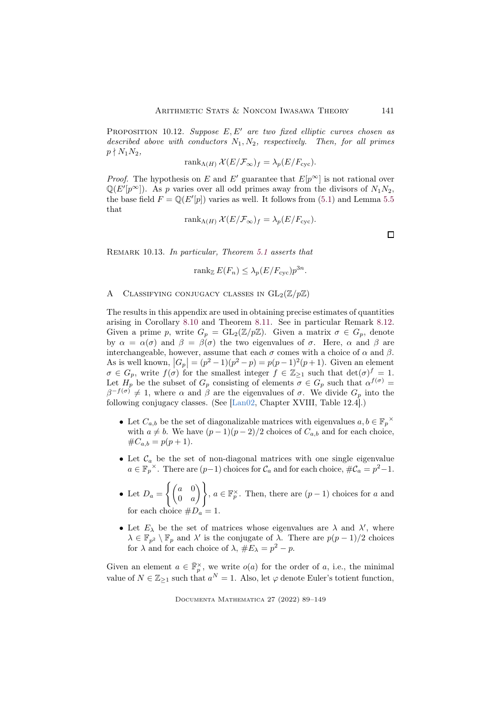PROPOSITION 10.12. Suppose  $E, E'$  are two fixed elliptic curves chosen as described above with conductors  $N_1, N_2$ , respectively. Then, for all primes  $p \nmid N_1N_2,$ 

$$
rank_{\Lambda(H)} \mathcal{X}(E/\mathcal{F}_{\infty})_f = \lambda_p(E/F_{\text{cyc}}).
$$

*Proof.* The hypothesis on E and E' guarantee that  $E[p^{\infty}]$  is not rational over  $\mathbb{Q}(E'[p^{\infty}])$ . As p varies over all odd primes away from the divisors of  $N_1N_2$ , the base field  $F = \mathbb{Q}(E'[p])$  varies as well. It follows from [\(5.1\)](#page-16-2) and Lemma [5.5](#page-17-2) that

$$
rank_{\Lambda(H)} \mathcal{X}(E/\mathcal{F}_{\infty})_f = \lambda_p(E/F_{\text{cyc}}).
$$

Remark 10.13. In particular, Theorem [5.1](#page-16-3) asserts that

$$
\operatorname{rank}_{\mathbb{Z}} E(F_n) \le \lambda_p (E/F_{\text{cyc}}) p^{3n}.
$$

### <span id="page-52-0"></span>A CLASSIFYING CONJUGACY CLASSES IN  $GL_2(\mathbb{Z}/p\mathbb{Z})$

The results in this appendix are used in obtaining precise estimates of quantities arising in Corollary [8.10](#page-28-2) and Theorem [8.11.](#page-28-0) See in particular Remark [8.12.](#page-29-1) Given a prime p, write  $G_p = GL_2(\mathbb{Z}/p\mathbb{Z})$ . Given a matrix  $\sigma \in G_p$ , denote by  $\alpha = \alpha(\sigma)$  and  $\beta = \beta(\sigma)$  the two eigenvalues of  $\sigma$ . Here,  $\alpha$  and  $\beta$  are interchangeable, however, assume that each  $\sigma$  comes with a choice of  $\alpha$  and  $\beta$ . As is well known,  $|G_p| = (p^2 - 1)(p^2 - p) = p(p - 1)^2(p + 1)$ . Given an element  $\sigma \in G_p$ , write  $f(\sigma)$  for the smallest integer  $f \in \mathbb{Z}_{\geq 1}$  such that  $\det(\sigma)^f = 1$ . Let  $H_p$  be the subset of  $G_p$  consisting of elements  $\sigma \in G_p$  such that  $\alpha^{f(\sigma)} =$  $\beta^{-f(\sigma)} \neq 1$ , where  $\alpha$  and  $\beta$  are the eigenvalues of  $\sigma$ . We divide  $G_p$  into the following conjugacy classes. (See [\[Lan02,](#page-58-13) Chapter XVIII, Table 12.4].)

- Let  $C_{a,b}$  be the set of diagonalizable matrices with eigenvalues  $a, b \in \mathbb{F}_p^{\times}$ with  $a \neq b$ . We have  $(p-1)(p-2)/2$  choices of  $C_{a,b}$  and for each choice,  $\#C_{a,b} = p(p+1).$
- Let  $\mathcal{C}_a$  be the set of non-diagonal matrices with one single eigenvalue  $a \in \mathbb{F}_p^{\times}$ . There are  $(p-1)$  choices for  $\mathcal{C}_a$  and for each choice,  $\#\mathcal{C}_a = p^2 - 1$ .
- Let  $D_a =$  $\int (a \ 0)$  $0 \quad a$  $\setminus$ ,  $a \in \mathbb{F}_p^{\times}$  . Then, there are  $(p-1)$  choices for  $a$  and for each choice  $\#D_a = 1$ .
- Let  $E_{\lambda}$  be the set of matrices whose eigenvalues are  $\lambda$  and  $\lambda'$ , where  $\lambda \in \mathbb{F}_{p^2} \setminus \mathbb{F}_p$  and  $\lambda'$  is the conjugate of  $\lambda$ . There are  $p(p-1)/2$  choices for  $\lambda$  and for each choice of  $\lambda$ ,  $#E_{\lambda} = p^2 - p$ .

Given an element  $a \in \mathbb{F}_p^{\times}$ , we write  $o(a)$  for the order of a, i.e., the minimal value of  $N \in \mathbb{Z}_{\geq 1}$  such that  $a^N = 1$ . Also, let  $\varphi$  denote Euler's totient function,

 $\Box$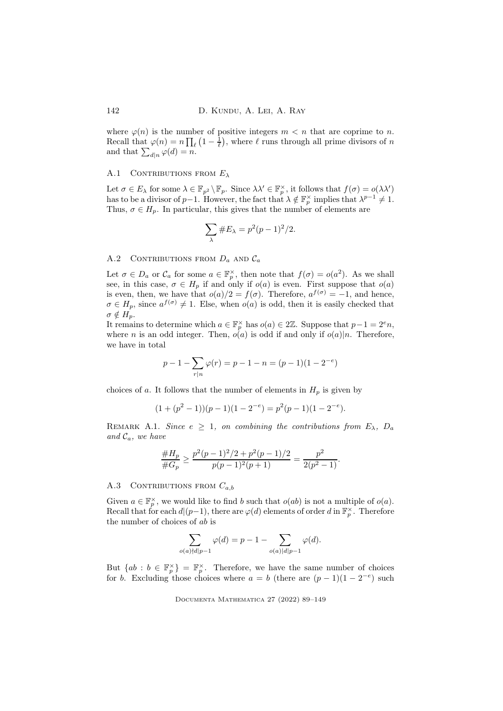where  $\varphi(n)$  is the number of positive integers  $m < n$  that are coprime to n. Recall that  $\varphi(n) = n \prod_{\ell} \left(1 - \frac{1}{\ell}\right)$ , where  $\ell$  runs through all prime divisors of n and that  $\sum_{d|n} \varphi(d) = n$ .

### A.1 CONTRIBUTIONS FROM  $E_{\lambda}$

Let  $\sigma \in E_\lambda$  for some  $\lambda \in \mathbb{F}_{p^2} \setminus \mathbb{F}_p$ . Since  $\lambda \lambda' \in \mathbb{F}_p^\times$ , it follows that  $f(\sigma) = o(\lambda \lambda')$ has to be a divisor of  $p-1$ . However, the fact that  $\lambda \notin \mathbb{F}_p^{\times}$  implies that  $\lambda^{p-1} \neq 1$ . Thus,  $\sigma \in H_p$ . In particular, this gives that the number of elements are

$$
\sum_{\lambda} \#E_{\lambda} = p^2(p-1)^2/2.
$$

# A.2 CONTRIBUTIONS FROM  $D_a$  and  $C_a$

Let  $\sigma \in D_a$  or  $\mathcal{C}_a$  for some  $a \in \mathbb{F}_p^{\times}$ , then note that  $f(\sigma) = o(a^2)$ . As we shall see, in this case,  $\sigma \in H_p$  if and only if  $o(a)$  is even. First suppose that  $o(a)$ is even, then, we have that  $o(a)/2 = f(\sigma)$ . Therefore,  $a^{f(\sigma)} = -1$ , and hence,  $\sigma \in H_p$ , since  $a^{f(\sigma)} \neq 1$ . Else, when  $o(a)$  is odd, then it is easily checked that  $\sigma \notin H_n$ .

It remains to determine which  $a \in \mathbb{F}_p^{\times}$  has  $o(a) \in 2\mathbb{Z}$ . Suppose that  $p-1 = 2^e n$ , where *n* is an odd integer. Then,  $o(a)$  is odd if and only if  $o(a)|n$ . Therefore, we have in total

$$
p - 1 - \sum_{r|n} \varphi(r) = p - 1 - n = (p - 1)(1 - 2^{-e})
$$

choices of a. It follows that the number of elements in  $H_p$  is given by

$$
(1 + (p2 - 1))(p - 1)(1 - 2-e) = p2(p - 1)(1 - 2-e).
$$

<span id="page-53-0"></span>REMARK A.1. Since  $e \geq 1$ , on combining the contributions from  $E_{\lambda}$ ,  $D_a$ and  $\mathcal{C}_a$ , we have

$$
\frac{\#H_p}{\#G_p} \ge \frac{p^2(p-1)^2/2 + p^2(p-1)/2}{p(p-1)^2(p+1)} = \frac{p^2}{2(p^2-1)}.
$$

## A.3 CONTRIBUTIONS FROM  $C_{a,b}$

Given  $a \in \mathbb{F}_p^{\times}$ , we would like to find b such that  $o(ab)$  is not a multiple of  $o(a)$ . Recall that for each  $d|(p-1)$ , there are  $\varphi(d)$  elements of order d in  $\mathbb{F}_p^{\times}$ . Therefore the number of choices of ab is

$$
\sum_{o(a)\nmid d|p-1} \varphi(d) = p - 1 - \sum_{o(a)\mid d|p-1} \varphi(d).
$$

But  $\{ab : b \in \mathbb{F}_p^{\times}\}\ = \mathbb{F}_p^{\times}$ . Therefore, we have the same number of choices for b. Excluding those choices where  $a = b$  (there are  $(p - 1)(1 - 2^{-e})$  such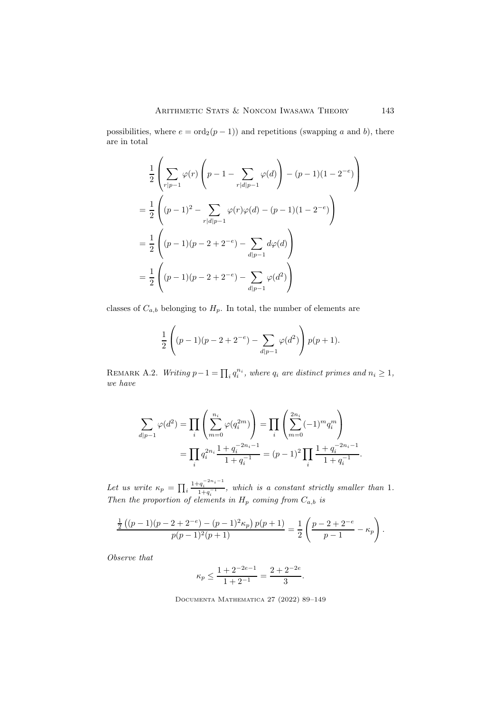possibilities, where  $e = \text{ord}_2(p-1)$  and repetitions (swapping a and b), there are in total

$$
\frac{1}{2} \left( \sum_{r|p-1} \varphi(r) \left( p - 1 - \sum_{r|d|p-1} \varphi(d) \right) - (p-1)(1 - 2^{-e}) \right)
$$
  
= 
$$
\frac{1}{2} \left( (p-1)^2 - \sum_{r|d|p-1} \varphi(r) \varphi(d) - (p-1)(1 - 2^{-e}) \right)
$$
  
= 
$$
\frac{1}{2} \left( (p-1)(p-2+2^{-e}) - \sum_{d|p-1} d\varphi(d) \right)
$$
  
= 
$$
\frac{1}{2} \left( (p-1)(p-2+2^{-e}) - \sum_{d|p-1} \varphi(d^2) \right)
$$

classes of  $C_{a,b}$  belonging to  $H_p$ . In total, the number of elements are

$$
\frac{1}{2}\left((p-1)(p-2+2^{-e})-\sum_{d|p-1}\varphi(d^2)\right)p(p+1).
$$

<span id="page-54-0"></span>REMARK A.2. Writing  $p-1 = \prod_i q_i^{n_i}$ , where  $q_i$  are distinct primes and  $n_i \geq 1$ , we have

$$
\sum_{d|p-1} \varphi(d^2) = \prod_i \left( \sum_{m=0}^{n_i} \varphi(q_i^{2m}) \right) = \prod_i \left( \sum_{m=0}^{2n_i} (-1)^m q_i^m \right)
$$
  
= 
$$
\prod_i q_i^{2n_i} \frac{1 + q_i^{-2n_i - 1}}{1 + q_i^{-1}} = (p-1)^2 \prod_i \frac{1 + q_i^{-2n_i - 1}}{1 + q_i^{-1}}.
$$

Let us write  $\kappa_p = \prod_i$  $\frac{1+q_i^{-2n_i-1}}{1+q_i^{-1}}$ , which is a constant strictly smaller than 1. Then the proportion of elements in  $H_p$  coming from  $C_{a,b}$  is

$$
\frac{\frac{1}{2}((p-1)(p-2+2^{-e})-(p-1)^2\kappa_p)p(p+1)}{p(p-1)^2(p+1)}=\frac{1}{2}\left(\frac{p-2+2^{-e}}{p-1}-\kappa_p\right).
$$

Observe that

$$
\kappa_p \le \frac{1 + 2^{-2e - 1}}{1 + 2^{-1}} = \frac{2 + 2^{-2e}}{3}.
$$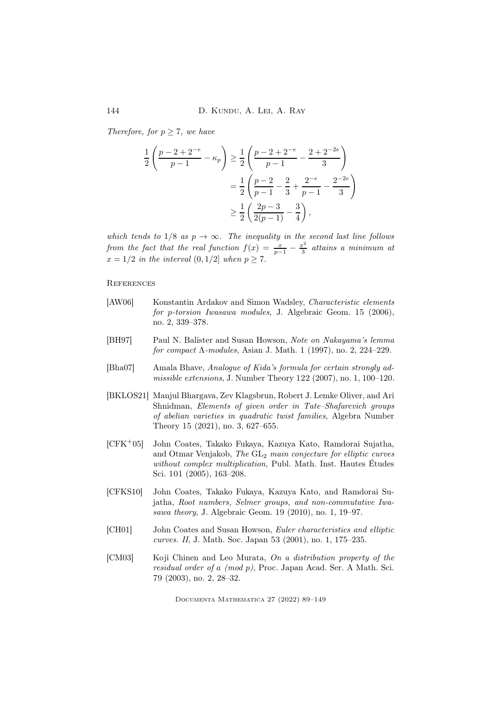Therefore, for  $p \geq 7$ , we have

$$
\frac{1}{2} \left( \frac{p-2+2^{-e}}{p-1} - \kappa_p \right) \ge \frac{1}{2} \left( \frac{p-2+2^{-e}}{p-1} - \frac{2+2^{-2e}}{3} \right)
$$

$$
= \frac{1}{2} \left( \frac{p-2}{p-1} - \frac{2}{3} + \frac{2^{-e}}{p-1} - \frac{2^{-2e}}{3} \right)
$$

$$
\ge \frac{1}{2} \left( \frac{2p-3}{2(p-1)} - \frac{3}{4} \right),
$$

which tends to  $1/8$  as  $p \to \infty$ . The inequality in the second last line follows from the fact that the real function  $f(x) = \frac{x}{p-1} - \frac{x^2}{3}$  $\frac{c^2}{3}$  attains a minimum at  $x = 1/2$  in the interval  $(0, 1/2]$  when  $p \ge 7$ .

**REFERENCES** 

- <span id="page-55-5"></span>[AW06] Konstantin Ardakov and Simon Wadsley, Characteristic elements for p-torsion Iwasawa modules, J. Algebraic Geom. 15 (2006), no. 2, 339–378.
- <span id="page-55-0"></span>[BH97] Paul N. Balister and Susan Howson, Note on Nakayama's lemma for compact  $\Lambda$ -modules, Asian J. Math. 1 (1997), no. 2, 224–229.
- <span id="page-55-4"></span>[Bha07] Amala Bhave, Analogue of Kida's formula for certain strongly admissible extensions, J. Number Theory 122 (2007), no. 1, 100–120.
- <span id="page-55-6"></span>[BKLOS21] Manjul Bhargava, Zev Klagsbrun, Robert J. Lemke Oliver, and Ari Shnidman, Elements of given order in Tate–Shafarevich groups of abelian varieties in quadratic twist families, Algebra Number Theory 15 (2021), no. 3, 627–655.
- <span id="page-55-2"></span>[CFK<sup>+</sup>05] John Coates, Takako Fukaya, Kazuya Kato, Ramdorai Sujatha, and Otmar Venjakob, The GL<sup>2</sup> main conjecture for elliptic curves without complex multiplication, Publ. Math. Inst. Hautes Études Sci. 101 (2005), 163–208.
- <span id="page-55-3"></span>[CFKS10] John Coates, Takako Fukaya, Kazuya Kato, and Ramdorai Sujatha, Root numbers, Selmer groups, and non-commutative Iwasawa theory, J. Algebraic Geom. 19 (2010), no. 1, 19–97.
- <span id="page-55-1"></span>[CH01] John Coates and Susan Howson, Euler characteristics and elliptic curves. II, J. Math. Soc. Japan 53 (2001), no. 1, 175–235.
- <span id="page-55-7"></span>[CM03] Koji Chinen and Leo Murata, On a distribution property of the residual order of a (mod p), Proc. Japan Acad. Ser. A Math. Sci. 79 (2003), no. 2, 28–32.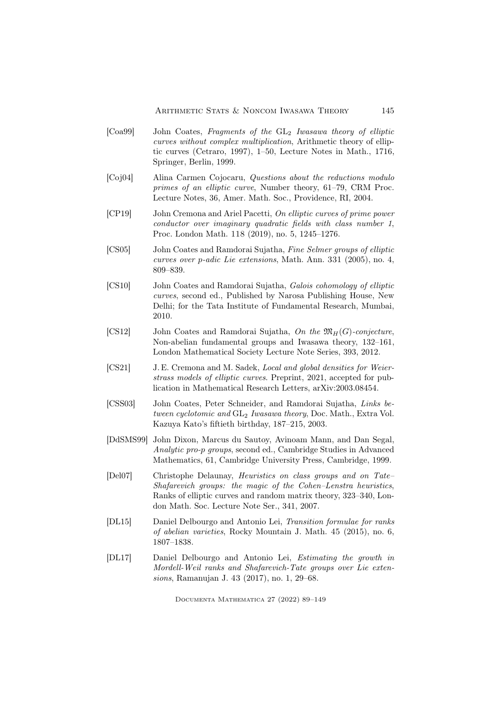- <span id="page-56-7"></span>[Coa99] John Coates, Fragments of the GL<sub>2</sub> Iwasawa theory of elliptic curves without complex multiplication, Arithmetic theory of elliptic curves (Cetraro, 1997), 1–50, Lecture Notes in Math., 1716, Springer, Berlin, 1999.
- <span id="page-56-8"></span>[Coj04] Alina Carmen Cojocaru, Questions about the reductions modulo primes of an elliptic curve, Number theory, 61–79, CRM Proc. Lecture Notes, 36, Amer. Math. Soc., Providence, RI, 2004.
- <span id="page-56-10"></span>[CP19] John Cremona and Ariel Pacetti, On elliptic curves of prime power conductor over imaginary quadratic fields with class number 1, Proc. London Math. 118 (2019), no. 5, 1245–1276.
- <span id="page-56-1"></span>[CS05] John Coates and Ramdorai Sujatha, Fine Selmer groups of elliptic curves over p-adic Lie extensions, Math. Ann. 331 (2005), no. 4, 809–839.
- <span id="page-56-5"></span>[CS10] John Coates and Ramdorai Sujatha, Galois cohomology of elliptic curves, second ed., Published by Narosa Publishing House, New Delhi; for the Tata Institute of Fundamental Research, Mumbai, 2010.
- <span id="page-56-6"></span>[CS12] John Coates and Ramdorai Sujatha, On the  $\mathfrak{M}_H(G)$ -conjecture, Non-abelian fundamental groups and Iwasawa theory, 132–161, London Mathematical Society Lecture Note Series, 393, 2012.
- <span id="page-56-9"></span>[CS21] J. E. Cremona and M. Sadek, Local and global densities for Weierstrass models of elliptic curves. Preprint, 2021, accepted for publication in Mathematical Research Letters, arXiv:2003.08454.
- <span id="page-56-0"></span>[CSS03] John Coates, Peter Schneider, and Ramdorai Sujatha, Links between cyclotomic and  $GL_2$  Iwasawa theory, Doc. Math., Extra Vol. Kazuya Kato's fiftieth birthday, 187–215, 2003.
- <span id="page-56-4"></span>[DdSMS99] John Dixon, Marcus du Sautoy, Avinoam Mann, and Dan Segal, Analytic pro-p groups, second ed., Cambridge Studies in Advanced Mathematics, 61, Cambridge University Press, Cambridge, 1999.
- <span id="page-56-11"></span>[Del07] Christophe Delaunay, Heuristics on class groups and on Tate– Shafarevich groups: the magic of the Cohen–Lenstra heuristics, Ranks of elliptic curves and random matrix theory, 323–340, London Math. Soc. Lecture Note Ser., 341, 2007.
- <span id="page-56-2"></span>[DL15] Daniel Delbourgo and Antonio Lei, Transition formulae for ranks of abelian varieties, Rocky Mountain J. Math. 45 (2015), no. 6, 1807–1838.
- <span id="page-56-3"></span>[DL17] Daniel Delbourgo and Antonio Lei, Estimating the growth in Mordell-Weil ranks and Shafarevich-Tate groups over Lie extensions, Ramanujan J. 43 (2017), no. 1, 29–68.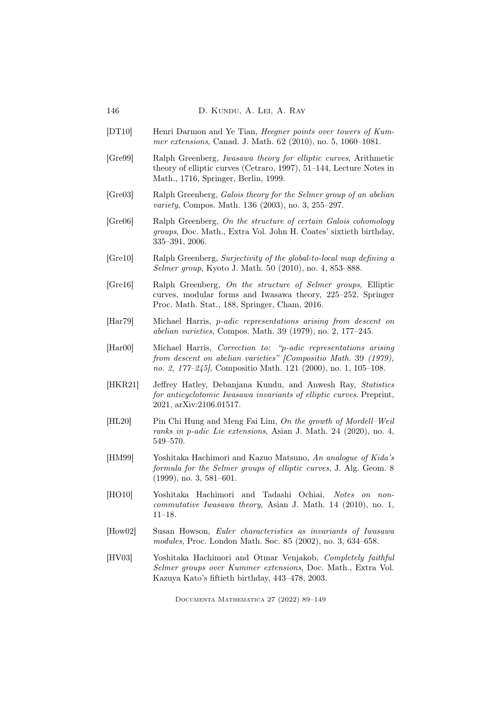- <span id="page-57-6"></span>[DT10] Henri Darmon and Ye Tian, Heegner points over towers of Kummer extensions, Canad. J. Math. 62 (2010), no. 5, 1060–1081.
- <span id="page-57-13"></span>[Gre99] Ralph Greenberg, Iwasawa theory for elliptic curves, Arithmetic theory of elliptic curves (Cetraro, 1997), 51–144, Lecture Notes in Math., 1716, Springer, Berlin, 1999.
- <span id="page-57-2"></span>[Gre03] Ralph Greenberg, Galois theory for the Selmer group of an abelian variety, Compos. Math. 136 (2003), no. 3, 255–297.
- <span id="page-57-11"></span>[Gre06] Ralph Greenberg, On the structure of certain Galois cohomology groups, Doc. Math., Extra Vol. John H. Coates' sixtieth birthday, 335–391, 2006.
- <span id="page-57-12"></span>[Gre10] Ralph Greenberg, Surjectivity of the global-to-local map defining a Selmer group, Kyoto J. Math. 50 (2010), no. 4, 853–888.
- <span id="page-57-10"></span>[Gre16] Ralph Greenberg, On the structure of Selmer groups, Elliptic curves, modular forms and Iwasawa theory, 225–252, Springer Proc. Math. Stat., 188, Springer, Cham, 2016.
- <span id="page-57-0"></span>[Har79] Michael Harris, p-adic representations arising from descent on abelian varieties, Compos. Math. 39 (1979), no. 2, 177–245.
- <span id="page-57-1"></span>[Har00] Michael Harris, Correction to: "p-adic representations arising from descent on abelian varieties" [Compositio Math. 39 (1979), no. 2, 177–245], Compositio Math. 121 (2000), no. 1, 105–108.
- <span id="page-57-5"></span>[HKR21] Jeffrey Hatley, Debanjana Kundu, and Anwesh Ray, Statistics for anticyclotomic Iwasawa invariants of elliptic curves. Preprint, 2021, arXiv:2106.01517.
- <span id="page-57-7"></span>[HL20] Pin Chi Hung and Meng Fai Lim, On the growth of Mordell–Weil ranks in p-adic Lie extensions, Asian J. Math. 24 (2020), no. 4, 549–570.
- <span id="page-57-9"></span>[HM99] Yoshitaka Hachimori and Kazuo Matsuno, An analogue of Kida's formula for the Selmer groups of elliptic curves, J. Alg. Geom. 8 (1999), no. 3, 581–601.
- <span id="page-57-8"></span>[HO10] Yoshitaka Hachimori and Tadashi Ochiai, Notes on noncommutative Iwasawa theory, Asian J. Math. 14 (2010), no. 1, 11–18.
- <span id="page-57-4"></span>[How02] Susan Howson, Euler characteristics as invariants of Iwasawa modules, Proc. London Math. Soc. 85 (2002), no. 3, 634–658.
- <span id="page-57-3"></span>[HV03] Yoshitaka Hachimori and Otmar Venjakob, Completely faithful Selmer groups over Kummer extensions, Doc. Math., Extra Vol. Kazuya Kato's fiftieth birthday, 443–478, 2003.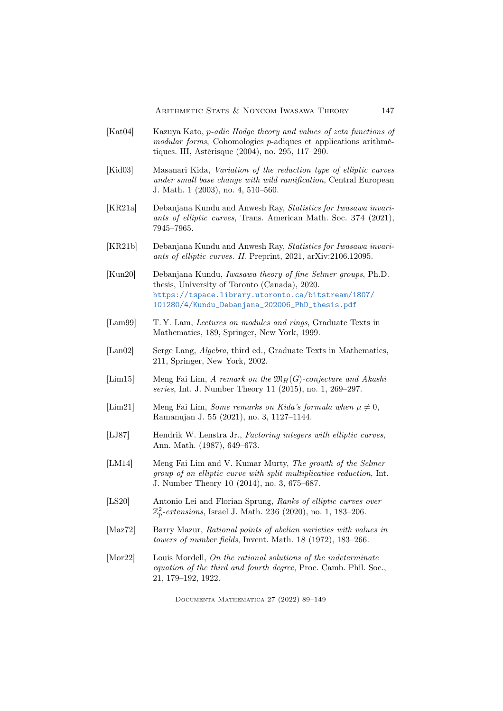- <span id="page-58-2"></span>[Kat04] Kazuya Kato, p-adic Hodge theory and values of zeta functions of modular forms, Cohomologies p-adiques et applications arithmétiques. III, Astérisque (2004), no. 295, 117–290.
- <span id="page-58-10"></span>[Kid03] Masanari Kida, Variation of the reduction type of elliptic curves under small base change with wild ramification, Central European J. Math. 1 (2003), no. 4, 510–560.
- <span id="page-58-3"></span>[KR21a] Debanjana Kundu and Anwesh Ray, Statistics for Iwasawa invariants of elliptic curves, Trans. American Math. Soc. 374 (2021), 7945–7965.
- <span id="page-58-4"></span>[KR21b] Debanjana Kundu and Anwesh Ray, Statistics for Iwasawa invariants of elliptic curves. II. Preprint, 2021, arXiv:2106.12095.
- <span id="page-58-12"></span>[Kun20] Debanjana Kundu, Iwasawa theory of fine Selmer groups, Ph.D. thesis, University of Toronto (Canada), 2020. [https://tspace.library.utoronto.ca/bitstream/1807/](https://tspace.library.utoronto.ca/bitstream/1807/101280/4/Kundu_Debanjana_202006_PhD_thesis.pdf) [101280/4/Kundu\\_Debanjana\\_202006\\_PhD\\_thesis.pdf](https://tspace.library.utoronto.ca/bitstream/1807/101280/4/Kundu_Debanjana_202006_PhD_thesis.pdf)
- <span id="page-58-6"></span>[Lam99] T. Y. Lam, Lectures on modules and rings, Graduate Texts in Mathematics, 189, Springer, New York, 1999.
- <span id="page-58-13"></span>[Lan02] Serge Lang, *Algebra*, third ed., Graduate Texts in Mathematics, 211, Springer, New York, 2002.
- <span id="page-58-7"></span>[Lim15] Meng Fai Lim, A remark on the  $\mathfrak{M}_H(G)$ -conjecture and Akashi series, Int. J. Number Theory 11 (2015), no. 1, 269–297.
- <span id="page-58-9"></span>[Lim21] Meng Fai Lim, Some remarks on Kida's formula when  $\mu \neq 0$ , Ramanujan J. 55 (2021), no. 3, 1127–1144.
- <span id="page-58-11"></span>[LJ87] Hendrik W. Lenstra Jr., Factoring integers with elliptic curves, Ann. Math. (1987), 649–673.
- <span id="page-58-8"></span>[LM14] Meng Fai Lim and V. Kumar Murty, The growth of the Selmer group of an elliptic curve with split multiplicative reduction, Int. J. Number Theory 10 (2014), no. 3, 675–687.
- <span id="page-58-5"></span>[LS20] Antonio Lei and Florian Sprung, Ranks of elliptic curves over  $\mathbb{Z}_p^2$ -extensions, Israel J. Math. 236 (2020), no. 1, 183–206.
- <span id="page-58-1"></span>[Maz72] Barry Mazur, Rational points of abelian varieties with values in towers of number fields, Invent. Math. 18 (1972), 183–266.
- <span id="page-58-0"></span>[Mor22] Louis Mordell, On the rational solutions of the indeterminate equation of the third and fourth degree, Proc. Camb. Phil. Soc., 21, 179–192, 1922.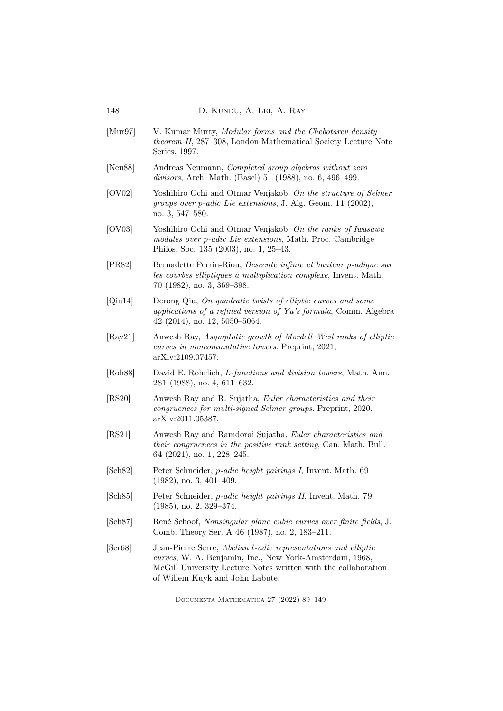<span id="page-59-13"></span><span id="page-59-12"></span><span id="page-59-11"></span><span id="page-59-10"></span><span id="page-59-9"></span><span id="page-59-8"></span><span id="page-59-7"></span><span id="page-59-6"></span><span id="page-59-5"></span><span id="page-59-4"></span><span id="page-59-3"></span><span id="page-59-2"></span><span id="page-59-1"></span><span id="page-59-0"></span>[Mur97] V. Kumar Murty, *Modular forms and the Chebotarev density* theorem II, 287–308, London Mathematical Society Lecture Note Series, 1997. [Neu88] Andreas Neumann, Completed group algebras without zero divisors, Arch. Math. (Basel) 51 (1988), no. 6, 496–499. [OV02] Yoshihiro Ochi and Otmar Venjakob, On the structure of Selmer groups over p-adic Lie extensions, J. Alg. Geom. 11 (2002), no. 3, 547–580. [OV03] Yoshihiro Ochi and Otmar Venjakob, On the ranks of Iwasawa modules over p-adic Lie extensions, Math. Proc. Cambridge Philos. Soc. 135 (2003), no. 1, 25–43. [PR82] Bernadette Perrin-Riou, Descente infinie et hauteur p-adique sur les courbes elliptiques à multiplication complexe, Invent. Math. 70 (1982), no. 3, 369–398. [Qiu14] Derong Qiu, On quadratic twists of elliptic curves and some applications of a refined version of Yu's formula, Comm. Algebra 42 (2014), no. 12, 5050–5064. [Ray21] Anwesh Ray, Asymptotic growth of Mordell–Weil ranks of elliptic curves in noncommutative towers. Preprint, 2021, arXiv:2109.07457. [Roh88] David E. Rohrlich, L-functions and division towers, Math. Ann. 281 (1988), no. 4, 611–632. [RS20] Anwesh Ray and R. Sujatha, Euler characteristics and their congruences for multi-signed Selmer groups. Preprint, 2020, arXiv:2011.05387. [RS21] Anwesh Ray and Ramdorai Sujatha, Euler characteristics and their congruences in the positive rank setting, Can. Math. Bull. 64 (2021), no. 1, 228–245. [Sch82] Peter Schneider, p-adic height pairings I, Invent. Math. 69 (1982), no. 3, 401–409. [Sch85] Peter Schneider, p-adic height pairings II, Invent. Math. 79 (1985), no. 2, 329–374. [Sch87] René Schoof, Nonsingular plane cubic curves over finite fields, J. Comb. Theory Ser. A 46 (1987), no. 2, 183–211. [Ser68] Jean-Pierre Serre, Abelian l-adic representations and elliptic curves, W. A. Benjamin, Inc., New York-Amsterdam, 1968, McGill University Lecture Notes written with the collaboration of Willem Kuyk and John Labute.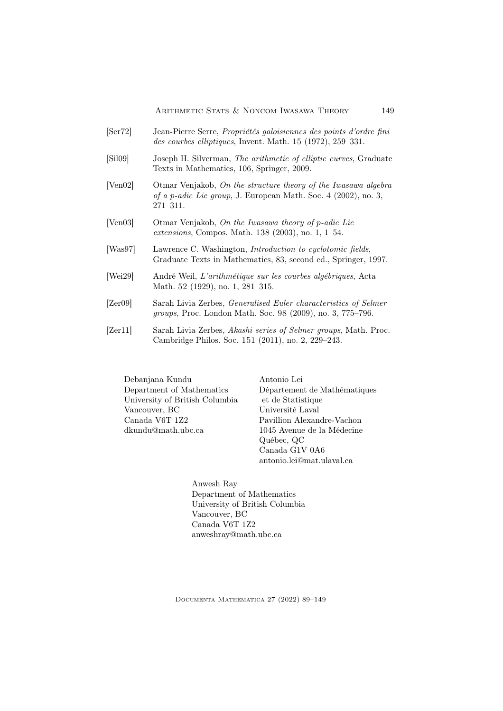- <span id="page-60-3"></span>[Ser72] Jean-Pierre Serre, Propriétés galoisiennes des points d'ordre fini des courbes elliptiques, Invent. Math. 15 (1972), 259–331.
- <span id="page-60-6"></span>[Sil09] Joseph H. Silverman, The arithmetic of elliptic curves, Graduate Texts in Mathematics, 106, Springer, 2009.
- <span id="page-60-1"></span>[Ven02] Otmar Venjakob, On the structure theory of the Iwasawa algebra of a p-adic Lie group, J. European Math. Soc. 4 (2002), no. 3, 271–311.
- <span id="page-60-2"></span>[Ven03] Otmar Venjakob, On the Iwasawa theory of p-adic Lie extensions, Compos. Math. 138 (2003), no. 1, 1–54.
- <span id="page-60-7"></span>[Was97] Lawrence C. Washington, *Introduction to cyclotomic fields*, Graduate Texts in Mathematics, 83, second ed., Springer, 1997.
- <span id="page-60-0"></span>[Wei29] André Weil, L'arithmétique sur les courbes algébriques, Acta Math. 52 (1929), no. 1, 281–315.
- <span id="page-60-4"></span>[Zer09] Sarah Livia Zerbes, Generalised Euler characteristics of Selmer groups, Proc. London Math. Soc. 98 (2009), no. 3, 775–796.
- <span id="page-60-5"></span>[Zer11] Sarah Livia Zerbes, Akashi series of Selmer groups, Math. Proc. Cambridge Philos. Soc. 151 (2011), no. 2, 229–243.

Debanjana Kundu Department of Mathematics University of British Columbia Vancouver, BC Canada V6T 1Z2 dkundu@math.ubc.ca

Antonio Lei Département de Mathématiques et de Statistique Université Laval Pavillion Alexandre-Vachon 1045 Avenue de la Médecine Québec, QC Canada G1V 0A6 antonio.lei@mat.ulaval.ca

Anwesh Ray Department of Mathematics University of British Columbia Vancouver, BC Canada V6T 1Z2 anweshray@math.ubc.ca